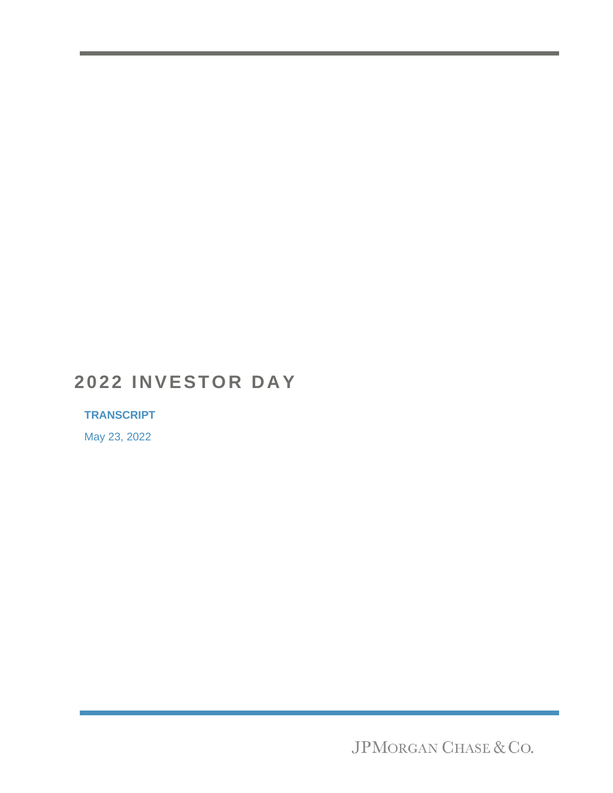# **2022 INVESTOR DAY**

# **TRANSCRIPT**

May 23, 2022

JPMORGAN CHASE & CO.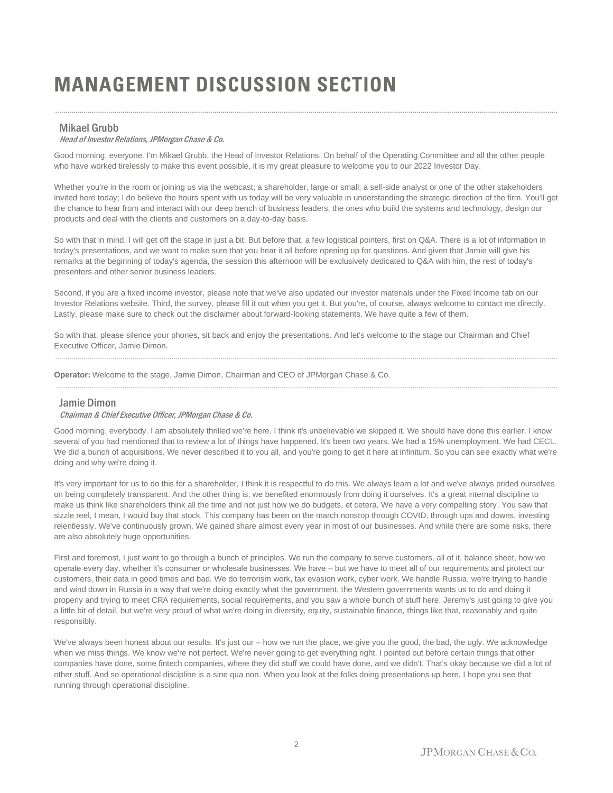# **MANAGEMENT DISCUSSION SECTION**

# Mikael Grubb

# Head of Investor Relations, JPMorgan Chase & Co.

Good morning, everyone. I'm Mikael Grubb, the Head of Investor Relations. On behalf of the Operating Committee and all the other people who have worked tirelessly to make this event possible, it is my great pleasure to welcome you to our 2022 Investor Day.

......................................................................................................................................................................................................................................................

Whether you're in the room or joining us via the webcast; a shareholder, large or small; a sell-side analyst or one of the other stakeholders invited here today; I do believe the hours spent with us today will be very valuable in understanding the strategic direction of the firm. You'll get the chance to hear from and interact with our deep bench of business leaders, the ones who build the systems and technology, design our products and deal with the clients and customers on a day-to-day basis.

So with that in mind, I will get off the stage in just a bit. But before that, a few logistical pointers, first on Q&A. There is a lot of information in today's presentations, and we want to make sure that you hear it all before opening up for questions. And given that Jamie will give his remarks at the beginning of today's agenda, the session this afternoon will be exclusively dedicated to Q&A with him, the rest of today's presenters and other senior business leaders.

Second, if you are a fixed income investor, please note that we've also updated our investor materials under the Fixed Income tab on our Investor Relations website. Third, the survey, please fill it out when you get it. But you're, of course, always welcome to contact me directly. Lastly, please make sure to check out the disclaimer about forward-looking statements. We have quite a few of them.

So with that, please silence your phones, sit back and enjoy the presentations. And let's welcome to the stage our Chairman and Chief Executive Officer, Jamie Dimon.

......................................................................................................................................................................................................................................................

......................................................................................................................................................................................................................................................

**Operator:** Welcome to the stage, Jamie Dimon, Chairman and CEO of JPMorgan Chase & Co.

### Jamie Dimon

#### Chairman & Chief Executive Officer, JPMorgan Chase & Co.

Good morning, everybody. I am absolutely thrilled we're here. I think it's unbelievable we skipped it. We should have done this earlier. I know several of you had mentioned that to review a lot of things have happened. It's been two years. We had a 15% unemployment. We had CECL. We did a bunch of acquisitions. We never described it to you all, and you're going to get it here at infinitum. So you can see exactly what we're doing and why we're doing it.

It's very important for us to do this for a shareholder, I think it is respectful to do this. We always learn a lot and we've always prided ourselves on being completely transparent. And the other thing is, we benefited enormously from doing it ourselves. It's a great internal discipline to make us think like shareholders think all the time and not just how we do budgets, et cetera. We have a very compelling story. You saw that sizzle reel, I mean, I would buy that stock. This company has been on the march nonstop through COVID, through ups and downs, investing relentlessly. We've continuously grown. We gained share almost every year in most of our businesses. And while there are some risks, there are also absolutely huge opportunities.

First and foremost, I just want to go through a bunch of principles. We run the company to serve customers, all of it, balance sheet, how we operate every day, whether it's consumer or wholesale businesses. We have – but we have to meet all of our requirements and protect our customers, their data in good times and bad. We do terrorism work, tax evasion work, cyber work. We handle Russia, we're trying to handle and wind down in Russia in a way that we're doing exactly what the government, the Western governments wants us to do and doing it properly and trying to meet CRA requirements, social requirements, and you saw a whole bunch of stuff here. Jeremy's just going to give you a little bit of detail, but we're very proud of what we're doing in diversity, equity, sustainable finance, things like that, reasonably and quite responsibly.

We've always been honest about our results. It's just our – how we run the place, we give you the good, the bad, the ugly. We acknowledge when we miss things. We know we're not perfect. We're never going to get everything right. I pointed out before certain things that other companies have done, some fintech companies, where they did stuff we could have done, and we didn't. That's okay because we did a lot of other stuff. And so operational discipline is a sine qua non. When you look at the folks doing presentations up here, I hope you see that running through operational discipline.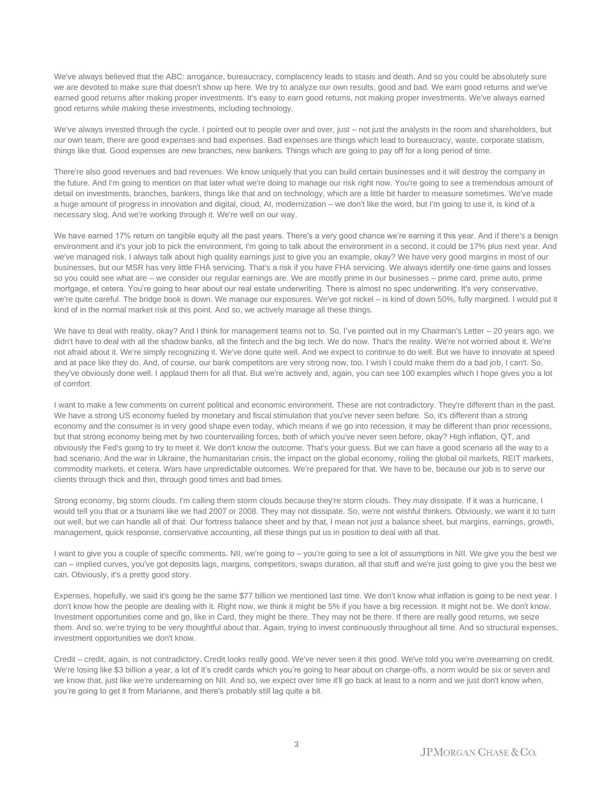We've always believed that the ABC: arrogance, bureaucracy, complacency leads to stasis and death. And so you could be absolutely sure we are devoted to make sure that doesn't show up here. We try to analyze our own results, good and bad. We earn good returns and we've earned good returns after making proper investments. It's easy to earn good returns, not making proper investments. We've always earned good returns while making these investments, including technology.

We've always invested through the cycle. I pointed out to people over and over, just – not just the analysts in the room and shareholders, but our own team, there are good expenses and bad expenses. Bad expenses are things which lead to bureaucracy, waste, corporate statism, things like that. Good expenses are new branches, new bankers. Things which are going to pay off for a long period of time.

There're also good revenues and bad revenues. We know uniquely that you can build certain businesses and it will destroy the company in the future. And I'm going to mention on that later what we're doing to manage our risk right now. You're going to see a tremendous amount of detail on investments, branches, bankers, things like that and on technology, which are a little bit harder to measure sometimes. We've made a huge amount of progress in innovation and digital, cloud, AI, modernization – we don't like the word, but I'm going to use it, is kind of a necessary slog. And we're working through it. We're well on our way.

We have earned 17% return on tangible equity all the past years. There's a very good chance we're earning it this year. And if there's a benign environment and it's your job to pick the environment, I'm going to talk about the environment in a second, it could be 17% plus next year. And we've managed risk. I always talk about high quality earnings just to give you an example, okay? We have very good margins in most of our businesses, but our MSR has very little FHA servicing. That's a risk if you have FHA servicing. We always identify one-time gains and losses so you could see what are – we consider our regular earnings are. We are mostly prime in our businesses – prime card, prime auto, prime mortgage, et cetera. You're going to hear about our real estate underwriting. There is almost no spec underwriting. It's very conservative, we're quite careful. The bridge book is down. We manage our exposures. We've got nickel – is kind of down 50%, fully margined. I would put it kind of in the normal market risk at this point. And so, we actively manage all these things.

We have to deal with reality, okay? And I think for management teams not to. So, I've pointed out in my Chairman's Letter - 20 years ago, we didn't have to deal with all the shadow banks, all the fintech and the big tech. We do now. That's the reality. We're not worried about it. We're not afraid about it. We're simply recognizing it. We've done quite well. And we expect to continue to do well. But we have to innovate at speed and at pace like they do. And, of course, our bank competitors are very strong now, too. I wish I could make them do a bad job, I can't. So, they've obviously done well. I applaud them for all that. But we're actively and, again, you can see 100 examples which I hope gives you a lot of comfort.

I want to make a few comments on current political and economic environment. These are not contradictory. They're different than in the past. We have a strong US economy fueled by monetary and fiscal stimulation that you've never seen before. So, it's different than a strong economy and the consumer is in very good shape even today, which means if we go into recession, it may be different than prior recessions, but that strong economy being met by two countervailing forces, both of which you've never seen before, okay? High inflation, QT, and obviously the Fed's going to try to meet it. We don't know the outcome. That's your guess. But we can have a good scenario all the way to a bad scenario. And the war in Ukraine, the humanitarian crisis, the impact on the global economy, roiling the global oil markets, REIT markets, commodity markets, et cetera. Wars have unpredictable outcomes. We're prepared for that. We have to be, because our job is to serve our clients through thick and thin, through good times and bad times.

Strong economy, big storm clouds. I'm calling them storm clouds because they're storm clouds. They may dissipate. If it was a hurricane, I would tell you that or a tsunami like we had 2007 or 2008. They may not dissipate. So, we're not wishful thinkers. Obviously, we want it to turn out well, but we can handle all of that. Our fortress balance sheet and by that, I mean not just a balance sheet, but margins, earnings, growth, management, quick response, conservative accounting, all these things put us in position to deal with all that.

I want to give you a couple of specific comments. NII, we're going to – you're going to see a lot of assumptions in NII. We give you the best we can – implied curves, you've got deposits lags, margins, competitors, swaps duration, all that stuff and we're just going to give you the best we can. Obviously, it's a pretty good story.

Expenses, hopefully, we said it's going be the same \$77 billion we mentioned last time. We don't know what inflation is going to be next year. I don't know how the people are dealing with it. Right now, we think it might be 5% if you have a big recession. It might not be. We don't know. Investment opportunities come and go, like in Card, they might be there. They may not be there. If there are really good returns, we seize them. And so, we're trying to be very thoughtful about that. Again, trying to invest continuously throughout all time. And so structural expenses, investment opportunities we don't know.

Credit – credit, again, is not contradictory. Credit looks really good. We've never seen it this good. We've told you we're overearning on credit. We're losing like \$3 billion a year, a lot of it's credit cards which you're going to hear about on charge-offs, a norm would be six or seven and we know that, just like we're underearning on NII. And so, we expect over time it'll go back at least to a norm and we just don't know when, you're going to get it from Marianne, and there's probably still lag quite a bit.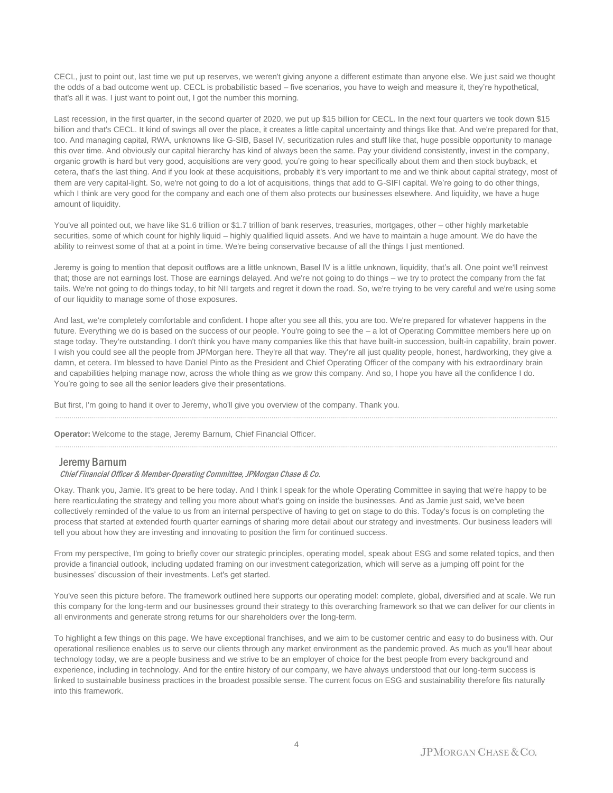CECL, just to point out, last time we put up reserves, we weren't giving anyone a different estimate than anyone else. We just said we thought the odds of a bad outcome went up. CECL is probabilistic based – five scenarios, you have to weigh and measure it, they're hypothetical, that's all it was. I just want to point out, I got the number this morning.

Last recession, in the first quarter, in the second quarter of 2020, we put up \$15 billion for CECL. In the next four quarters we took down \$15 billion and that's CECL. It kind of swings all over the place, it creates a little capital uncertainty and things like that. And we're prepared for that, too. And managing capital, RWA, unknowns like G-SIB, Basel IV, securitization rules and stuff like that, huge possible opportunity to manage this over time. And obviously our capital hierarchy has kind of always been the same. Pay your dividend consistently, invest in the company, organic growth is hard but very good, acquisitions are very good, you're going to hear specifically about them and then stock buyback, et cetera, that's the last thing. And if you look at these acquisitions, probably it's very important to me and we think about capital strategy, most of them are very capital-light. So, we're not going to do a lot of acquisitions, things that add to G-SIFI capital. We're going to do other things, which I think are very good for the company and each one of them also protects our businesses elsewhere. And liquidity, we have a huge amount of liquidity.

You've all pointed out, we have like \$1.6 trillion or \$1.7 trillion of bank reserves, treasuries, mortgages, other – other highly marketable securities, some of which count for highly liquid – highly qualified liquid assets. And we have to maintain a huge amount. We do have the ability to reinvest some of that at a point in time. We're being conservative because of all the things I just mentioned.

Jeremy is going to mention that deposit outflows are a little unknown, Basel IV is a little unknown, liquidity, that's all. One point we'll reinvest that; those are not earnings lost. Those are earnings delayed. And we're not going to do things – we try to protect the company from the fat tails. We're not going to do things today, to hit NII targets and regret it down the road. So, we're trying to be very careful and we're using some of our liquidity to manage some of those exposures.

And last, we're completely comfortable and confident. I hope after you see all this, you are too. We're prepared for whatever happens in the future. Everything we do is based on the success of our people. You're going to see the - a lot of Operating Committee members here up on stage today. They're outstanding. I don't think you have many companies like this that have built-in succession, built-in capability, brain power. I wish you could see all the people from JPMorgan here. They're all that way. They're all just quality people, honest, hardworking, they give a damn, et cetera. I'm blessed to have Daniel Pinto as the President and Chief Operating Officer of the company with his extraordinary brain and capabilities helping manage now, across the whole thing as we grow this company. And so, I hope you have all the confidence I do. You're going to see all the senior leaders give their presentations.

......................................................................................................................................................................................................................................................

......................................................................................................................................................................................................................................................

But first, I'm going to hand it over to Jeremy, who'll give you overview of the company. Thank you.

**Operator:** Welcome to the stage, Jeremy Barnum, Chief Financial Officer.

#### Jeremy Barnum

#### Chief Financial Officer & Member-Operating Committee, JPMorgan Chase & Co.

Okay. Thank you, Jamie. It's great to be here today. And I think I speak for the whole Operating Committee in saying that we're happy to be here rearticulating the strategy and telling you more about what's going on inside the businesses. And as Jamie just said, we've been collectively reminded of the value to us from an internal perspective of having to get on stage to do this. Today's focus is on completing the process that started at extended fourth quarter earnings of sharing more detail about our strategy and investments. Our business leaders will tell you about how they are investing and innovating to position the firm for continued success.

From my perspective, I'm going to briefly cover our strategic principles, operating model, speak about ESG and some related topics, and then provide a financial outlook, including updated framing on our investment categorization, which will serve as a jumping off point for the businesses' discussion of their investments. Let's get started.

You've seen this picture before. The framework outlined here supports our operating model: complete, global, diversified and at scale. We run this company for the long-term and our businesses ground their strategy to this overarching framework so that we can deliver for our clients in all environments and generate strong returns for our shareholders over the long-term.

To highlight a few things on this page. We have exceptional franchises, and we aim to be customer centric and easy to do business with. Our operational resilience enables us to serve our clients through any market environment as the pandemic proved. As much as you'll hear about technology today, we are a people business and we strive to be an employer of choice for the best people from every background and experience, including in technology. And for the entire history of our company, we have always understood that our long-term success is linked to sustainable business practices in the broadest possible sense. The current focus on ESG and sustainability therefore fits naturally into this framework.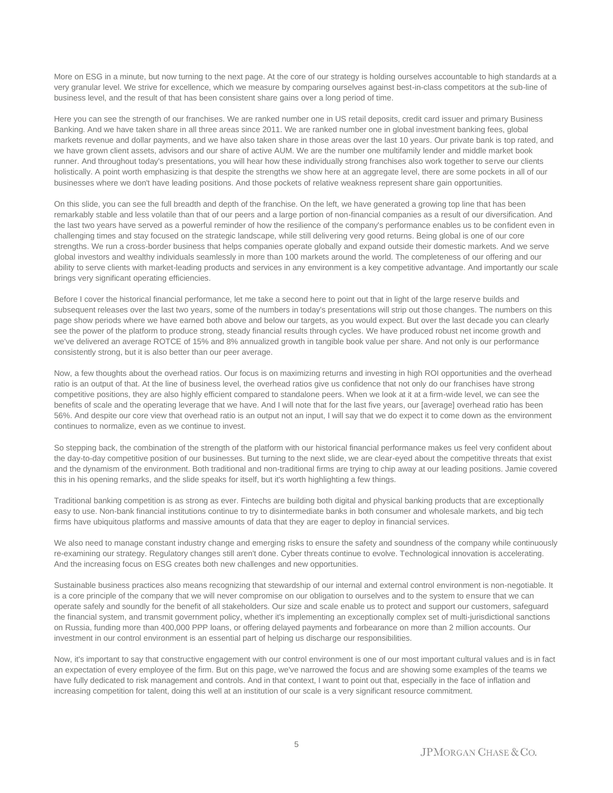More on ESG in a minute, but now turning to the next page. At the core of our strategy is holding ourselves accountable to high standards at a very granular level. We strive for excellence, which we measure by comparing ourselves against best-in-class competitors at the sub-line of business level, and the result of that has been consistent share gains over a long period of time.

Here you can see the strength of our franchises. We are ranked number one in US retail deposits, credit card issuer and primary Business Banking. And we have taken share in all three areas since 2011. We are ranked number one in global investment banking fees, global markets revenue and dollar payments, and we have also taken share in those areas over the last 10 years. Our private bank is top rated, and we have grown client assets, advisors and our share of active AUM. We are the number one multifamily lender and middle market book runner. And throughout today's presentations, you will hear how these individually strong franchises also work together to serve our clients holistically. A point worth emphasizing is that despite the strengths we show here at an aggregate level, there are some pockets in all of our businesses where we don't have leading positions. And those pockets of relative weakness represent share gain opportunities.

On this slide, you can see the full breadth and depth of the franchise. On the left, we have generated a growing top line that has been remarkably stable and less volatile than that of our peers and a large portion of non-financial companies as a result of our diversification. And the last two years have served as a powerful reminder of how the resilience of the company's performance enables us to be confident even in challenging times and stay focused on the strategic landscape, while still delivering very good returns. Being global is one of our core strengths. We run a cross-border business that helps companies operate globally and expand outside their domestic markets. And we serve global investors and wealthy individuals seamlessly in more than 100 markets around the world. The completeness of our offering and our ability to serve clients with market-leading products and services in any environment is a key competitive advantage. And importantly our scale brings very significant operating efficiencies.

Before I cover the historical financial performance, let me take a second here to point out that in light of the large reserve builds and subsequent releases over the last two years, some of the numbers in today's presentations will strip out those changes. The numbers on this page show periods where we have earned both above and below our targets, as you would expect. But over the last decade you can clearly see the power of the platform to produce strong, steady financial results through cycles. We have produced robust net income growth and we've delivered an average ROTCE of 15% and 8% annualized growth in tangible book value per share. And not only is our performance consistently strong, but it is also better than our peer average.

Now, a few thoughts about the overhead ratios. Our focus is on maximizing returns and investing in high ROI opportunities and the overhead ratio is an output of that. At the line of business level, the overhead ratios give us confidence that not only do our franchises have strong competitive positions, they are also highly efficient compared to standalone peers. When we look at it at a firm-wide level, we can see the benefits of scale and the operating leverage that we have. And I will note that for the last five years, our [average] overhead ratio has been 56%. And despite our core view that overhead ratio is an output not an input, I will say that we do expect it to come down as the environment continues to normalize, even as we continue to invest.

So stepping back, the combination of the strength of the platform with our historical financial performance makes us feel very confident about the day-to-day competitive position of our businesses. But turning to the next slide, we are clear-eyed about the competitive threats that exist and the dynamism of the environment. Both traditional and non-traditional firms are trying to chip away at our leading positions. Jamie covered this in his opening remarks, and the slide speaks for itself, but it's worth highlighting a few things.

Traditional banking competition is as strong as ever. Fintechs are building both digital and physical banking products that are exceptionally easy to use. Non-bank financial institutions continue to try to disintermediate banks in both consumer and wholesale markets, and big tech firms have ubiquitous platforms and massive amounts of data that they are eager to deploy in financial services.

We also need to manage constant industry change and emerging risks to ensure the safety and soundness of the company while continuously re-examining our strategy. Regulatory changes still aren't done. Cyber threats continue to evolve. Technological innovation is accelerating. And the increasing focus on ESG creates both new challenges and new opportunities.

Sustainable business practices also means recognizing that stewardship of our internal and external control environment is non-negotiable. It is a core principle of the company that we will never compromise on our obligation to ourselves and to the system to ensure that we can operate safely and soundly for the benefit of all stakeholders. Our size and scale enable us to protect and support our customers, safeguard the financial system, and transmit government policy, whether it's implementing an exceptionally complex set of multi-jurisdictional sanctions on Russia, funding more than 400,000 PPP loans, or offering delayed payments and forbearance on more than 2 million accounts. Our investment in our control environment is an essential part of helping us discharge our responsibilities.

Now, it's important to say that constructive engagement with our control environment is one of our most important cultural values and is in fact an expectation of every employee of the firm. But on this page, we've narrowed the focus and are showing some examples of the teams we have fully dedicated to risk management and controls. And in that context, I want to point out that, especially in the face of inflation and increasing competition for talent, doing this well at an institution of our scale is a very significant resource commitment.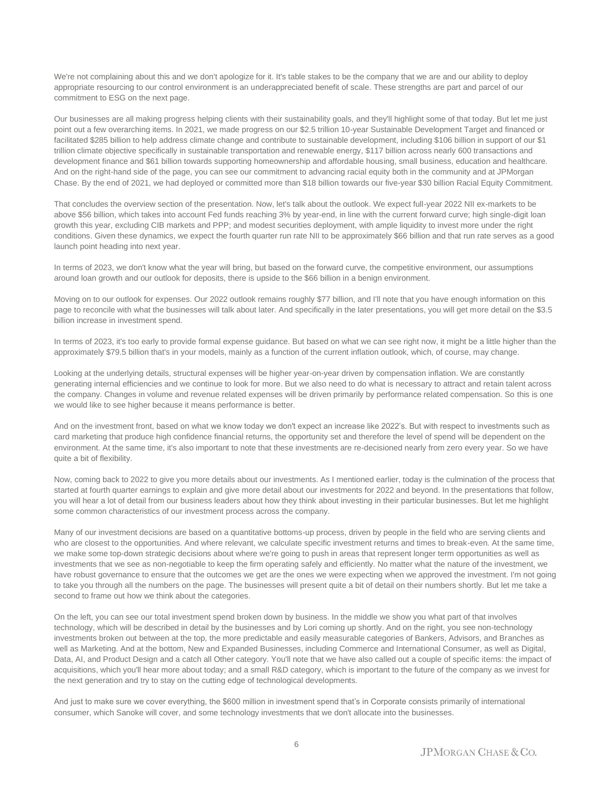We're not complaining about this and we don't apologize for it. It's table stakes to be the company that we are and our ability to deploy appropriate resourcing to our control environment is an underappreciated benefit of scale. These strengths are part and parcel of our commitment to ESG on the next page.

Our businesses are all making progress helping clients with their sustainability goals, and they'll highlight some of that today. But let me just point out a few overarching items. In 2021, we made progress on our \$2.5 trillion 10-year Sustainable Development Target and financed or facilitated \$285 billion to help address climate change and contribute to sustainable development, including \$106 billion in support of our \$1 trillion climate objective specifically in sustainable transportation and renewable energy, \$117 billion across nearly 600 transactions and development finance and \$61 billion towards supporting homeownership and affordable housing, small business, education and healthcare. And on the right-hand side of the page, you can see our commitment to advancing racial equity both in the community and at JPMorgan Chase. By the end of 2021, we had deployed or committed more than \$18 billion towards our five-year \$30 billion Racial Equity Commitment.

That concludes the overview section of the presentation. Now, let's talk about the outlook. We expect full-year 2022 NII ex-markets to be above \$56 billion, which takes into account Fed funds reaching 3% by year-end, in line with the current forward curve; high single-digit loan growth this year, excluding CIB markets and PPP; and modest securities deployment, with ample liquidity to invest more under the right conditions. Given these dynamics, we expect the fourth quarter run rate NII to be approximately \$66 billion and that run rate serves as a good launch point heading into next year.

In terms of 2023, we don't know what the year will bring, but based on the forward curve, the competitive environment, our assumptions around loan growth and our outlook for deposits, there is upside to the \$66 billion in a benign environment.

Moving on to our outlook for expenses. Our 2022 outlook remains roughly \$77 billion, and I'll note that you have enough information on this page to reconcile with what the businesses will talk about later. And specifically in the later presentations, you will get more detail on the \$3.5 billion increase in investment spend.

In terms of 2023, it's too early to provide formal expense guidance. But based on what we can see right now, it might be a little higher than the approximately \$79.5 billion that's in your models, mainly as a function of the current inflation outlook, which, of course, may change.

Looking at the underlying details, structural expenses will be higher year-on-year driven by compensation inflation. We are constantly generating internal efficiencies and we continue to look for more. But we also need to do what is necessary to attract and retain talent across the company. Changes in volume and revenue related expenses will be driven primarily by performance related compensation. So this is one we would like to see higher because it means performance is better.

And on the investment front, based on what we know today we don't expect an increase like 2022's. But with respect to investments such as card marketing that produce high confidence financial returns, the opportunity set and therefore the level of spend will be dependent on the environment. At the same time, it's also important to note that these investments are re-decisioned nearly from zero every year. So we have quite a bit of flexibility.

Now, coming back to 2022 to give you more details about our investments. As I mentioned earlier, today is the culmination of the process that started at fourth quarter earnings to explain and give more detail about our investments for 2022 and beyond. In the presentations that follow, you will hear a lot of detail from our business leaders about how they think about investing in their particular businesses. But let me highlight some common characteristics of our investment process across the company.

Many of our investment decisions are based on a quantitative bottoms-up process, driven by people in the field who are serving clients and who are closest to the opportunities. And where relevant, we calculate specific investment returns and times to break-even. At the same time, we make some top-down strategic decisions about where we're going to push in areas that represent longer term opportunities as well as investments that we see as non-negotiable to keep the firm operating safely and efficiently. No matter what the nature of the investment, we have robust governance to ensure that the outcomes we get are the ones we were expecting when we approved the investment. I'm not going to take you through all the numbers on the page. The businesses will present quite a bit of detail on their numbers shortly. But let me take a second to frame out how we think about the categories.

On the left, you can see our total investment spend broken down by business. In the middle we show you what part of that involves technology, which will be described in detail by the businesses and by Lori coming up shortly. And on the right, you see non-technology investments broken out between at the top, the more predictable and easily measurable categories of Bankers, Advisors, and Branches as well as Marketing. And at the bottom, New and Expanded Businesses, including Commerce and International Consumer, as well as Digital, Data, AI, and Product Design and a catch all Other category. You'll note that we have also called out a couple of specific items: the impact of acquisitions, which you'll hear more about today; and a small R&D category, which is important to the future of the company as we invest for the next generation and try to stay on the cutting edge of technological developments.

And just to make sure we cover everything, the \$600 million in investment spend that's in Corporate consists primarily of international consumer, which Sanoke will cover, and some technology investments that we don't allocate into the businesses.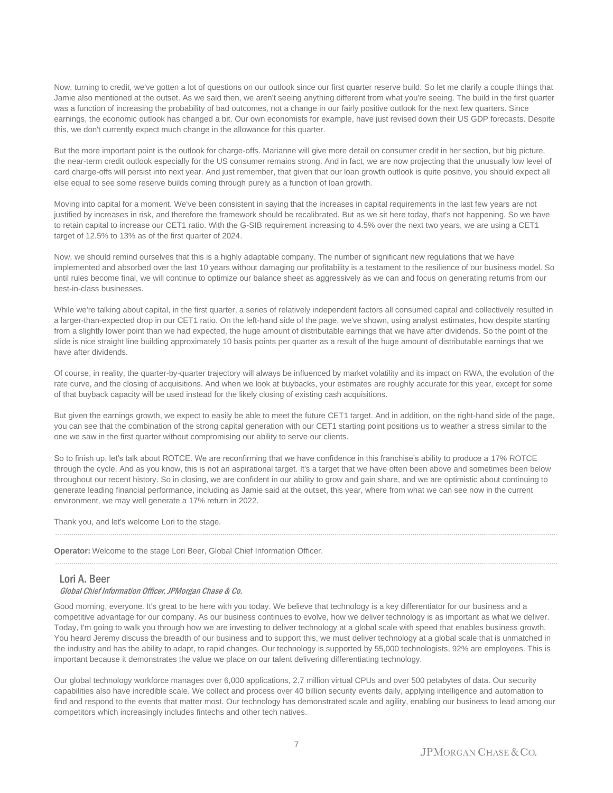Now, turning to credit, we've gotten a lot of questions on our outlook since our first quarter reserve build. So let me clarify a couple things that Jamie also mentioned at the outset. As we said then, we aren't seeing anything different from what you're seeing. The build in the first quarter was a function of increasing the probability of bad outcomes, not a change in our fairly positive outlook for the next few quarters. Since earnings, the economic outlook has changed a bit. Our own economists for example, have just revised down their US GDP forecasts. Despite this, we don't currently expect much change in the allowance for this quarter.

But the more important point is the outlook for charge-offs. Marianne will give more detail on consumer credit in her section, but big picture, the near-term credit outlook especially for the US consumer remains strong. And in fact, we are now projecting that the unusually low level of card charge-offs will persist into next year. And just remember, that given that our loan growth outlook is quite positive, you should expect all else equal to see some reserve builds coming through purely as a function of loan growth.

Moving into capital for a moment. We've been consistent in saying that the increases in capital requirements in the last few years are not justified by increases in risk, and therefore the framework should be recalibrated. But as we sit here today, that's not happening. So we have to retain capital to increase our CET1 ratio. With the G-SIB requirement increasing to 4.5% over the next two years, we are using a CET1 target of 12.5% to 13% as of the first quarter of 2024.

Now, we should remind ourselves that this is a highly adaptable company. The number of significant new regulations that we have implemented and absorbed over the last 10 years without damaging our profitability is a testament to the resilience of our business model. So until rules become final, we will continue to optimize our balance sheet as aggressively as we can and focus on generating returns from our best-in-class businesses.

While we're talking about capital, in the first quarter, a series of relatively independent factors all consumed capital and collectively resulted in a larger-than-expected drop in our CET1 ratio. On the left-hand side of the page, we've shown, using analyst estimates, how despite starting from a slightly lower point than we had expected, the huge amount of distributable earnings that we have after dividends. So the point of the slide is nice straight line building approximately 10 basis points per quarter as a result of the huge amount of distributable earnings that we have after dividends.

Of course, in reality, the quarter-by-quarter trajectory will always be influenced by market volatility and its impact on RWA, the evolution of the rate curve, and the closing of acquisitions. And when we look at buybacks, your estimates are roughly accurate for this year, except for some of that buyback capacity will be used instead for the likely closing of existing cash acquisitions.

But given the earnings growth, we expect to easily be able to meet the future CET1 target. And in addition, on the right-hand side of the page, you can see that the combination of the strong capital generation with our CET1 starting point positions us to weather a stress similar to the one we saw in the first quarter without compromising our ability to serve our clients.

So to finish up, let's talk about ROTCE. We are reconfirming that we have confidence in this franchise's ability to produce a 17% ROTCE through the cycle. And as you know, this is not an aspirational target. It's a target that we have often been above and sometimes been below throughout our recent history. So in closing, we are confident in our ability to grow and gain share, and we are optimistic about continuing to generate leading financial performance, including as Jamie said at the outset, this year, where from what we can see now in the current environment, we may well generate a 17% return in 2022.

......................................................................................................................................................................................................................................................

......................................................................................................................................................................................................................................................

Thank you, and let's welcome Lori to the stage.

**Operator:** Welcome to the stage Lori Beer, Global Chief Information Officer.

#### Lori A. Beer

#### Global Chief Information Officer, JPMorgan Chase & Co.

Good morning, everyone. It's great to be here with you today. We believe that technology is a key differentiator for our business and a competitive advantage for our company. As our business continues to evolve, how we deliver technology is as important as what we deliver. Today, I'm going to walk you through how we are investing to deliver technology at a global scale with speed that enables business growth. You heard Jeremy discuss the breadth of our business and to support this, we must deliver technology at a global scale that is unmatched in the industry and has the ability to adapt, to rapid changes. Our technology is supported by 55,000 technologists, 92% are employees. This is important because it demonstrates the value we place on our talent delivering differentiating technology.

Our global technology workforce manages over 6,000 applications, 2.7 million virtual CPUs and over 500 petabytes of data. Our security capabilities also have incredible scale. We collect and process over 40 billion security events daily, applying intelligence and automation to find and respond to the events that matter most. Our technology has demonstrated scale and agility, enabling our business to lead among our competitors which increasingly includes fintechs and other tech natives.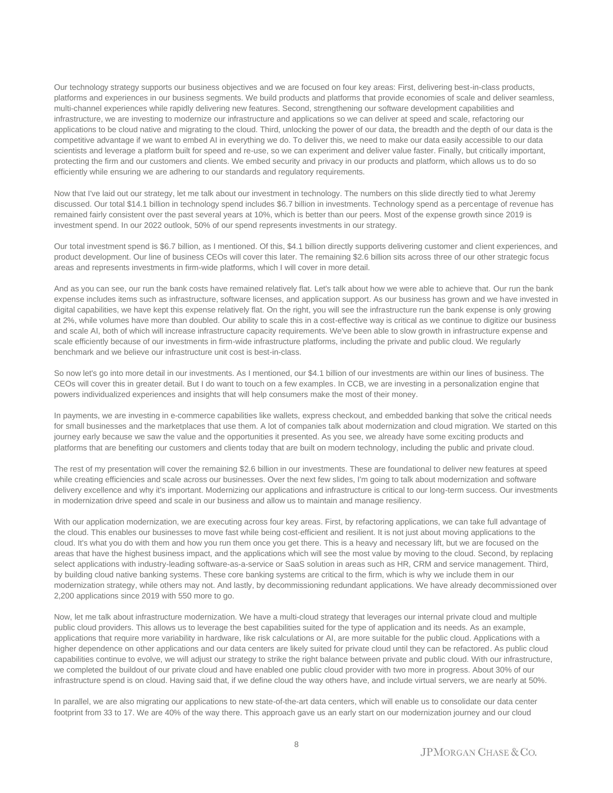Our technology strategy supports our business objectives and we are focused on four key areas: First, delivering best-in-class products, platforms and experiences in our business segments. We build products and platforms that provide economies of scale and deliver seamless, multi-channel experiences while rapidly delivering new features. Second, strengthening our software development capabilities and infrastructure, we are investing to modernize our infrastructure and applications so we can deliver at speed and scale, refactoring our applications to be cloud native and migrating to the cloud. Third, unlocking the power of our data, the breadth and the depth of our data is the competitive advantage if we want to embed AI in everything we do. To deliver this, we need to make our data easily accessible to our data scientists and leverage a platform built for speed and re-use, so we can experiment and deliver value faster. Finally, but critically important, protecting the firm and our customers and clients. We embed security and privacy in our products and platform, which allows us to do so efficiently while ensuring we are adhering to our standards and regulatory requirements.

Now that I've laid out our strategy, let me talk about our investment in technology. The numbers on this slide directly tied to what Jeremy discussed. Our total \$14.1 billion in technology spend includes \$6.7 billion in investments. Technology spend as a percentage of revenue has remained fairly consistent over the past several years at 10%, which is better than our peers. Most of the expense growth since 2019 is investment spend. In our 2022 outlook, 50% of our spend represents investments in our strategy.

Our total investment spend is \$6.7 billion, as I mentioned. Of this, \$4.1 billion directly supports delivering customer and client experiences, and product development. Our line of business CEOs will cover this later. The remaining \$2.6 billion sits across three of our other strategic focus areas and represents investments in firm-wide platforms, which I will cover in more detail.

And as you can see, our run the bank costs have remained relatively flat. Let's talk about how we were able to achieve that. Our run the bank expense includes items such as infrastructure, software licenses, and application support. As our business has grown and we have invested in digital capabilities, we have kept this expense relatively flat. On the right, you will see the infrastructure run the bank expense is only growing at 2%, while volumes have more than doubled. Our ability to scale this in a cost-effective way is critical as we continue to digitize our business and scale AI, both of which will increase infrastructure capacity requirements. We've been able to slow growth in infrastructure expense and scale efficiently because of our investments in firm-wide infrastructure platforms, including the private and public cloud. We regularly benchmark and we believe our infrastructure unit cost is best-in-class.

So now let's go into more detail in our investments. As I mentioned, our \$4.1 billion of our investments are within our lines of business. The CEOs will cover this in greater detail. But I do want to touch on a few examples. In CCB, we are investing in a personalization engine that powers individualized experiences and insights that will help consumers make the most of their money.

In payments, we are investing in e-commerce capabilities like wallets, express checkout, and embedded banking that solve the critical needs for small businesses and the marketplaces that use them. A lot of companies talk about modernization and cloud migration. We started on this journey early because we saw the value and the opportunities it presented. As you see, we already have some exciting products and platforms that are benefiting our customers and clients today that are built on modern technology, including the public and private cloud.

The rest of my presentation will cover the remaining \$2.6 billion in our investments. These are foundational to deliver new features at speed while creating efficiencies and scale across our businesses. Over the next few slides, I'm going to talk about modernization and software delivery excellence and why it's important. Modernizing our applications and infrastructure is critical to our long-term success. Our investments in modernization drive speed and scale in our business and allow us to maintain and manage resiliency.

With our application modernization, we are executing across four key areas. First, by refactoring applications, we can take full advantage of the cloud. This enables our businesses to move fast while being cost-efficient and resilient. It is not just about moving applications to the cloud. It's what you do with them and how you run them once you get there. This is a heavy and necessary lift, but we are focused on the areas that have the highest business impact, and the applications which will see the most value by moving to the cloud. Second, by replacing select applications with industry-leading software-as-a-service or SaaS solution in areas such as HR, CRM and service management. Third, by building cloud native banking systems. These core banking systems are critical to the firm, which is why we include them in our modernization strategy, while others may not. And lastly, by decommissioning redundant applications. We have already decommissioned over 2,200 applications since 2019 with 550 more to go.

Now, let me talk about infrastructure modernization. We have a multi-cloud strategy that leverages our internal private cloud and multiple public cloud providers. This allows us to leverage the best capabilities suited for the type of application and its needs. As an example, applications that require more variability in hardware, like risk calculations or AI, are more suitable for the public cloud. Applications with a higher dependence on other applications and our data centers are likely suited for private cloud until they can be refactored. As public cloud capabilities continue to evolve, we will adjust our strategy to strike the right balance between private and public cloud. With our infrastructure, we completed the buildout of our private cloud and have enabled one public cloud provider with two more in progress. About 30% of our infrastructure spend is on cloud. Having said that, if we define cloud the way others have, and include virtual servers, we are nearly at 50%.

In parallel, we are also migrating our applications to new state-of-the-art data centers, which will enable us to consolidate our data center footprint from 33 to 17. We are 40% of the way there. This approach gave us an early start on our modernization journey and our cloud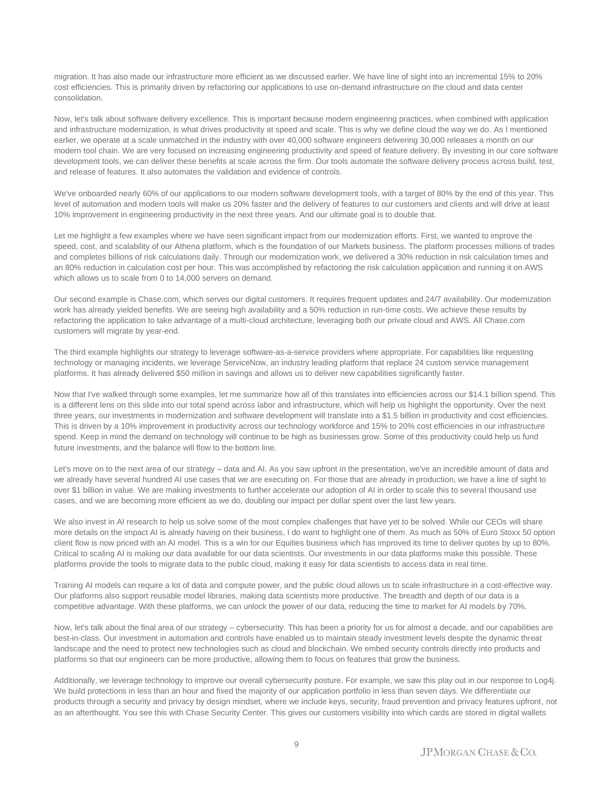migration. It has also made our infrastructure more efficient as we discussed earlier. We have line of sight into an incremental 15% to 20% cost efficiencies. This is primarily driven by refactoring our applications to use on-demand infrastructure on the cloud and data center consolidation.

Now, let's talk about software delivery excellence. This is important because modern engineering practices, when combined with application and infrastructure modernization, is what drives productivity at speed and scale. This is why we define cloud the way we do. As I mentioned earlier, we operate at a scale unmatched in the industry with over 40,000 software engineers delivering 30,000 releases a month on our modern tool chain. We are very focused on increasing engineering productivity and speed of feature delivery. By investing in our core software development tools, we can deliver these benefits at scale across the firm. Our tools automate the software delivery process across build, test, and release of features. It also automates the validation and evidence of controls.

We've onboarded nearly 60% of our applications to our modern software development tools, with a target of 80% by the end of this year. This level of automation and modern tools will make us 20% faster and the delivery of features to our customers and clients and will drive at least 10% improvement in engineering productivity in the next three years. And our ultimate goal is to double that.

Let me highlight a few examples where we have seen significant impact from our modernization efforts. First, we wanted to improve the speed, cost, and scalability of our Athena platform, which is the foundation of our Markets business. The platform processes millions of trades and completes billions of risk calculations daily. Through our modernization work, we delivered a 30% reduction in risk calculation times and an 80% reduction in calculation cost per hour. This was accomplished by refactoring the risk calculation application and running it on AWS which allows us to scale from 0 to 14,000 servers on demand.

Our second example is Chase.com, which serves our digital customers. It requires frequent updates and 24/7 availability. Our modernization work has already yielded benefits. We are seeing high availability and a 50% reduction in run-time costs. We achieve these results by refactoring the application to take advantage of a multi-cloud architecture, leveraging both our private cloud and AWS. All Chase.com customers will migrate by year-end.

The third example highlights our strategy to leverage software-as-a-service providers where appropriate. For capabilities like requesting technology or managing incidents, we leverage ServiceNow, an industry leading platform that replace 24 custom service management platforms. It has already delivered \$50 million in savings and allows us to deliver new capabilities significantly faster.

Now that I've walked through some examples, let me summarize how all of this translates into efficiencies across our \$14.1 billion spend. This is a different lens on this slide into our total spend across labor and infrastructure, which will help us highlight the opportunity. Over the next three years, our investments in modernization and software development will translate into a \$1.5 billion in productivity and cost efficiencies. This is driven by a 10% improvement in productivity across our technology workforce and 15% to 20% cost efficiencies in our infrastructure spend. Keep in mind the demand on technology will continue to be high as businesses grow. Some of this productivity could help us fund future investments, and the balance will flow to the bottom line.

Let's move on to the next area of our strategy – data and AI. As you saw upfront in the presentation, we've an incredible amount of data and we already have several hundred AI use cases that we are executing on. For those that are already in production, we have a line of sight to over \$1 billion in value. We are making investments to further accelerate our adoption of AI in order to scale this to several thousand use cases, and we are becoming more efficient as we do, doubling our impact per dollar spent over the last few years.

We also invest in AI research to help us solve some of the most complex challenges that have yet to be solved. While our CEOs will share more details on the impact AI is already having on their business, I do want to highlight one of them. As much as 50% of Euro Stoxx 50 option client flow is now priced with an AI model. This is a win for our Equities business which has improved its time to deliver quotes by up to 80%. Critical to scaling AI is making our data available for our data scientists. Our investments in our data platforms make this possible. These platforms provide the tools to migrate data to the public cloud, making it easy for data scientists to access data in real time.

Training AI models can require a lot of data and compute power, and the public cloud allows us to scale infrastructure in a cost-effective way. Our platforms also support reusable model libraries, making data scientists more productive. The breadth and depth of our data is a competitive advantage. With these platforms, we can unlock the power of our data, reducing the time to market for AI models by 70%.

Now, let's talk about the final area of our strategy – cybersecurity. This has been a priority for us for almost a decade, and our capabilities are best-in-class. Our investment in automation and controls have enabled us to maintain steady investment levels despite the dynamic threat landscape and the need to protect new technologies such as cloud and blockchain. We embed security controls directly into products and platforms so that our engineers can be more productive, allowing them to focus on features that grow the business.

Additionally, we leverage technology to improve our overall cybersecurity posture. For example, we saw this play out in our response to Log4j. We build protections in less than an hour and fixed the majority of our application portfolio in less than seven days. We differentiate our products through a security and privacy by design mindset, where we include keys, security, fraud prevention and privacy features upfront, not as an afterthought. You see this with Chase Security Center. This gives our customers visibility into which cards are stored in digital wallets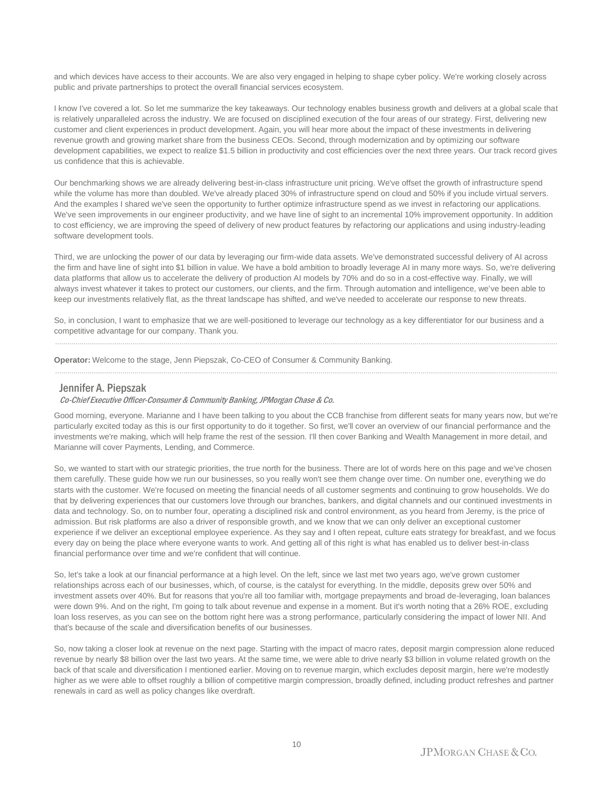and which devices have access to their accounts. We are also very engaged in helping to shape cyber policy. We're working closely across public and private partnerships to protect the overall financial services ecosystem.

I know I've covered a lot. So let me summarize the key takeaways. Our technology enables business growth and delivers at a global scale that is relatively unparalleled across the industry. We are focused on disciplined execution of the four areas of our strategy. First, delivering new customer and client experiences in product development. Again, you will hear more about the impact of these investments in delivering revenue growth and growing market share from the business CEOs. Second, through modernization and by optimizing our software development capabilities, we expect to realize \$1.5 billion in productivity and cost efficiencies over the next three years. Our track record gives us confidence that this is achievable.

Our benchmarking shows we are already delivering best-in-class infrastructure unit pricing. We've offset the growth of infrastructure spend while the volume has more than doubled. We've already placed 30% of infrastructure spend on cloud and 50% if you include virtual servers. And the examples I shared we've seen the opportunity to further optimize infrastructure spend as we invest in refactoring our applications. We've seen improvements in our engineer productivity, and we have line of sight to an incremental 10% improvement opportunity. In addition to cost efficiency, we are improving the speed of delivery of new product features by refactoring our applications and using industry-leading software development tools.

Third, we are unlocking the power of our data by leveraging our firm-wide data assets. We've demonstrated successful delivery of AI across the firm and have line of sight into \$1 billion in value. We have a bold ambition to broadly leverage AI in many more ways. So, we're delivering data platforms that allow us to accelerate the delivery of production AI models by 70% and do so in a cost-effective way. Finally, we will always invest whatever it takes to protect our customers, our clients, and the firm. Through automation and intelligence, we've been able to keep our investments relatively flat, as the threat landscape has shifted, and we've needed to accelerate our response to new threats.

So, in conclusion, I want to emphasize that we are well-positioned to leverage our technology as a key differentiator for our business and a competitive advantage for our company. Thank you.

......................................................................................................................................................................................................................................................

......................................................................................................................................................................................................................................................

**Operator:** Welcome to the stage, Jenn Piepszak, Co-CEO of Consumer & Community Banking.

#### Jennifer A. Piepszak

#### Co-Chief Executive Officer-Consumer & Community Banking, JPMorgan Chase & Co.

Good morning, everyone. Marianne and I have been talking to you about the CCB franchise from different seats for many years now, but we're particularly excited today as this is our first opportunity to do it together. So first, we'll cover an overview of our financial performance and the investments we're making, which will help frame the rest of the session. I'll then cover Banking and Wealth Management in more detail, and Marianne will cover Payments, Lending, and Commerce.

So, we wanted to start with our strategic priorities, the true north for the business. There are lot of words here on this page and we've chosen them carefully. These guide how we run our businesses, so you really won't see them change over time. On number one, everything we do starts with the customer. We're focused on meeting the financial needs of all customer segments and continuing to grow households. We do that by delivering experiences that our customers love through our branches, bankers, and digital channels and our continued investments in data and technology. So, on to number four, operating a disciplined risk and control environment, as you heard from Jeremy, is the price of admission. But risk platforms are also a driver of responsible growth, and we know that we can only deliver an exceptional customer experience if we deliver an exceptional employee experience. As they say and I often repeat, culture eats strategy for breakfast, and we focus every day on being the place where everyone wants to work. And getting all of this right is what has enabled us to deliver best-in-class financial performance over time and we're confident that will continue.

So, let's take a look at our financial performance at a high level. On the left, since we last met two years ago, we've grown customer relationships across each of our businesses, which, of course, is the catalyst for everything. In the middle, deposits grew over 50% and investment assets over 40%. But for reasons that you're all too familiar with, mortgage prepayments and broad de-leveraging, loan balances were down 9%. And on the right, I'm going to talk about revenue and expense in a moment. But it's worth noting that a 26% ROE, excluding loan loss reserves, as you can see on the bottom right here was a strong performance, particularly considering the impact of lower NII. And that's because of the scale and diversification benefits of our businesses.

So, now taking a closer look at revenue on the next page. Starting with the impact of macro rates, deposit margin compression alone reduced revenue by nearly \$8 billion over the last two years. At the same time, we were able to drive nearly \$3 billion in volume related growth on the back of that scale and diversification I mentioned earlier. Moving on to revenue margin, which excludes deposit margin, here we're modestly higher as we were able to offset roughly a billion of competitive margin compression, broadly defined, including product refreshes and partner renewals in card as well as policy changes like overdraft.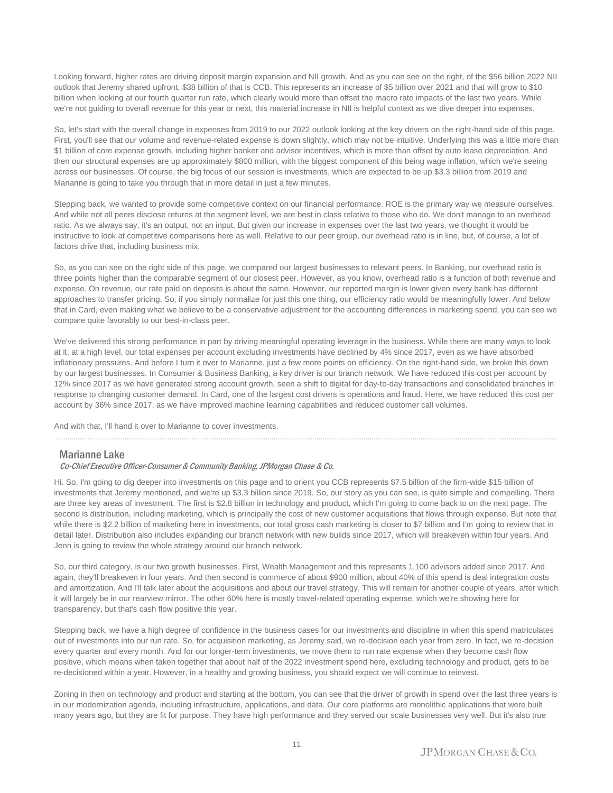Looking forward, higher rates are driving deposit margin expansion and NII growth. And as you can see on the right, of the \$56 billion 2022 NII outlook that Jeremy shared upfront, \$38 billion of that is CCB. This represents an increase of \$5 billion over 2021 and that will grow to \$10 billion when looking at our fourth quarter run rate, which clearly would more than offset the macro rate impacts of the last two years. While we're not guiding to overall revenue for this year or next, this material increase in NII is helpful context as we dive deeper into expenses.

So, let's start with the overall change in expenses from 2019 to our 2022 outlook looking at the key drivers on the right-hand side of this page. First, you'll see that our volume and revenue-related expense is down slightly, which may not be intuitive. Underlying this was a little more than \$1 billion of core expense growth, including higher banker and advisor incentives, which is more than offset by auto lease depreciation. And then our structural expenses are up approximately \$800 million, with the biggest component of this being wage inflation, which we're seeing across our businesses. Of course, the big focus of our session is investments, which are expected to be up \$3.3 billion from 2019 and Marianne is going to take you through that in more detail in just a few minutes.

Stepping back, we wanted to provide some competitive context on our financial performance. ROE is the primary way we measure ourselves. And while not all peers disclose returns at the segment level, we are best in class relative to those who do. We don't manage to an overhead ratio. As we always say, it's an output, not an input. But given our increase in expenses over the last two years, we thought it would be instructive to look at competitive comparisons here as well. Relative to our peer group, our overhead ratio is in line, but, of course, a lot of factors drive that, including business mix.

So, as you can see on the right side of this page, we compared our largest businesses to relevant peers. In Banking, our overhead ratio is three points higher than the comparable segment of our closest peer. However, as you know, overhead ratio is a function of both revenue and expense. On revenue, our rate paid on deposits is about the same. However, our reported margin is lower given every bank has different approaches to transfer pricing. So, if you simply normalize for just this one thing, our efficiency ratio would be meaningfully lower. And below that in Card, even making what we believe to be a conservative adjustment for the accounting differences in marketing spend, you can see we compare quite favorably to our best-in-class peer.

We've delivered this strong performance in part by driving meaningful operating leverage in the business. While there are many ways to look at it, at a high level, our total expenses per account excluding investments have declined by 4% since 2017, even as we have absorbed inflationary pressures. And before I turn it over to Marianne, just a few more points on efficiency. On the right-hand side, we broke this down by our largest businesses. In Consumer & Business Banking, a key driver is our branch network. We have reduced this cost per account by 12% since 2017 as we have generated strong account growth, seen a shift to digital for day-to-day transactions and consolidated branches in response to changing customer demand. In Card, one of the largest cost drivers is operations and fraud. Here, we have reduced this cost per account by 36% since 2017, as we have improved machine learning capabilities and reduced customer call volumes.

......................................................................................................................................................................................................................................................

And with that, I'll hand it over to Marianne to cover investments.

### Marianne Lake

#### Co-Chief Executive Officer-Consumer & Community Banking, JPMorgan Chase & Co.

Hi. So, I'm going to dig deeper into investments on this page and to orient you CCB represents \$7.5 billion of the firm-wide \$15 billion of investments that Jeremy mentioned, and we're up \$3.3 billion since 2019. So, our story as you can see, is quite simple and compelling. There are three key areas of investment. The first is \$2.8 billion in technology and product, which I'm going to come back to on the next page. The second is distribution, including marketing, which is principally the cost of new customer acquisitions that flows through expense. But note that while there is \$2.2 billion of marketing here in investments, our total gross cash marketing is closer to \$7 billion and I'm going to review that in detail later. Distribution also includes expanding our branch network with new builds since 2017, which will breakeven within four years. And Jenn is going to review the whole strategy around our branch network.

So, our third category, is our two growth businesses. First, Wealth Management and this represents 1,100 advisors added since 2017. And again, they'll breakeven in four years. And then second is commerce of about \$900 million, about 40% of this spend is deal integration costs and amortization. And I'll talk later about the acquisitions and about our travel strategy. This will remain for another couple of years, after which it will largely be in our rearview mirror. The other 60% here is mostly travel-related operating expense, which we're showing here for transparency, but that's cash flow positive this year.

Stepping back, we have a high degree of confidence in the business cases for our investments and discipline in when this spend matriculates out of investments into our run rate. So, for acquisition marketing, as Jeremy said, we re-decision each year from zero. In fact, we re-decision every quarter and every month. And for our longer-term investments, we move them to run rate expense when they become cash flow positive, which means when taken together that about half of the 2022 investment spend here, excluding technology and product, gets to be re-decisioned within a year. However, in a healthy and growing business, you should expect we will continue to reinvest.

Zoning in then on technology and product and starting at the bottom, you can see that the driver of growth in spend over the last three years is in our modernization agenda, including infrastructure, applications, and data. Our core platforms are monolithic applications that were built many years ago, but they are fit for purpose. They have high performance and they served our scale businesses very well. But it's also true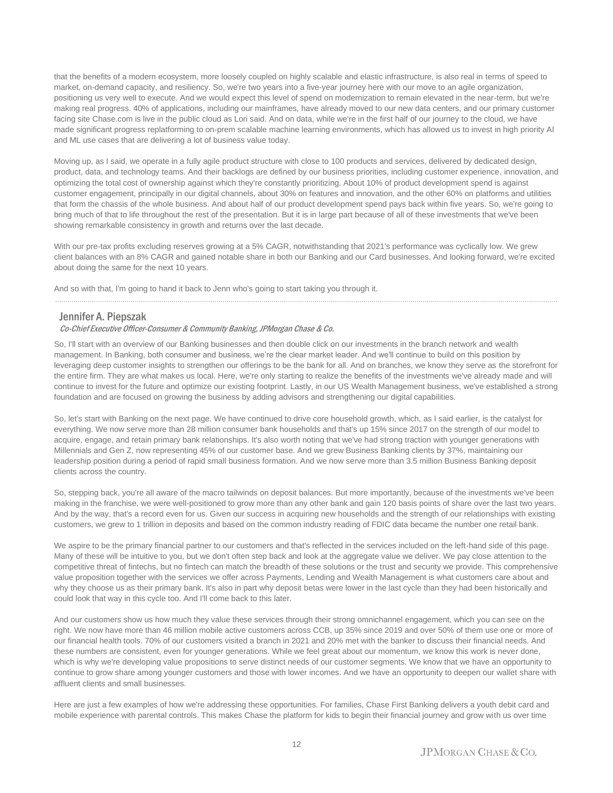that the benefits of a modern ecosystem, more loosely coupled on highly scalable and elastic infrastructure, is also real in terms of speed to market, on-demand capacity, and resiliency. So, we're two years into a five-year journey here with our move to an agile organization, positioning us very well to execute. And we would expect this level of spend on modernization to remain elevated in the near-term, but we're making real progress. 40% of applications, including our mainframes, have already moved to our new data centers, and our primary customer facing site Chase.com is live in the public cloud as Lori said. And on data, while we're in the first half of our journey to the cloud, we have made significant progress replatforming to on-prem scalable machine learning environments, which has allowed us to invest in high priority AI and ML use cases that are delivering a lot of business value today.

Moving up, as I said, we operate in a fully agile product structure with close to 100 products and services, delivered by dedicated design, product, data, and technology teams. And their backlogs are defined by our business priorities, including customer experience, innovation, and optimizing the total cost of ownership against which they're constantly prioritizing. About 10% of product development spend is against customer engagement, principally in our digital channels, about 30% on features and innovation, and the other 60% on platforms and utilities that form the chassis of the whole business. And about half of our product development spend pays back within five years. So, we're going to bring much of that to life throughout the rest of the presentation. But it is in large part because of all of these investments that we've been showing remarkable consistency in growth and returns over the last decade.

With our pre-tax profits excluding reserves growing at a 5% CAGR, notwithstanding that 2021's performance was cyclically low. We grew client balances with an 8% CAGR and gained notable share in both our Banking and our Card businesses. And looking forward, we're excited about doing the same for the next 10 years.

......................................................................................................................................................................................................................................................

And so with that, I'm going to hand it back to Jenn who's going to start taking you through it.

#### Jennifer A. Piepszak

#### Co-Chief Executive Officer-Consumer & Community Banking, JPMorgan Chase & Co.

So, I'll start with an overview of our Banking businesses and then double click on our investments in the branch network and wealth management. In Banking, both consumer and business, we're the clear market leader. And we'll continue to build on this position by leveraging deep customer insights to strengthen our offerings to be the bank for all. And on branches, we know they serve as the storefront for the entire firm. They are what makes us local. Here, we're only starting to realize the benefits of the investments we've already made and will continue to invest for the future and optimize our existing footprint. Lastly, in our US Wealth Management business, we've established a strong foundation and are focused on growing the business by adding advisors and strengthening our digital capabilities.

So, let's start with Banking on the next page. We have continued to drive core household growth, which, as I said earlier, is the catalyst for everything. We now serve more than 28 million consumer bank households and that's up 15% since 2017 on the strength of our model to acquire, engage, and retain primary bank relationships. It's also worth noting that we've had strong traction with younger generations with Millennials and Gen Z, now representing 45% of our customer base. And we grew Business Banking clients by 37%, maintaining our leadership position during a period of rapid small business formation. And we now serve more than 3.5 million Business Banking deposit clients across the country.

So, stepping back, you're all aware of the macro tailwinds on deposit balances. But more importantly, because of the investments we've been making in the franchise, we were well-positioned to grow more than any other bank and gain 120 basis points of share over the last two years. And by the way, that's a record even for us. Given our success in acquiring new households and the strength of our relationships with existing customers, we grew to 1 trillion in deposits and based on the common industry reading of FDIC data became the number one retail bank.

We aspire to be the primary financial partner to our customers and that's reflected in the services included on the left-hand side of this page. Many of these will be intuitive to you, but we don't often step back and look at the aggregate value we deliver. We pay close attention to the competitive threat of fintechs, but no fintech can match the breadth of these solutions or the trust and security we provide. This comprehensive value proposition together with the services we offer across Payments, Lending and Wealth Management is what customers care about and why they choose us as their primary bank. It's also in part why deposit betas were lower in the last cycle than they had been historically and could look that way in this cycle too. And I'll come back to this later.

And our customers show us how much they value these services through their strong omnichannel engagement, which you can see on the right. We now have more than 46 million mobile active customers across CCB, up 35% since 2019 and over 50% of them use one or more of our financial health tools. 70% of our customers visited a branch in 2021 and 20% met with the banker to discuss their financial needs. And these numbers are consistent, even for younger generations. While we feel great about our momentum, we know this work is never done, which is why we're developing value propositions to serve distinct needs of our customer segments. We know that we have an opportunity to continue to grow share among younger customers and those with lower incomes. And we have an opportunity to deepen our wallet share with affluent clients and small businesses.

Here are just a few examples of how we're addressing these opportunities. For families, Chase First Banking delivers a youth debit card and mobile experience with parental controls. This makes Chase the platform for kids to begin their financial journey and grow with us over time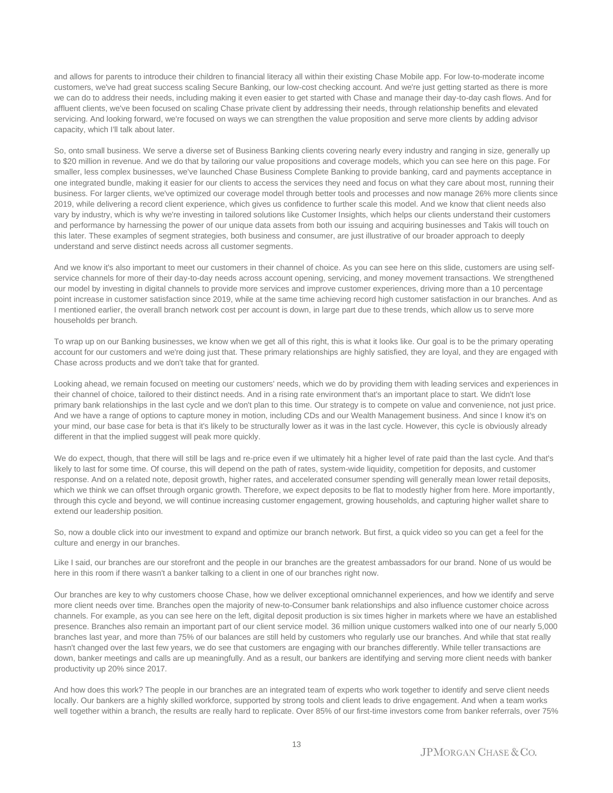and allows for parents to introduce their children to financial literacy all within their existing Chase Mobile app. For low-to-moderate income customers, we've had great success scaling Secure Banking, our low-cost checking account. And we're just getting started as there is more we can do to address their needs, including making it even easier to get started with Chase and manage their day-to-day cash flows. And for affluent clients, we've been focused on scaling Chase private client by addressing their needs, through relationship benefits and elevated servicing. And looking forward, we're focused on ways we can strengthen the value proposition and serve more clients by adding advisor capacity, which I'll talk about later.

So, onto small business. We serve a diverse set of Business Banking clients covering nearly every industry and ranging in size, generally up to \$20 million in revenue. And we do that by tailoring our value propositions and coverage models, which you can see here on this page. For smaller, less complex businesses, we've launched Chase Business Complete Banking to provide banking, card and payments acceptance in one integrated bundle, making it easier for our clients to access the services they need and focus on what they care about most, running their business. For larger clients, we've optimized our coverage model through better tools and processes and now manage 26% more clients since 2019, while delivering a record client experience, which gives us confidence to further scale this model. And we know that client needs also vary by industry, which is why we're investing in tailored solutions like Customer Insights, which helps our clients understand their customers and performance by harnessing the power of our unique data assets from both our issuing and acquiring businesses and Takis will touch on this later. These examples of segment strategies, both business and consumer, are just illustrative of our broader approach to deeply understand and serve distinct needs across all customer segments.

And we know it's also important to meet our customers in their channel of choice. As you can see here on this slide, customers are using selfservice channels for more of their day-to-day needs across account opening, servicing, and money movement transactions. We strengthened our model by investing in digital channels to provide more services and improve customer experiences, driving more than a 10 percentage point increase in customer satisfaction since 2019, while at the same time achieving record high customer satisfaction in our branches. And as I mentioned earlier, the overall branch network cost per account is down, in large part due to these trends, which allow us to serve more households per branch.

To wrap up on our Banking businesses, we know when we get all of this right, this is what it looks like. Our goal is to be the primary operating account for our customers and we're doing just that. These primary relationships are highly satisfied, they are loyal, and they are engaged with Chase across products and we don't take that for granted.

Looking ahead, we remain focused on meeting our customers' needs, which we do by providing them with leading services and experiences in their channel of choice, tailored to their distinct needs. And in a rising rate environment that's an important place to start. We didn't lose primary bank relationships in the last cycle and we don't plan to this time. Our strategy is to compete on value and convenience, not just price. And we have a range of options to capture money in motion, including CDs and our Wealth Management business. And since I know it's on your mind, our base case for beta is that it's likely to be structurally lower as it was in the last cycle. However, this cycle is obviously already different in that the implied suggest will peak more quickly.

We do expect, though, that there will still be lags and re-price even if we ultimately hit a higher level of rate paid than the last cycle. And that's likely to last for some time. Of course, this will depend on the path of rates, system-wide liquidity, competition for deposits, and customer response. And on a related note, deposit growth, higher rates, and accelerated consumer spending will generally mean lower retail deposits, which we think we can offset through organic growth. Therefore, we expect deposits to be flat to modestly higher from here. More importantly, through this cycle and beyond, we will continue increasing customer engagement, growing households, and capturing higher wallet share to extend our leadership position.

So, now a double click into our investment to expand and optimize our branch network. But first, a quick video so you can get a feel for the culture and energy in our branches.

Like I said, our branches are our storefront and the people in our branches are the greatest ambassadors for our brand. None of us would be here in this room if there wasn't a banker talking to a client in one of our branches right now.

Our branches are key to why customers choose Chase, how we deliver exceptional omnichannel experiences, and how we identify and serve more client needs over time. Branches open the majority of new-to-Consumer bank relationships and also influence customer choice across channels. For example, as you can see here on the left, digital deposit production is six times higher in markets where we have an established presence. Branches also remain an important part of our client service model. 36 million unique customers walked into one of our nearly 5,000 branches last year, and more than 75% of our balances are still held by customers who regularly use our branches. And while that stat really hasn't changed over the last few years, we do see that customers are engaging with our branches differently. While teller transactions are down, banker meetings and calls are up meaningfully. And as a result, our bankers are identifying and serving more client needs with banker productivity up 20% since 2017.

And how does this work? The people in our branches are an integrated team of experts who work together to identify and serve client needs locally. Our bankers are a highly skilled workforce, supported by strong tools and client leads to drive engagement. And when a team works well together within a branch, the results are really hard to replicate. Over 85% of our first-time investors come from banker referrals, over 75%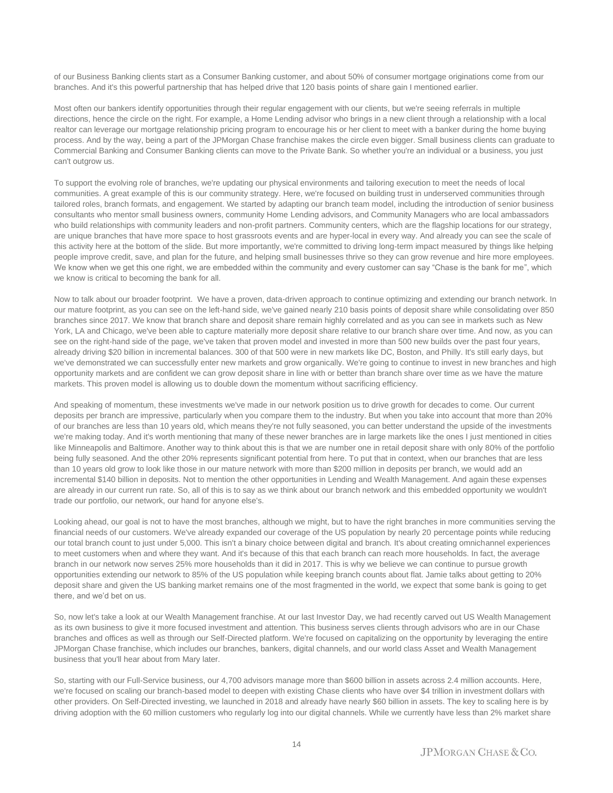of our Business Banking clients start as a Consumer Banking customer, and about 50% of consumer mortgage originations come from our branches. And it's this powerful partnership that has helped drive that 120 basis points of share gain I mentioned earlier.

Most often our bankers identify opportunities through their regular engagement with our clients, but we're seeing referrals in multiple directions, hence the circle on the right. For example, a Home Lending advisor who brings in a new client through a relationship with a local realtor can leverage our mortgage relationship pricing program to encourage his or her client to meet with a banker during the home buying process. And by the way, being a part of the JPMorgan Chase franchise makes the circle even bigger. Small business clients can graduate to Commercial Banking and Consumer Banking clients can move to the Private Bank. So whether you're an individual or a business, you just can't outgrow us.

To support the evolving role of branches, we're updating our physical environments and tailoring execution to meet the needs of local communities. A great example of this is our community strategy. Here, we're focused on building trust in underserved communities through tailored roles, branch formats, and engagement. We started by adapting our branch team model, including the introduction of senior business consultants who mentor small business owners, community Home Lending advisors, and Community Managers who are local ambassadors who build relationships with community leaders and non-profit partners. Community centers, which are the flagship locations for our strategy, are unique branches that have more space to host grassroots events and are hyper-local in every way. And already you can see the scale of this activity here at the bottom of the slide. But more importantly, we're committed to driving long-term impact measured by things like helping people improve credit, save, and plan for the future, and helping small businesses thrive so they can grow revenue and hire more employees. We know when we get this one right, we are embedded within the community and every customer can say "Chase is the bank for me", which we know is critical to becoming the bank for all.

Now to talk about our broader footprint. We have a proven, data-driven approach to continue optimizing and extending our branch network. In our mature footprint, as you can see on the left-hand side, we've gained nearly 210 basis points of deposit share while consolidating over 850 branches since 2017. We know that branch share and deposit share remain highly correlated and as you can see in markets such as New York, LA and Chicago, we've been able to capture materially more deposit share relative to our branch share over time. And now, as you can see on the right-hand side of the page, we've taken that proven model and invested in more than 500 new builds over the past four years, already driving \$20 billion in incremental balances. 300 of that 500 were in new markets like DC, Boston, and Philly. It's still early days, but we've demonstrated we can successfully enter new markets and grow organically. We're going to continue to invest in new branches and high opportunity markets and are confident we can grow deposit share in line with or better than branch share over time as we have the mature markets. This proven model is allowing us to double down the momentum without sacrificing efficiency.

And speaking of momentum, these investments we've made in our network position us to drive growth for decades to come. Our current deposits per branch are impressive, particularly when you compare them to the industry. But when you take into account that more than 20% of our branches are less than 10 years old, which means they're not fully seasoned, you can better understand the upside of the investments we're making today. And it's worth mentioning that many of these newer branches are in large markets like the ones I just mentioned in cities like Minneapolis and Baltimore. Another way to think about this is that we are number one in retail deposit share with only 80% of the portfolio being fully seasoned. And the other 20% represents significant potential from here. To put that in context, when our branches that are less than 10 years old grow to look like those in our mature network with more than \$200 million in deposits per branch, we would add an incremental \$140 billion in deposits. Not to mention the other opportunities in Lending and Wealth Management. And again these expenses are already in our current run rate. So, all of this is to say as we think about our branch network and this embedded opportunity we wouldn't trade our portfolio, our network, our hand for anyone else's.

Looking ahead, our goal is not to have the most branches, although we might, but to have the right branches in more communities serving the financial needs of our customers. We've already expanded our coverage of the US population by nearly 20 percentage points while reducing our total branch count to just under 5,000. This isn't a binary choice between digital and branch. It's about creating omnichannel experiences to meet customers when and where they want. And it's because of this that each branch can reach more households. In fact, the average branch in our network now serves 25% more households than it did in 2017. This is why we believe we can continue to pursue growth opportunities extending our network to 85% of the US population while keeping branch counts about flat. Jamie talks about getting to 20% deposit share and given the US banking market remains one of the most fragmented in the world, we expect that some bank is going to get there, and we'd bet on us.

So, now let's take a look at our Wealth Management franchise. At our last Investor Day, we had recently carved out US Wealth Management as its own business to give it more focused investment and attention. This business serves clients through advisors who are in our Chase branches and offices as well as through our Self-Directed platform. We're focused on capitalizing on the opportunity by leveraging the entire JPMorgan Chase franchise, which includes our branches, bankers, digital channels, and our world class Asset and Wealth Management business that you'll hear about from Mary later.

So, starting with our Full-Service business, our 4,700 advisors manage more than \$600 billion in assets across 2.4 million accounts. Here, we're focused on scaling our branch-based model to deepen with existing Chase clients who have over \$4 trillion in investment dollars with other providers. On Self-Directed investing, we launched in 2018 and already have nearly \$60 billion in assets. The key to scaling here is by driving adoption with the 60 million customers who regularly log into our digital channels. While we currently have less than 2% market share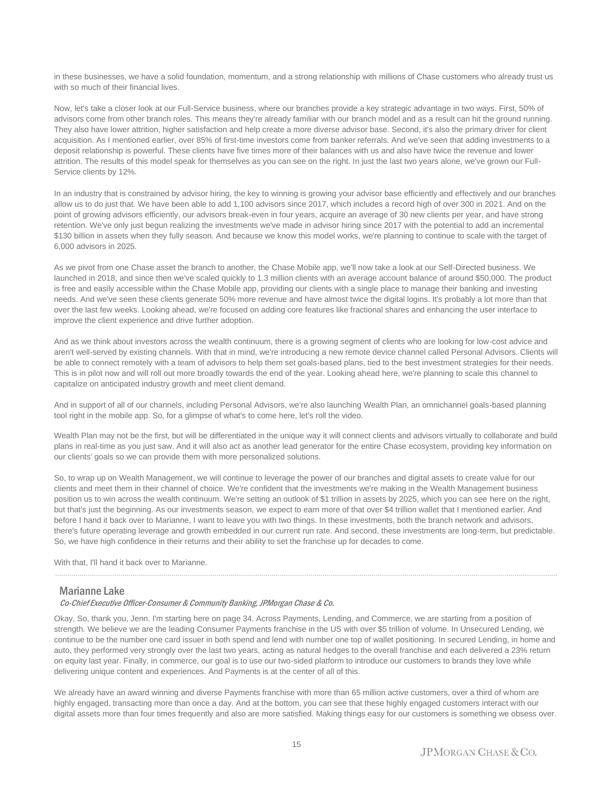in these businesses, we have a solid foundation, momentum, and a strong relationship with millions of Chase customers who already trust us with so much of their financial lives.

Now, let's take a closer look at our Full-Service business, where our branches provide a key strategic advantage in two ways. First, 50% of advisors come from other branch roles. This means they're already familiar with our branch model and as a result can hit the ground running. They also have lower attrition, higher satisfaction and help create a more diverse advisor base. Second, it's also the primary driver for client acquisition. As I mentioned earlier, over 85% of first-time investors come from banker referrals. And we've seen that adding investments to a deposit relationship is powerful. These clients have five times more of their balances with us and also have twice the revenue and lower attrition. The results of this model speak for themselves as you can see on the right. In just the last two years alone, we've grown our Full-Service clients by 12%.

In an industry that is constrained by advisor hiring, the key to winning is growing your advisor base efficiently and effectively and our branches allow us to do just that. We have been able to add 1,100 advisors since 2017, which includes a record high of over 300 in 2021. And on the point of growing advisors efficiently, our advisors break-even in four years, acquire an average of 30 new clients per year, and have strong retention. We've only just begun realizing the investments we've made in advisor hiring since 2017 with the potential to add an incremental \$130 billion in assets when they fully season. And because we know this model works, we're planning to continue to scale with the target of 6,000 advisors in 2025.

As we pivot from one Chase asset the branch to another, the Chase Mobile app, we'll now take a look at our Self-Directed business. We launched in 2018, and since then we've scaled quickly to 1.3 million clients with an average account balance of around \$50,000. The product is free and easily accessible within the Chase Mobile app, providing our clients with a single place to manage their banking and investing needs. And we've seen these clients generate 50% more revenue and have almost twice the digital logins. It's probably a lot more than that over the last few weeks. Looking ahead, we're focused on adding core features like fractional shares and enhancing the user interface to improve the client experience and drive further adoption.

And as we think about investors across the wealth continuum, there is a growing segment of clients who are looking for low-cost advice and aren't well-served by existing channels. With that in mind, we're introducing a new remote device channel called Personal Advisors. Clients will be able to connect remotely with a team of advisors to help them set goals-based plans, tied to the best investment strategies for their needs. This is in pilot now and will roll out more broadly towards the end of the year. Looking ahead here, we're planning to scale this channel to capitalize on anticipated industry growth and meet client demand.

And in support of all of our channels, including Personal Advisors, we're also launching Wealth Plan, an omnichannel goals-based planning tool right in the mobile app. So, for a glimpse of what's to come here, let's roll the video.

Wealth Plan may not be the first, but will be differentiated in the unique way it will connect clients and advisors virtually to collaborate and build plans in real-time as you just saw. And it will also act as another lead generator for the entire Chase ecosystem, providing key information on our clients' goals so we can provide them with more personalized solutions.

So, to wrap up on Wealth Management, we will continue to leverage the power of our branches and digital assets to create value for our clients and meet them in their channel of choice. We're confident that the investments we're making in the Wealth Management business position us to win across the wealth continuum. We're setting an outlook of \$1 trillion in assets by 2025, which you can see here on the right, but that's just the beginning. As our investments season, we expect to earn more of that over \$4 trillion wallet that I mentioned earlier. And before I hand it back over to Marianne, I want to leave you with two things. In these investments, both the branch network and advisors, there's future operating leverage and growth embedded in our current run rate. And second, these investments are long-term, but predictable. So, we have high confidence in their returns and their ability to set the franchise up for decades to come.

......................................................................................................................................................................................................................................................

With that, I'll hand it back over to Marianne.

### Marianne Lake

#### Co-Chief Executive Officer-Consumer & Community Banking, JPMorgan Chase & Co.

Okay. So, thank you, Jenn. I'm starting here on page 34. Across Payments, Lending, and Commerce, we are starting from a position of strength. We believe we are the leading Consumer Payments franchise in the US with over \$5 trillion of volume. In Unsecured Lending, we continue to be the number one card issuer in both spend and lend with number one top of wallet positioning. In secured Lending, in home and auto, they performed very strongly over the last two years, acting as natural hedges to the overall franchise and each delivered a 23% return on equity last year. Finally, in commerce, our goal is to use our two-sided platform to introduce our customers to brands they love while delivering unique content and experiences. And Payments is at the center of all of this.

We already have an award winning and diverse Payments franchise with more than 65 million active customers, over a third of whom are highly engaged, transacting more than once a day. And at the bottom, you can see that these highly engaged customers interact with our digital assets more than four times frequently and also are more satisfied. Making things easy for our customers is something we obsess over.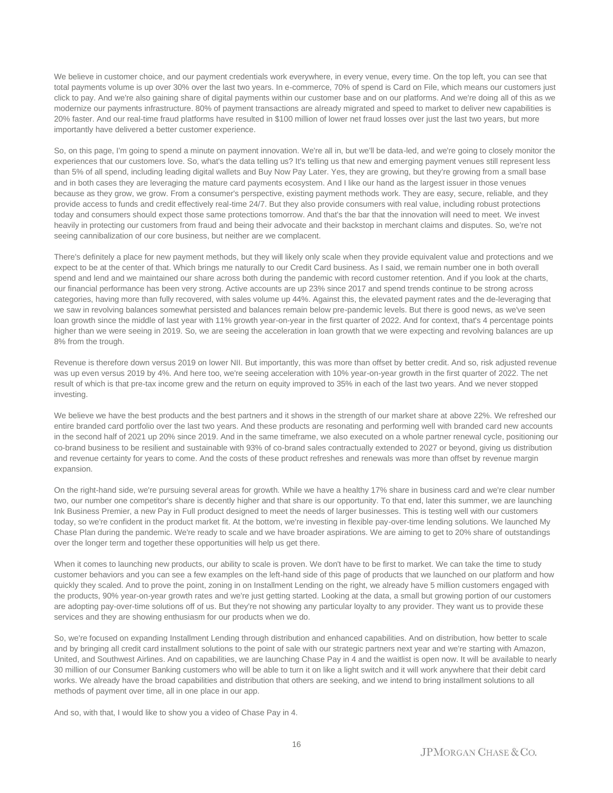We believe in customer choice, and our payment credentials work everywhere, in every venue, every time. On the top left, you can see that total payments volume is up over 30% over the last two years. In e-commerce, 70% of spend is Card on File, which means our customers just click to pay. And we're also gaining share of digital payments within our customer base and on our platforms. And we're doing all of this as we modernize our payments infrastructure. 80% of payment transactions are already migrated and speed to market to deliver new capabilities is 20% faster. And our real-time fraud platforms have resulted in \$100 million of lower net fraud losses over just the last two years, but more importantly have delivered a better customer experience.

So, on this page. I'm going to spend a minute on payment innovation. We're all in, but we'll be data-led, and we're going to closely monitor the experiences that our customers love. So, what's the data telling us? It's telling us that new and emerging payment venues still represent less than 5% of all spend, including leading digital wallets and Buy Now Pay Later. Yes, they are growing, but they're growing from a small base and in both cases they are leveraging the mature card payments ecosystem. And I like our hand as the largest issuer in those venues because as they grow, we grow. From a consumer's perspective, existing payment methods work. They are easy, secure, reliable, and they provide access to funds and credit effectively real-time 24/7. But they also provide consumers with real value, including robust protections today and consumers should expect those same protections tomorrow. And that's the bar that the innovation will need to meet. We invest heavily in protecting our customers from fraud and being their advocate and their backstop in merchant claims and disputes. So, we're not seeing cannibalization of our core business, but neither are we complacent.

There's definitely a place for new payment methods, but they will likely only scale when they provide equivalent value and protections and we expect to be at the center of that. Which brings me naturally to our Credit Card business. As I said, we remain number one in both overall spend and lend and we maintained our share across both during the pandemic with record customer retention. And if you look at the charts, our financial performance has been very strong. Active accounts are up 23% since 2017 and spend trends continue to be strong across categories, having more than fully recovered, with sales volume up 44%. Against this, the elevated payment rates and the de-leveraging that we saw in revolving balances somewhat persisted and balances remain below pre-pandemic levels. But there is good news, as we've seen loan growth since the middle of last year with 11% growth year-on-year in the first quarter of 2022. And for context, that's 4 percentage points higher than we were seeing in 2019. So, we are seeing the acceleration in loan growth that we were expecting and revolving balances are up 8% from the trough.

Revenue is therefore down versus 2019 on lower NII. But importantly, this was more than offset by better credit. And so, risk adjusted revenue was up even versus 2019 by 4%. And here too, we're seeing acceleration with 10% year-on-year growth in the first quarter of 2022. The net result of which is that pre-tax income grew and the return on equity improved to 35% in each of the last two years. And we never stopped investing.

We believe we have the best products and the best partners and it shows in the strength of our market share at above 22%. We refreshed our entire branded card portfolio over the last two years. And these products are resonating and performing well with branded card new accounts in the second half of 2021 up 20% since 2019. And in the same timeframe, we also executed on a whole partner renewal cycle, positioning our co-brand business to be resilient and sustainable with 93% of co-brand sales contractually extended to 2027 or beyond, giving us distribution and revenue certainty for years to come. And the costs of these product refreshes and renewals was more than offset by revenue margin expansion.

On the right-hand side, we're pursuing several areas for growth. While we have a healthy 17% share in business card and we're clear number two, our number one competitor's share is decently higher and that share is our opportunity. To that end, later this summer, we are launching Ink Business Premier, a new Pay in Full product designed to meet the needs of larger businesses. This is testing well with our customers today, so we're confident in the product market fit. At the bottom, we're investing in flexible pay-over-time lending solutions. We launched My Chase Plan during the pandemic. We're ready to scale and we have broader aspirations. We are aiming to get to 20% share of outstandings over the longer term and together these opportunities will help us get there.

When it comes to launching new products, our ability to scale is proven. We don't have to be first to market. We can take the time to study customer behaviors and you can see a few examples on the left-hand side of this page of products that we launched on our platform and how quickly they scaled. And to prove the point, zoning in on Installment Lending on the right, we already have 5 million customers engaged with the products, 90% year-on-year growth rates and we're just getting started. Looking at the data, a small but growing portion of our customers are adopting pay-over-time solutions off of us. But they're not showing any particular loyalty to any provider. They want us to provide these services and they are showing enthusiasm for our products when we do.

So, we're focused on expanding Installment Lending through distribution and enhanced capabilities. And on distribution, how better to scale and by bringing all credit card installment solutions to the point of sale with our strategic partners next year and we're starting with Amazon, United, and Southwest Airlines. And on capabilities, we are launching Chase Pay in 4 and the waitlist is open now. It will be available to nearly 30 million of our Consumer Banking customers who will be able to turn it on like a light switch and it will work anywhere that their debit card works. We already have the broad capabilities and distribution that others are seeking, and we intend to bring installment solutions to all methods of payment over time, all in one place in our app.

And so, with that, I would like to show you a video of Chase Pay in 4.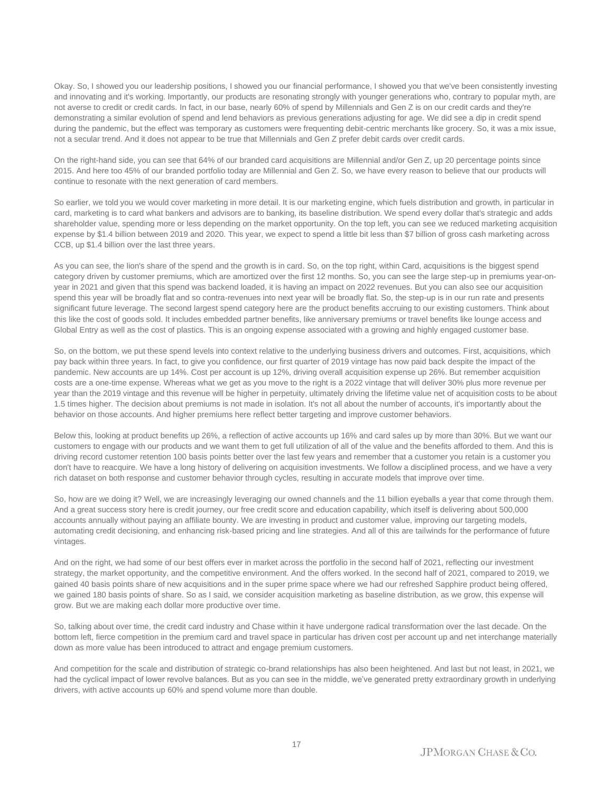Okay. So, I showed you our leadership positions, I showed you our financial performance, I showed you that we've been consistently investing and innovating and it's working. Importantly, our products are resonating strongly with younger generations who, contrary to popular myth, are not averse to credit or credit cards. In fact, in our base, nearly 60% of spend by Millennials and Gen Z is on our credit cards and they're demonstrating a similar evolution of spend and lend behaviors as previous generations adjusting for age. We did see a dip in credit spend during the pandemic, but the effect was temporary as customers were frequenting debit-centric merchants like grocery. So, it was a mix issue, not a secular trend. And it does not appear to be true that Millennials and Gen Z prefer debit cards over credit cards.

On the right-hand side, you can see that 64% of our branded card acquisitions are Millennial and/or Gen Z, up 20 percentage points since 2015. And here too 45% of our branded portfolio today are Millennial and Gen Z. So, we have every reason to believe that our products will continue to resonate with the next generation of card members.

So earlier, we told you we would cover marketing in more detail. It is our marketing engine, which fuels distribution and growth, in particular in card, marketing is to card what bankers and advisors are to banking, its baseline distribution. We spend every dollar that's strategic and adds shareholder value, spending more or less depending on the market opportunity. On the top left, you can see we reduced marketing acquisition expense by \$1.4 billion between 2019 and 2020. This year, we expect to spend a little bit less than \$7 billion of gross cash marketing across CCB, up \$1.4 billion over the last three years.

As you can see, the lion's share of the spend and the growth is in card. So, on the top right, within Card, acquisitions is the biggest spend category driven by customer premiums, which are amortized over the first 12 months. So, you can see the large step-up in premiums year-onyear in 2021 and given that this spend was backend loaded, it is having an impact on 2022 revenues. But you can also see our acquisition spend this year will be broadly flat and so contra-revenues into next year will be broadly flat. So, the step-up is in our run rate and presents significant future leverage. The second largest spend category here are the product benefits accruing to our existing customers. Think about this like the cost of goods sold. It includes embedded partner benefits, like anniversary premiums or travel benefits like lounge access and Global Entry as well as the cost of plastics. This is an ongoing expense associated with a growing and highly engaged customer base.

So, on the bottom, we put these spend levels into context relative to the underlying business drivers and outcomes. First, acquisitions, which pay back within three years. In fact, to give you confidence, our first quarter of 2019 vintage has now paid back despite the impact of the pandemic. New accounts are up 14%. Cost per account is up 12%, driving overall acquisition expense up 26%. But remember acquisition costs are a one-time expense. Whereas what we get as you move to the right is a 2022 vintage that will deliver 30% plus more revenue per year than the 2019 vintage and this revenue will be higher in perpetuity, ultimately driving the lifetime value net of acquisition costs to be about 1.5 times higher. The decision about premiums is not made in isolation. It's not all about the number of accounts, it's importantly about the behavior on those accounts. And higher premiums here reflect better targeting and improve customer behaviors.

Below this, looking at product benefits up 26%, a reflection of active accounts up 16% and card sales up by more than 30%. But we want our customers to engage with our products and we want them to get full utilization of all of the value and the benefits afforded to them. And this is driving record customer retention 100 basis points better over the last few years and remember that a customer you retain is a customer you don't have to reacquire. We have a long history of delivering on acquisition investments. We follow a disciplined process, and we have a very rich dataset on both response and customer behavior through cycles, resulting in accurate models that improve over time.

So, how are we doing it? Well, we are increasingly leveraging our owned channels and the 11 billion eyeballs a year that come through them. And a great success story here is credit journey, our free credit score and education capability, which itself is delivering about 500,000 accounts annually without paying an affiliate bounty. We are investing in product and customer value, improving our targeting models, automating credit decisioning, and enhancing risk-based pricing and line strategies. And all of this are tailwinds for the performance of future vintages.

And on the right, we had some of our best offers ever in market across the portfolio in the second half of 2021, reflecting our investment strategy, the market opportunity, and the competitive environment. And the offers worked. In the second half of 2021, compared to 2019, we gained 40 basis points share of new acquisitions and in the super prime space where we had our refreshed Sapphire product being offered, we gained 180 basis points of share. So as I said, we consider acquisition marketing as baseline distribution, as we grow, this expense will grow. But we are making each dollar more productive over time.

So, talking about over time, the credit card industry and Chase within it have undergone radical transformation over the last decade. On the bottom left, fierce competition in the premium card and travel space in particular has driven cost per account up and net interchange materially down as more value has been introduced to attract and engage premium customers.

And competition for the scale and distribution of strategic co-brand relationships has also been heightened. And last but not least, in 2021, we had the cyclical impact of lower revolve balances. But as you can see in the middle, we've generated pretty extraordinary growth in underlying drivers, with active accounts up 60% and spend volume more than double.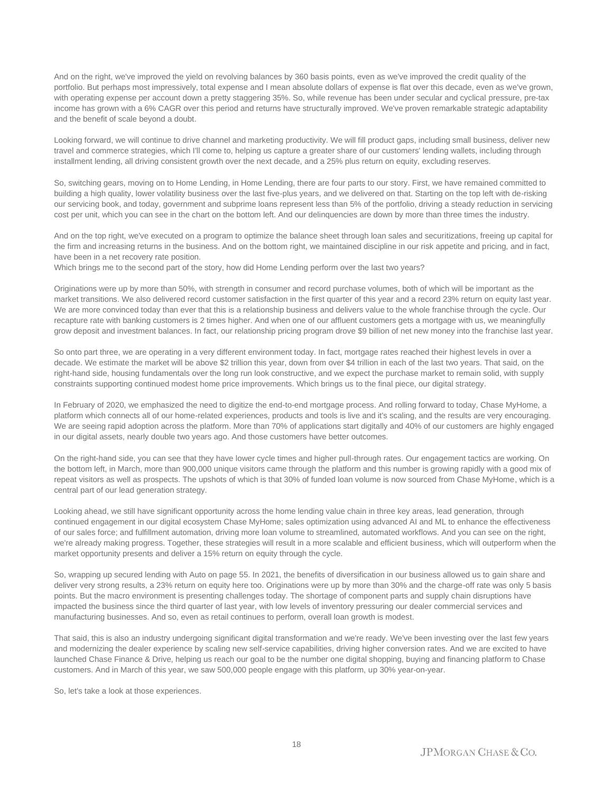And on the right, we've improved the yield on revolving balances by 360 basis points, even as we've improved the credit quality of the portfolio. But perhaps most impressively, total expense and I mean absolute dollars of expense is flat over this decade, even as we've grown, with operating expense per account down a pretty staggering 35%. So, while revenue has been under secular and cyclical pressure, pre-tax income has grown with a 6% CAGR over this period and returns have structurally improved. We've proven remarkable strategic adaptability and the benefit of scale beyond a doubt.

Looking forward, we will continue to drive channel and marketing productivity. We will fill product gaps, including small business, deliver new travel and commerce strategies, which I'll come to, helping us capture a greater share of our customers' lending wallets, including through installment lending, all driving consistent growth over the next decade, and a 25% plus return on equity, excluding reserves.

So, switching gears, moving on to Home Lending, in Home Lending, there are four parts to our story. First, we have remained committed to building a high quality, lower volatility business over the last five-plus years, and we delivered on that. Starting on the top left with de-risking our servicing book, and today, government and subprime loans represent less than 5% of the portfolio, driving a steady reduction in servicing cost per unit, which you can see in the chart on the bottom left. And our delinquencies are down by more than three times the industry.

And on the top right, we've executed on a program to optimize the balance sheet through loan sales and securitizations, freeing up capital for the firm and increasing returns in the business. And on the bottom right, we maintained discipline in our risk appetite and pricing, and in fact, have been in a net recovery rate position.

Which brings me to the second part of the story, how did Home Lending perform over the last two years?

Originations were up by more than 50%, with strength in consumer and record purchase volumes, both of which will be important as the market transitions. We also delivered record customer satisfaction in the first quarter of this year and a record 23% return on equity last year. We are more convinced today than ever that this is a relationship business and delivers value to the whole franchise through the cycle. Our recapture rate with banking customers is 2 times higher. And when one of our affluent customers gets a mortgage with us, we meaningfully grow deposit and investment balances. In fact, our relationship pricing program drove \$9 billion of net new money into the franchise last year.

So onto part three, we are operating in a very different environment today. In fact, mortgage rates reached their highest levels in over a decade. We estimate the market will be above \$2 trillion this year, down from over \$4 trillion in each of the last two years. That said, on the right-hand side, housing fundamentals over the long run look constructive, and we expect the purchase market to remain solid, with supply constraints supporting continued modest home price improvements. Which brings us to the final piece, our digital strategy.

In February of 2020, we emphasized the need to digitize the end-to-end mortgage process. And rolling forward to today, Chase MyHome, a platform which connects all of our home-related experiences, products and tools is live and it's scaling, and the results are very encouraging. We are seeing rapid adoption across the platform. More than 70% of applications start digitally and 40% of our customers are highly engaged in our digital assets, nearly double two years ago. And those customers have better outcomes.

On the right-hand side, you can see that they have lower cycle times and higher pull-through rates. Our engagement tactics are working. On the bottom left, in March, more than 900,000 unique visitors came through the platform and this number is growing rapidly with a good mix of repeat visitors as well as prospects. The upshots of which is that 30% of funded loan volume is now sourced from Chase MyHome, which is a central part of our lead generation strategy.

Looking ahead, we still have significant opportunity across the home lending value chain in three key areas, lead generation, through continued engagement in our digital ecosystem Chase MyHome; sales optimization using advanced AI and ML to enhance the effectiveness of our sales force; and fulfillment automation, driving more loan volume to streamlined, automated workflows. And you can see on the right, we're already making progress. Together, these strategies will result in a more scalable and efficient business, which will outperform when the market opportunity presents and deliver a 15% return on equity through the cycle.

So, wrapping up secured lending with Auto on page 55. In 2021, the benefits of diversification in our business allowed us to gain share and deliver very strong results, a 23% return on equity here too. Originations were up by more than 30% and the charge-off rate was only 5 basis points. But the macro environment is presenting challenges today. The shortage of component parts and supply chain disruptions have impacted the business since the third quarter of last year, with low levels of inventory pressuring our dealer commercial services and manufacturing businesses. And so, even as retail continues to perform, overall loan growth is modest.

That said, this is also an industry undergoing significant digital transformation and we're ready. We've been investing over the last few years and modernizing the dealer experience by scaling new self-service capabilities, driving higher conversion rates. And we are excited to have launched Chase Finance & Drive, helping us reach our goal to be the number one digital shopping, buying and financing platform to Chase customers. And in March of this year, we saw 500,000 people engage with this platform, up 30% year-on-year.

So, let's take a look at those experiences.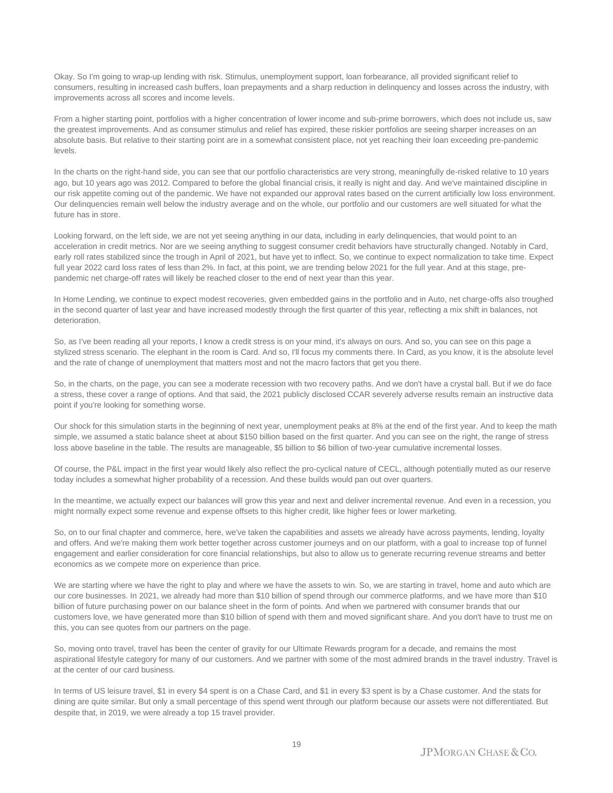Okay. So I'm going to wrap-up lending with risk. Stimulus, unemployment support, loan forbearance, all provided significant relief to consumers, resulting in increased cash buffers, loan prepayments and a sharp reduction in delinquency and losses across the industry, with improvements across all scores and income levels.

From a higher starting point, portfolios with a higher concentration of lower income and sub-prime borrowers, which does not include us, saw the greatest improvements. And as consumer stimulus and relief has expired, these riskier portfolios are seeing sharper increases on an absolute basis. But relative to their starting point are in a somewhat consistent place, not yet reaching their loan exceeding pre-pandemic levels.

In the charts on the right-hand side, you can see that our portfolio characteristics are very strong, meaningfully de-risked relative to 10 years ago, but 10 years ago was 2012. Compared to before the global financial crisis, it really is night and day. And we've maintained discipline in our risk appetite coming out of the pandemic. We have not expanded our approval rates based on the current artificially low loss environment. Our delinquencies remain well below the industry average and on the whole, our portfolio and our customers are well situated for what the future has in store.

Looking forward, on the left side, we are not yet seeing anything in our data, including in early delinquencies, that would point to an acceleration in credit metrics. Nor are we seeing anything to suggest consumer credit behaviors have structurally changed. Notably in Card, early roll rates stabilized since the trough in April of 2021, but have yet to inflect. So, we continue to expect normalization to take time. Expect full year 2022 card loss rates of less than 2%. In fact, at this point, we are trending below 2021 for the full year. And at this stage, prepandemic net charge-off rates will likely be reached closer to the end of next year than this year.

In Home Lending, we continue to expect modest recoveries, given embedded gains in the portfolio and in Auto, net charge-offs also troughed in the second quarter of last year and have increased modestly through the first quarter of this year, reflecting a mix shift in balances, not deterioration.

So, as I've been reading all your reports, I know a credit stress is on your mind, it's always on ours. And so, you can see on this page a stylized stress scenario. The elephant in the room is Card. And so, I'll focus my comments there. In Card, as you know, it is the absolute level and the rate of change of unemployment that matters most and not the macro factors that get you there.

So, in the charts, on the page, you can see a moderate recession with two recovery paths. And we don't have a crystal ball. But if we do face a stress, these cover a range of options. And that said, the 2021 publicly disclosed CCAR severely adverse results remain an instructive data point if you're looking for something worse.

Our shock for this simulation starts in the beginning of next year, unemployment peaks at 8% at the end of the first year. And to keep the math simple, we assumed a static balance sheet at about \$150 billion based on the first quarter. And you can see on the right, the range of stress loss above baseline in the table. The results are manageable, \$5 billion to \$6 billion of two-year cumulative incremental losses.

Of course, the P&L impact in the first year would likely also reflect the pro-cyclical nature of CECL, although potentially muted as our reserve today includes a somewhat higher probability of a recession. And these builds would pan out over quarters.

In the meantime, we actually expect our balances will grow this year and next and deliver incremental revenue. And even in a recession, you might normally expect some revenue and expense offsets to this higher credit, like higher fees or lower marketing.

So, on to our final chapter and commerce, here, we've taken the capabilities and assets we already have across payments, lending, loyalty and offers. And we're making them work better together across customer journeys and on our platform, with a goal to increase top of funnel engagement and earlier consideration for core financial relationships, but also to allow us to generate recurring revenue streams and better economics as we compete more on experience than price.

We are starting where we have the right to play and where we have the assets to win. So, we are starting in travel, home and auto which are our core businesses. In 2021, we already had more than \$10 billion of spend through our commerce platforms, and we have more than \$10 billion of future purchasing power on our balance sheet in the form of points. And when we partnered with consumer brands that our customers love, we have generated more than \$10 billion of spend with them and moved significant share. And you don't have to trust me on this, you can see quotes from our partners on the page.

So, moving onto travel, travel has been the center of gravity for our Ultimate Rewards program for a decade, and remains the most aspirational lifestyle category for many of our customers. And we partner with some of the most admired brands in the travel industry. Travel is at the center of our card business.

In terms of US leisure travel, \$1 in every \$4 spent is on a Chase Card, and \$1 in every \$3 spent is by a Chase customer. And the stats for dining are quite similar. But only a small percentage of this spend went through our platform because our assets were not differentiated. But despite that, in 2019, we were already a top 15 travel provider.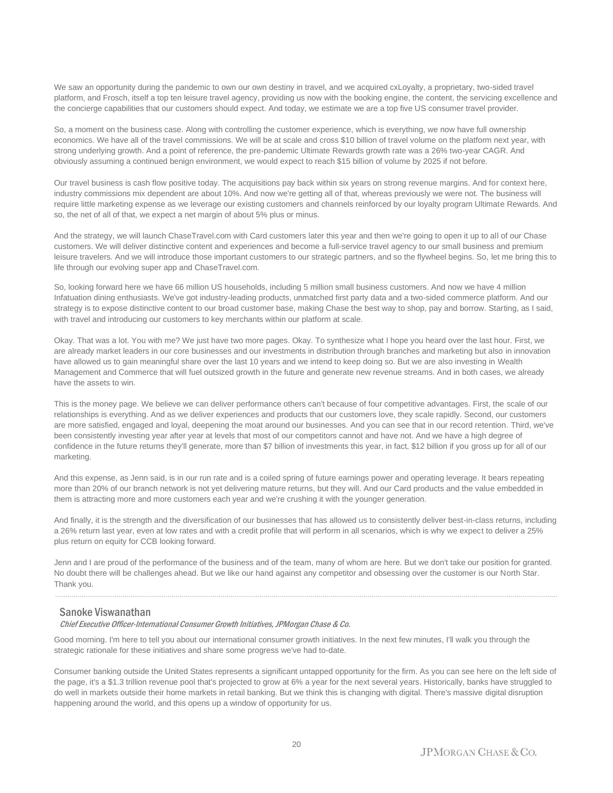We saw an opportunity during the pandemic to own our own destiny in travel, and we acquired cxLoyalty, a proprietary, two-sided travel platform, and Frosch, itself a top ten leisure travel agency, providing us now with the booking engine, the content, the servicing excellence and the concierge capabilities that our customers should expect. And today, we estimate we are a top five US consumer travel provider.

So, a moment on the business case. Along with controlling the customer experience, which is everything, we now have full ownership economics. We have all of the travel commissions. We will be at scale and cross \$10 billion of travel volume on the platform next year, with strong underlying growth. And a point of reference, the pre-pandemic Ultimate Rewards growth rate was a 26% two-year CAGR. And obviously assuming a continued benign environment, we would expect to reach \$15 billion of volume by 2025 if not before.

Our travel business is cash flow positive today. The acquisitions pay back within six years on strong revenue margins. And for context here, industry commissions mix dependent are about 10%. And now we're getting all of that, whereas previously we were not. The business will require little marketing expense as we leverage our existing customers and channels reinforced by our loyalty program Ultimate Rewards. And so, the net of all of that, we expect a net margin of about 5% plus or minus.

And the strategy, we will launch ChaseTravel.com with Card customers later this year and then we're going to open it up to all of our Chase customers. We will deliver distinctive content and experiences and become a full-service travel agency to our small business and premium leisure travelers. And we will introduce those important customers to our strategic partners, and so the flywheel begins. So, let me bring this to life through our evolving super app and ChaseTravel.com.

So, looking forward here we have 66 million US households, including 5 million small business customers. And now we have 4 million Infatuation dining enthusiasts. We've got industry-leading products, unmatched first party data and a two-sided commerce platform. And our strategy is to expose distinctive content to our broad customer base, making Chase the best way to shop, pay and borrow. Starting, as I said, with travel and introducing our customers to key merchants within our platform at scale.

Okay. That was a lot. You with me? We just have two more pages. Okay. To synthesize what I hope you heard over the last hour. First, we are already market leaders in our core businesses and our investments in distribution through branches and marketing but also in innovation have allowed us to gain meaningful share over the last 10 years and we intend to keep doing so. But we are also investing in Wealth Management and Commerce that will fuel outsized growth in the future and generate new revenue streams. And in both cases, we already have the assets to win.

This is the money page. We believe we can deliver performance others can't because of four competitive advantages. First, the scale of our relationships is everything. And as we deliver experiences and products that our customers love, they scale rapidly. Second, our customers are more satisfied, engaged and loyal, deepening the moat around our businesses. And you can see that in our record retention. Third, we've been consistently investing year after year at levels that most of our competitors cannot and have not. And we have a high degree of confidence in the future returns they'll generate, more than \$7 billion of investments this year, in fact, \$12 billion if you gross up for all of our marketing.

And this expense, as Jenn said, is in our run rate and is a coiled spring of future earnings power and operating leverage. It bears repeating more than 20% of our branch network is not yet delivering mature returns, but they will. And our Card products and the value embedded in them is attracting more and more customers each year and we're crushing it with the younger generation.

And finally, it is the strength and the diversification of our businesses that has allowed us to consistently deliver best-in-class returns, including a 26% return last year, even at low rates and with a credit profile that will perform in all scenarios, which is why we expect to deliver a 25% plus return on equity for CCB looking forward.

Jenn and I are proud of the performance of the business and of the team, many of whom are here. But we don't take our position for granted. No doubt there will be challenges ahead. But we like our hand against any competitor and obsessing over the customer is our North Star. Thank you.

......................................................................................................................................................................................................................................................

#### Sanoke Viswanathan

#### Chief Executive Officer-International Consumer Growth Initiatives, JPMorgan Chase & Co.

Good morning. I'm here to tell you about our international consumer growth initiatives. In the next few minutes, I'll walk you through the strategic rationale for these initiatives and share some progress we've had to-date.

Consumer banking outside the United States represents a significant untapped opportunity for the firm. As you can see here on the left side of the page, it's a \$1.3 trillion revenue pool that's projected to grow at 6% a year for the next several years. Historically, banks have struggled to do well in markets outside their home markets in retail banking. But we think this is changing with digital. There's massive digital disruption happening around the world, and this opens up a window of opportunity for us.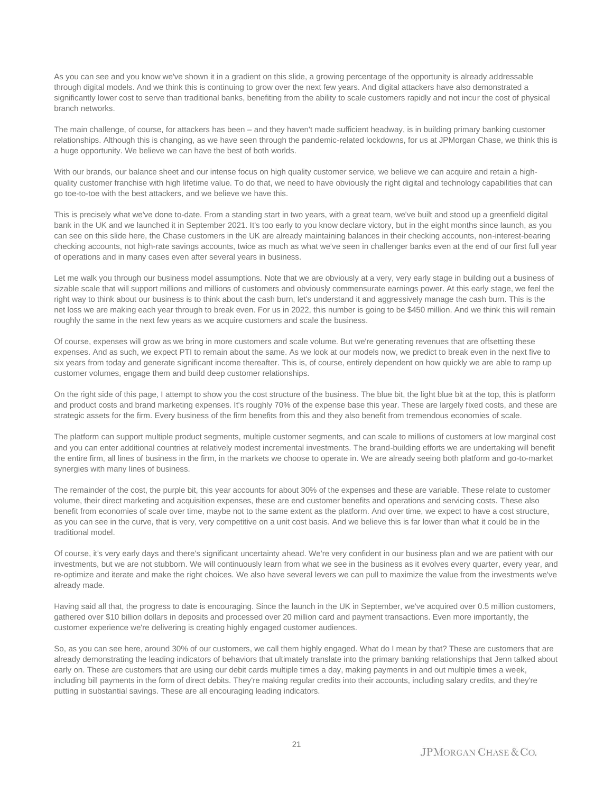As you can see and you know we've shown it in a gradient on this slide, a growing percentage of the opportunity is already addressable through digital models. And we think this is continuing to grow over the next few years. And digital attackers have also demonstrated a significantly lower cost to serve than traditional banks, benefiting from the ability to scale customers rapidly and not incur the cost of physical branch networks.

The main challenge, of course, for attackers has been – and they haven't made sufficient headway, is in building primary banking customer relationships. Although this is changing, as we have seen through the pandemic-related lockdowns, for us at JPMorgan Chase, we think this is a huge opportunity. We believe we can have the best of both worlds.

With our brands, our balance sheet and our intense focus on high quality customer service, we believe we can acquire and retain a highquality customer franchise with high lifetime value. To do that, we need to have obviously the right digital and technology capabilities that can go toe-to-toe with the best attackers, and we believe we have this.

This is precisely what we've done to-date. From a standing start in two years, with a great team, we've built and stood up a greenfield digital bank in the UK and we launched it in September 2021. It's too early to you know declare victory, but in the eight months since launch, as you can see on this slide here, the Chase customers in the UK are already maintaining balances in their checking accounts, non-interest-bearing checking accounts, not high-rate savings accounts, twice as much as what we've seen in challenger banks even at the end of our first full year of operations and in many cases even after several years in business.

Let me walk you through our business model assumptions. Note that we are obviously at a very, very early stage in building out a business of sizable scale that will support millions and millions of customers and obviously commensurate earnings power. At this early stage, we feel the right way to think about our business is to think about the cash burn, let's understand it and aggressively manage the cash burn. This is the net loss we are making each year through to break even. For us in 2022, this number is going to be \$450 million. And we think this will remain roughly the same in the next few years as we acquire customers and scale the business.

Of course, expenses will grow as we bring in more customers and scale volume. But we're generating revenues that are offsetting these expenses. And as such, we expect PTI to remain about the same. As we look at our models now, we predict to break even in the next five to six years from today and generate significant income thereafter. This is, of course, entirely dependent on how quickly we are able to ramp up customer volumes, engage them and build deep customer relationships.

On the right side of this page, I attempt to show you the cost structure of the business. The blue bit, the light blue bit at the top, this is platform and product costs and brand marketing expenses. It's roughly 70% of the expense base this year. These are largely fixed costs, and these are strategic assets for the firm. Every business of the firm benefits from this and they also benefit from tremendous economies of scale.

The platform can support multiple product segments, multiple customer segments, and can scale to millions of customers at low marginal cost and you can enter additional countries at relatively modest incremental investments. The brand-building efforts we are undertaking will benefit the entire firm, all lines of business in the firm, in the markets we choose to operate in. We are already seeing both platform and go-to-market synergies with many lines of business.

The remainder of the cost, the purple bit, this year accounts for about 30% of the expenses and these are variable. These relate to customer volume, their direct marketing and acquisition expenses, these are end customer benefits and operations and servicing costs. These also benefit from economies of scale over time, maybe not to the same extent as the platform. And over time, we expect to have a cost structure, as you can see in the curve, that is very, very competitive on a unit cost basis. And we believe this is far lower than what it could be in the traditional model.

Of course, it's very early days and there's significant uncertainty ahead. We're very confident in our business plan and we are patient with our investments, but we are not stubborn. We will continuously learn from what we see in the business as it evolves every quarter, every year, and re-optimize and iterate and make the right choices. We also have several levers we can pull to maximize the value from the investments we've already made.

Having said all that, the progress to date is encouraging. Since the launch in the UK in September, we've acquired over 0.5 million customers, gathered over \$10 billion dollars in deposits and processed over 20 million card and payment transactions. Even more importantly, the customer experience we're delivering is creating highly engaged customer audiences.

So, as you can see here, around 30% of our customers, we call them highly engaged. What do I mean by that? These are customers that are already demonstrating the leading indicators of behaviors that ultimately translate into the primary banking relationships that Jenn talked about early on. These are customers that are using our debit cards multiple times a day, making payments in and out multiple times a week, including bill payments in the form of direct debits. They're making regular credits into their accounts, including salary credits, and they're putting in substantial savings. These are all encouraging leading indicators.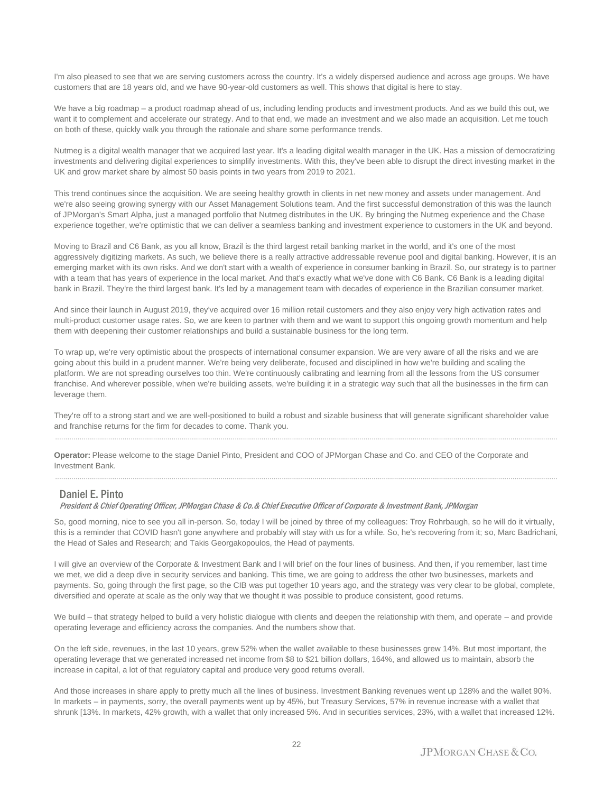I'm also pleased to see that we are serving customers across the country. It's a widely dispersed audience and across age groups. We have customers that are 18 years old, and we have 90-year-old customers as well. This shows that digital is here to stay.

We have a big roadmap – a product roadmap ahead of us, including lending products and investment products. And as we build this out, we want it to complement and accelerate our strategy. And to that end, we made an investment and we also made an acquisition. Let me touch on both of these, quickly walk you through the rationale and share some performance trends.

Nutmeg is a digital wealth manager that we acquired last year. It's a leading digital wealth manager in the UK. Has a mission of democratizing investments and delivering digital experiences to simplify investments. With this, they've been able to disrupt the direct investing market in the UK and grow market share by almost 50 basis points in two years from 2019 to 2021.

This trend continues since the acquisition. We are seeing healthy growth in clients in net new money and assets under management. And we're also seeing growing synergy with our Asset Management Solutions team. And the first successful demonstration of this was the launch of JPMorgan's Smart Alpha, just a managed portfolio that Nutmeg distributes in the UK. By bringing the Nutmeg experience and the Chase experience together, we're optimistic that we can deliver a seamless banking and investment experience to customers in the UK and beyond.

Moving to Brazil and C6 Bank, as you all know, Brazil is the third largest retail banking market in the world, and it's one of the most aggressively digitizing markets. As such, we believe there is a really attractive addressable revenue pool and digital banking. However, it is an emerging market with its own risks. And we don't start with a wealth of experience in consumer banking in Brazil. So, our strategy is to partner with a team that has years of experience in the local market. And that's exactly what we've done with C6 Bank. C6 Bank is a leading digital bank in Brazil. They're the third largest bank. It's led by a management team with decades of experience in the Brazilian consumer market.

And since their launch in August 2019, they've acquired over 16 million retail customers and they also enjoy very high activation rates and multi-product customer usage rates. So, we are keen to partner with them and we want to support this ongoing growth momentum and help them with deepening their customer relationships and build a sustainable business for the long term.

To wrap up, we're very optimistic about the prospects of international consumer expansion. We are very aware of all the risks and we are going about this build in a prudent manner. We're being very deliberate, focused and disciplined in how we're building and scaling the platform. We are not spreading ourselves too thin. We're continuously calibrating and learning from all the lessons from the US consumer franchise. And wherever possible, when we're building assets, we're building it in a strategic way such that all the businesses in the firm can leverage them.

They're off to a strong start and we are well-positioned to build a robust and sizable business that will generate significant shareholder value and franchise returns for the firm for decades to come. Thank you. ......................................................................................................................................................................................................................................................

**Operator:** Please welcome to the stage Daniel Pinto, President and COO of JPMorgan Chase and Co. and CEO of the Corporate and Investment Bank.

### Daniel E. Pinto

President & Chief Operating Officer, JPMorgan Chase & Co.& Chief Executive Officer of Corporate & Investment Bank, JPMorgan

So, good morning, nice to see you all in-person. So, today I will be joined by three of my colleagues: Troy Rohrbaugh, so he will do it virtually, this is a reminder that COVID hasn't gone anywhere and probably will stay with us for a while. So, he's recovering from it; so, Marc Badrichani, the Head of Sales and Research; and Takis Georgakopoulos, the Head of payments.

......................................................................................................................................................................................................................................................

I will give an overview of the Corporate & Investment Bank and I will brief on the four lines of business. And then, if you remember, last time we met, we did a deep dive in security services and banking. This time, we are going to address the other two businesses, markets and payments. So, going through the first page, so the CIB was put together 10 years ago, and the strategy was very clear to be global, complete, diversified and operate at scale as the only way that we thought it was possible to produce consistent, good returns.

We build – that strategy helped to build a very holistic dialogue with clients and deepen the relationship with them, and operate – and provide operating leverage and efficiency across the companies. And the numbers show that.

On the left side, revenues, in the last 10 years, grew 52% when the wallet available to these businesses grew 14%. But most important, the operating leverage that we generated increased net income from \$8 to \$21 billion dollars, 164%, and allowed us to maintain, absorb the increase in capital, a lot of that regulatory capital and produce very good returns overall.

And those increases in share apply to pretty much all the lines of business. Investment Banking revenues went up 128% and the wallet 90%. In markets – in payments, sorry, the overall payments went up by 45%, but Treasury Services, 57% in revenue increase with a wallet that shrunk [13%. In markets, 42% growth, with a wallet that only increased 5%. And in securities services, 23%, with a wallet that increased 12%.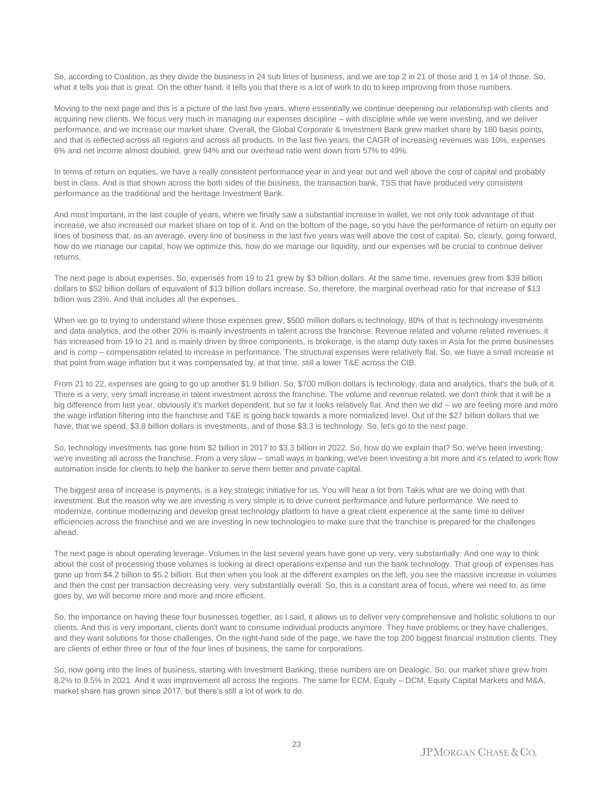So, according to Coalition, as they divide the business in 24 sub lines of business, and we are top 2 in 21 of those and 1 in 14 of those. So, what it tells you that is great. On the other hand, it tells you that there is a lot of work to do to keep improving from those numbers.

Moving to the next page and this is a picture of the last five years, where essentially we continue deepening our relationship with clients and acquiring new clients. We focus very much in managing our expenses discipline – with discipline while we were investing, and we deliver performance, and we increase our market share. Overall, the Global Corporate & Investment Bank grew market share by 180 basis points, and that is reflected across all regions and across all products. In the last five years, the CAGR of increasing revenues was 10%, expenses 6% and net income almost doubled, grew 94% and our overhead ratio went down from 57% to 49%.

In terms of return on equities, we have a really consistent performance year in and year out and well above the cost of capital and probably best in class. And is that shown across the both sides of the business, the transaction bank, TSS that have produced very consistent performance as the traditional and the heritage Investment Bank.

And most important, in the last couple of years, where we finally saw a substantial increase in wallet, we not only took advantage of that increase, we also increased our market share on top of it. And on the bottom of the page, so you have the performance of return on equity per lines of business that, as an average, every line of business in the last five years was well above the cost of capital. So, clearly, going forward, how do we manage our capital, how we optimize this, how do we manage our liquidity, and our expenses will be crucial to continue deliver returns.

The next page is about expenses. So, expenses from 19 to 21 grew by \$3 billion dollars. At the same time, revenues grew from \$39 billion dollars to \$52 billion dollars of equivalent of \$13 billion dollars increase. So, therefore, the marginal overhead ratio for that increase of \$13 billion was 23%. And that includes all the expenses.

When we go to trying to understand where those expenses grew, \$500 million dollars is technology, 80% of that is technology investments and data analytics, and the other 20% is mainly investments in talent across the franchise. Revenue related and volume related revenues, it has increased from 19 to 21 and is mainly driven by three components, is brokerage, is the stamp duty taxes in Asia for the prime businesses and is comp – compensation related to increase in performance. The structural expenses were relatively flat. So, we have a small increase at that point from wage inflation but it was compensated by, at that time, still a lower T&E across the CIB.

From 21 to 22, expenses are going to go up another \$1.9 billion. So, \$700 million dollars is technology, data and analytics, that's the bulk of it. There is a very, very small increase in talent investment across the franchise. The volume and revenue related, we don't think that it will be a big difference from last year, obviously it's market dependent, but so far it looks relatively flat. And then we did – we are feeling more and more the wage inflation filtering into the franchise and T&E is going back towards a more normalized level. Out of the \$27 billion dollars that we have, that we spend, \$3.8 billion dollars is investments, and of those \$3.3 is technology. So, let's go to the next page.

So, technology investments has gone from \$2 billion in 2017 to \$3.3 billion in 2022. So, how do we explain that? So, we've been investing, we're investing all across the franchise. From a very slow – small ways in banking, we've been investing a bit more and it's related to work flow automation inside for clients to help the banker to serve them better and private capital.

The biggest area of increase is payments, is a key strategic initiative for us. You will hear a lot from Takis what are we doing with that investment. But the reason why we are investing is very simple is to drive current performance and future performance. We need to modernize, continue modernizing and develop great technology platform to have a great client experience at the same time to deliver efficiencies across the franchise and we are investing in new technologies to make sure that the franchise is prepared for the challenges ahead.

The next page is about operating leverage. Volumes in the last several years have gone up very, very substantially. And one way to think about the cost of processing those volumes is looking at direct operations expense and run the bank technology. That group of expenses has gone up from \$4.2 billion to \$5.2 billion. But then when you look at the different examples on the left, you see the massive increase in volumes and then the cost per transaction decreasing very, very substantially overall. So, this is a constant area of focus, where we need to, as time goes by, we will become more and more and more efficient.

So, the importance on having these four businesses together, as I said, it allows us to deliver very comprehensive and holistic solutions to our clients. And this is very important, clients don't want to consume individual products anymore. They have problems or they have challenges, and they want solutions for those challenges. On the right-hand side of the page, we have the top 200 biggest financial institution clients. They are clients of either three or four of the four lines of business, the same for corporations.

So, now going into the lines of business, starting with Investment Banking, these numbers are on Dealogic. So, our market share grew from 8.2% to 9.5% in 2021. And it was improvement all across the regions. The same for ECM, Equity – DCM, Equity Capital Markets and M&A, market share has grown since 2017, but there's still a lot of work to do.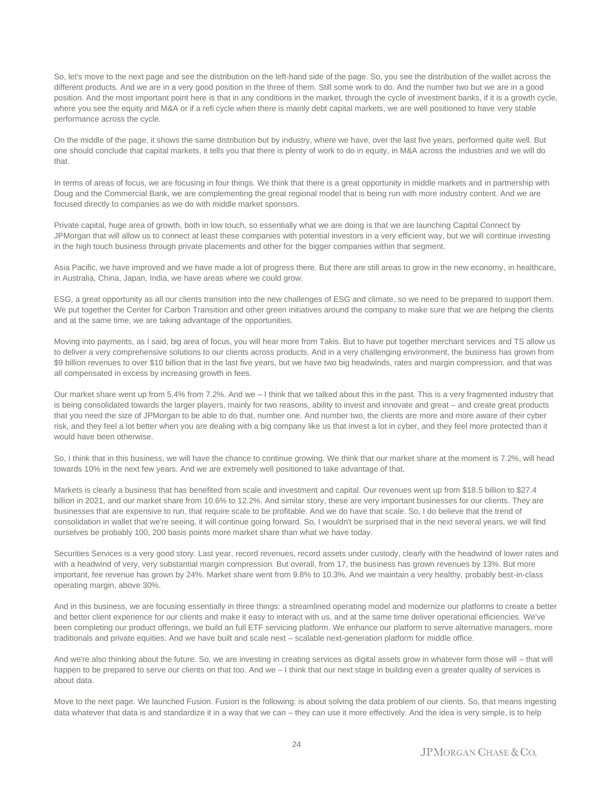So, let's move to the next page and see the distribution on the left-hand side of the page. So, you see the distribution of the wallet across the different products. And we are in a very good position in the three of them. Still some work to do. And the number two but we are in a good position. And the most important point here is that in any conditions in the market, through the cycle of investment banks, if it is a growth cycle, where you see the equity and M&A or if a refi cycle when there is mainly debt capital markets, we are well positioned to have very stable performance across the cycle.

On the middle of the page, it shows the same distribution but by industry, where we have, over the last five years, performed quite well. But one should conclude that capital markets, it tells you that there is plenty of work to do in equity, in M&A across the industries and we will do that.

In terms of areas of focus, we are focusing in four things. We think that there is a great opportunity in middle markets and in partnership with Doug and the Commercial Bank, we are complementing the great regional model that is being run with more industry content. And we are focused directly to companies as we do with middle market sponsors.

Private capital, huge area of growth, both in low touch, so essentially what we are doing is that we are launching Capital Connect by JPMorgan that will allow us to connect at least these companies with potential investors in a very efficient way, but we will continue investing in the high touch business through private placements and other for the bigger companies within that segment.

Asia Pacific, we have improved and we have made a lot of progress there. But there are still areas to grow in the new economy, in healthcare, in Australia, China, Japan, India, we have areas where we could grow.

ESG, a great opportunity as all our clients transition into the new challenges of ESG and climate, so we need to be prepared to support them. We put together the Center for Carbon Transition and other green initiatives around the company to make sure that we are helping the clients and at the same time, we are taking advantage of the opportunities.

Moving into payments, as I said, big area of focus, you will hear more from Takis. But to have put together merchant services and TS allow us to deliver a very comprehensive solutions to our clients across products. And in a very challenging environment, the business has grown from \$9 billion revenues to over \$10 billion that in the last five years, but we have two big headwinds, rates and margin compression, and that was all compensated in excess by increasing growth in fees.

Our market share went up from 5.4% from 7.2%. And we – I think that we talked about this in the past. This is a very fragmented industry that is being consolidated towards the larger players, mainly for two reasons, ability to invest and innovate and great – and create great products that you need the size of JPMorgan to be able to do that, number one. And number two, the clients are more and more aware of their cyber risk, and they feel a lot better when you are dealing with a big company like us that invest a lot in cyber, and they feel more protected than it would have been otherwise.

So, I think that in this business, we will have the chance to continue growing. We think that our market share at the moment is 7.2%, will head towards 10% in the next few years. And we are extremely well positioned to take advantage of that.

Markets is clearly a business that has benefited from scale and investment and capital. Our revenues went up from \$18.5 billion to \$27.4 billion in 2021, and our market share from 10.6% to 12.2%. And similar story, these are very important businesses for our clients. They are businesses that are expensive to run, that require scale to be profitable. And we do have that scale. So, I do believe that the trend of consolidation in wallet that we're seeing, it will continue going forward. So, I wouldn't be surprised that in the next several years, we will find ourselves be probably 100, 200 basis points more market share than what we have today.

Securities Services is a very good story. Last year, record revenues, record assets under custody, clearly with the headwind of lower rates and with a headwind of very, very substantial margin compression. But overall, from 17, the business has grown revenues by 13%. But more important, fee revenue has grown by 24%. Market share went from 9.8% to 10.3%. And we maintain a very healthy, probably best-in-class operating margin, above 30%.

And in this business, we are focusing essentially in three things: a streamlined operating model and modernize our platforms to create a better and better client experience for our clients and make it easy to interact with us, and at the same time deliver operational efficiencies. We've been completing our product offerings, we build an full ETF servicing platform. We enhance our platform to serve alternative managers, more traditionals and private equities. And we have built and scale next – scalable next-generation platform for middle office.

And we're also thinking about the future. So, we are investing in creating services as digital assets grow in whatever form those will – that will happen to be prepared to serve our clients on that too. And we - I think that our next stage in building even a greater quality of services is about data.

Move to the next page. We launched Fusion. Fusion is the following: is about solving the data problem of our clients. So, that means ingesting data whatever that data is and standardize it in a way that we can – they can use it more effectively. And the idea is very simple, is to help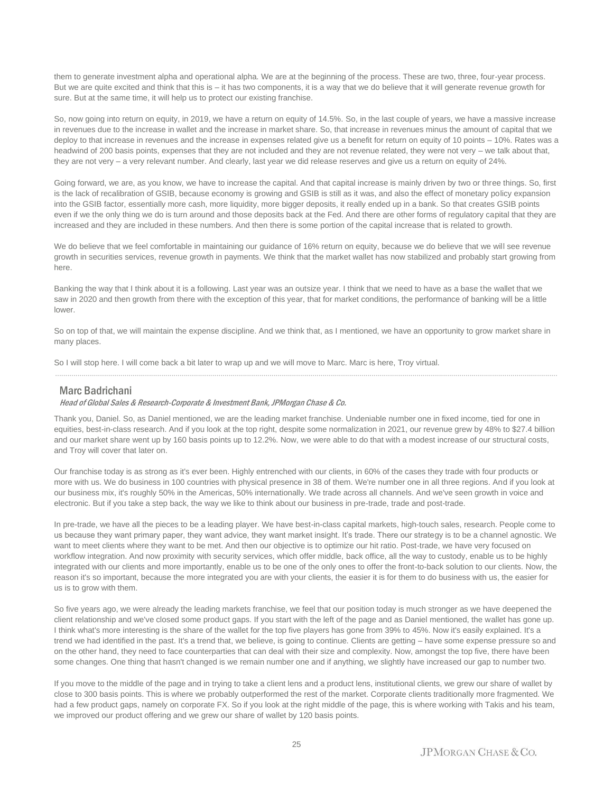them to generate investment alpha and operational alpha. We are at the beginning of the process. These are two, three, four-year process. But we are quite excited and think that this is – it has two components, it is a way that we do believe that it will generate revenue growth for sure. But at the same time, it will help us to protect our existing franchise.

So, now going into return on equity, in 2019, we have a return on equity of 14.5%. So, in the last couple of years, we have a massive increase in revenues due to the increase in wallet and the increase in market share. So, that increase in revenues minus the amount of capital that we deploy to that increase in revenues and the increase in expenses related give us a benefit for return on equity of 10 points – 10%. Rates was a headwind of 200 basis points, expenses that they are not included and they are not revenue related, they were not very – we talk about that, they are not very – a very relevant number. And clearly, last year we did release reserves and give us a return on equity of 24%.

Going forward, we are, as you know, we have to increase the capital. And that capital increase is mainly driven by two or three things. So, first is the lack of recalibration of GSIB, because economy is growing and GSIB is still as it was, and also the effect of monetary policy expansion into the GSIB factor, essentially more cash, more liquidity, more bigger deposits, it really ended up in a bank. So that creates GSIB points even if we the only thing we do is turn around and those deposits back at the Fed. And there are other forms of regulatory capital that they are increased and they are included in these numbers. And then there is some portion of the capital increase that is related to growth.

We do believe that we feel comfortable in maintaining our guidance of 16% return on equity, because we do believe that we will see revenue growth in securities services, revenue growth in payments. We think that the market wallet has now stabilized and probably start growing from here.

Banking the way that I think about it is a following. Last year was an outsize year. I think that we need to have as a base the wallet that we saw in 2020 and then growth from there with the exception of this year, that for market conditions, the performance of banking will be a little lower.

So on top of that, we will maintain the expense discipline. And we think that, as I mentioned, we have an opportunity to grow market share in many places.

......................................................................................................................................................................................................................................................

So I will stop here. I will come back a bit later to wrap up and we will move to Marc. Marc is here, Troy virtual.

### Marc Badrichani

Head of Global Sales & Research-Corporate & Investment Bank, JPMorgan Chase & Co.

Thank you, Daniel. So, as Daniel mentioned, we are the leading market franchise. Undeniable number one in fixed income, tied for one in equities, best-in-class research. And if you look at the top right, despite some normalization in 2021, our revenue grew by 48% to \$27.4 billion and our market share went up by 160 basis points up to 12.2%. Now, we were able to do that with a modest increase of our structural costs, and Troy will cover that later on.

Our franchise today is as strong as it's ever been. Highly entrenched with our clients, in 60% of the cases they trade with four products or more with us. We do business in 100 countries with physical presence in 38 of them. We're number one in all three regions. And if you look at our business mix, it's roughly 50% in the Americas, 50% internationally. We trade across all channels. And we've seen growth in voice and electronic. But if you take a step back, the way we like to think about our business in pre-trade, trade and post-trade.

In pre-trade, we have all the pieces to be a leading player. We have best-in-class capital markets, high-touch sales, research. People come to us because they want primary paper, they want advice, they want market insight. It's trade. There our strategy is to be a channel agnostic. We want to meet clients where they want to be met. And then our objective is to optimize our hit ratio. Post-trade, we have very focused on workflow integration. And now proximity with security services, which offer middle, back office, all the way to custody, enable us to be highly integrated with our clients and more importantly, enable us to be one of the only ones to offer the front-to-back solution to our clients. Now, the reason it's so important, because the more integrated you are with your clients, the easier it is for them to do business with us, the easier for us is to grow with them.

So five years ago, we were already the leading markets franchise, we feel that our position today is much stronger as we have deepened the client relationship and we've closed some product gaps. If you start with the left of the page and as Daniel mentioned, the wallet has gone up. I think what's more interesting is the share of the wallet for the top five players has gone from 39% to 45%. Now it's easily explained. It's a trend we had identified in the past. It's a trend that, we believe, is going to continue. Clients are getting – have some expense pressure so and on the other hand, they need to face counterparties that can deal with their size and complexity. Now, amongst the top five, there have been some changes. One thing that hasn't changed is we remain number one and if anything, we slightly have increased our gap to number two.

If you move to the middle of the page and in trying to take a client lens and a product lens, institutional clients, we grew our share of wallet by close to 300 basis points. This is where we probably outperformed the rest of the market. Corporate clients traditionally more fragmented. We had a few product gaps, namely on corporate FX. So if you look at the right middle of the page, this is where working with Takis and his team, we improved our product offering and we grew our share of wallet by 120 basis points.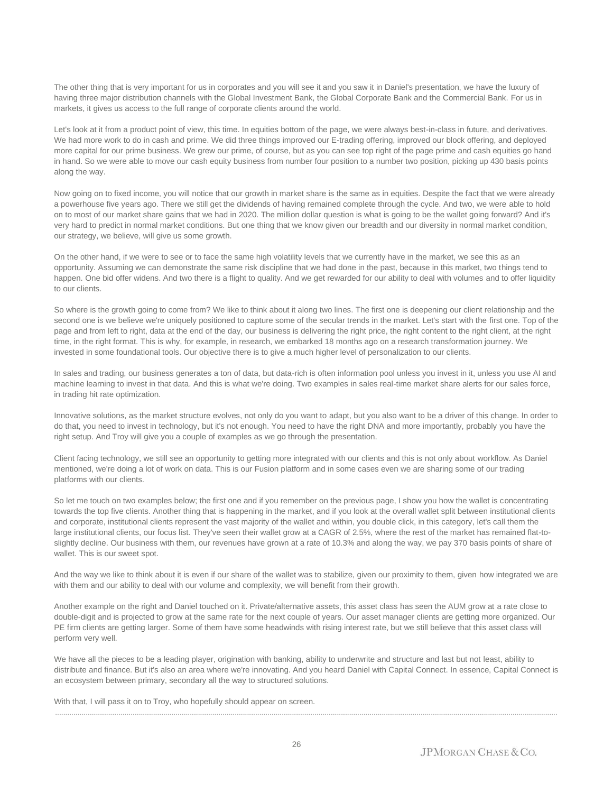The other thing that is very important for us in corporates and you will see it and you saw it in Daniel's presentation, we have the luxury of having three major distribution channels with the Global Investment Bank, the Global Corporate Bank and the Commercial Bank. For us in markets, it gives us access to the full range of corporate clients around the world.

Let's look at it from a product point of view, this time. In equities bottom of the page, we were always best-in-class in future, and derivatives. We had more work to do in cash and prime. We did three things improved our E-trading offering, improved our block offering, and deployed more capital for our prime business. We grew our prime, of course, but as you can see top right of the page prime and cash equities go hand in hand. So we were able to move our cash equity business from number four position to a number two position, picking up 430 basis points along the way.

Now going on to fixed income, you will notice that our growth in market share is the same as in equities. Despite the fact that we were already a powerhouse five years ago. There we still get the dividends of having remained complete through the cycle. And two, we were able to hold on to most of our market share gains that we had in 2020. The million dollar question is what is going to be the wallet going forward? And it's very hard to predict in normal market conditions. But one thing that we know given our breadth and our diversity in normal market condition, our strategy, we believe, will give us some growth.

On the other hand, if we were to see or to face the same high volatility levels that we currently have in the market, we see this as an opportunity. Assuming we can demonstrate the same risk discipline that we had done in the past, because in this market, two things tend to happen. One bid offer widens. And two there is a flight to quality. And we get rewarded for our ability to deal with volumes and to offer liquidity to our clients.

So where is the growth going to come from? We like to think about it along two lines. The first one is deepening our client relationship and the second one is we believe we're uniquely positioned to capture some of the secular trends in the market. Let's start with the first one. Top of the page and from left to right, data at the end of the day, our business is delivering the right price, the right content to the right client, at the right time, in the right format. This is why, for example, in research, we embarked 18 months ago on a research transformation journey. We invested in some foundational tools. Our objective there is to give a much higher level of personalization to our clients.

In sales and trading, our business generates a ton of data, but data-rich is often information pool unless you invest in it, unless you use AI and machine learning to invest in that data. And this is what we're doing. Two examples in sales real-time market share alerts for our sales force, in trading hit rate optimization.

Innovative solutions, as the market structure evolves, not only do you want to adapt, but you also want to be a driver of this change. In order to do that, you need to invest in technology, but it's not enough. You need to have the right DNA and more importantly, probably you have the right setup. And Troy will give you a couple of examples as we go through the presentation.

Client facing technology, we still see an opportunity to getting more integrated with our clients and this is not only about workflow. As Daniel mentioned, we're doing a lot of work on data. This is our Fusion platform and in some cases even we are sharing some of our trading platforms with our clients.

So let me touch on two examples below; the first one and if you remember on the previous page, I show you how the wallet is concentrating towards the top five clients. Another thing that is happening in the market, and if you look at the overall wallet split between institutional clients and corporate, institutional clients represent the vast majority of the wallet and within, you double click, in this category, let's call them the large institutional clients, our focus list. They've seen their wallet grow at a CAGR of 2.5%, where the rest of the market has remained flat-toslightly decline. Our business with them, our revenues have grown at a rate of 10.3% and along the way, we pay 370 basis points of share of wallet. This is our sweet spot.

And the way we like to think about it is even if our share of the wallet was to stabilize, given our proximity to them, given how integrated we are with them and our ability to deal with our volume and complexity, we will benefit from their growth.

Another example on the right and Daniel touched on it. Private/alternative assets, this asset class has seen the AUM grow at a rate close to double-digit and is projected to grow at the same rate for the next couple of years. Our asset manager clients are getting more organized. Our PE firm clients are getting larger. Some of them have some headwinds with rising interest rate, but we still believe that this asset class will perform very well.

We have all the pieces to be a leading player, origination with banking, ability to underwrite and structure and last but not least, ability to distribute and finance. But it's also an area where we're innovating. And you heard Daniel with Capital Connect. In essence, Capital Connect is an ecosystem between primary, secondary all the way to structured solutions.

......................................................................................................................................................................................................................................................

With that, I will pass it on to Troy, who hopefully should appear on screen.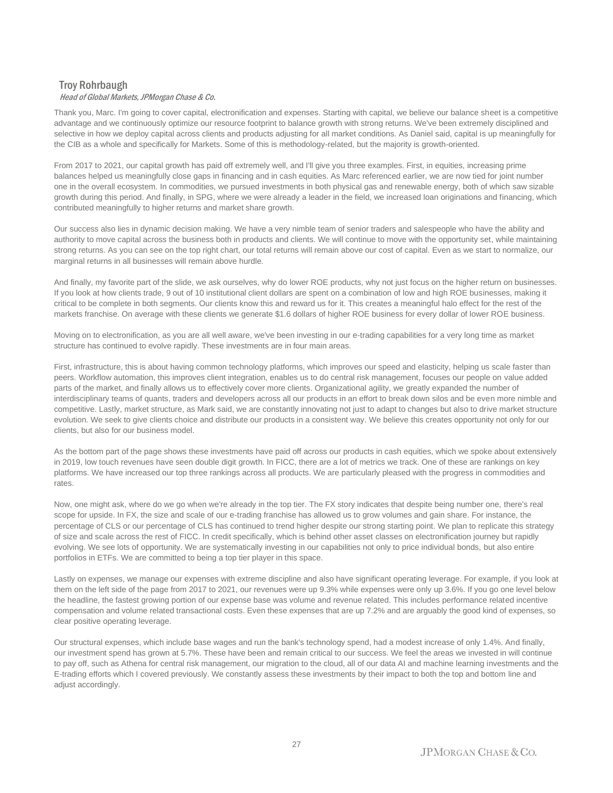## Troy Rohrbaugh Head of Global Markets, JPMorgan Chase & Co.

Thank you, Marc. I'm going to cover capital, electronification and expenses. Starting with capital, we believe our balance sheet is a competitive advantage and we continuously optimize our resource footprint to balance growth with strong returns. We've been extremely disciplined and selective in how we deploy capital across clients and products adjusting for all market conditions. As Daniel said, capital is up meaningfully for the CIB as a whole and specifically for Markets. Some of this is methodology-related, but the majority is growth-oriented.

From 2017 to 2021, our capital growth has paid off extremely well, and I'll give you three examples. First, in equities, increasing prime balances helped us meaningfully close gaps in financing and in cash equities. As Marc referenced earlier, we are now tied for joint number one in the overall ecosystem. In commodities, we pursued investments in both physical gas and renewable energy, both of which saw sizable growth during this period. And finally, in SPG, where we were already a leader in the field, we increased loan originations and financing, which contributed meaningfully to higher returns and market share growth.

Our success also lies in dynamic decision making. We have a very nimble team of senior traders and salespeople who have the ability and authority to move capital across the business both in products and clients. We will continue to move with the opportunity set, while maintaining strong returns. As you can see on the top right chart, our total returns will remain above our cost of capital. Even as we start to normalize, our marginal returns in all businesses will remain above hurdle.

And finally, my favorite part of the slide, we ask ourselves, why do lower ROE products, why not just focus on the higher return on businesses. If you look at how clients trade, 9 out of 10 institutional client dollars are spent on a combination of low and high ROE businesses, making it critical to be complete in both segments. Our clients know this and reward us for it. This creates a meaningful halo effect for the rest of the markets franchise. On average with these clients we generate \$1.6 dollars of higher ROE business for every dollar of lower ROE business.

Moving on to electronification, as you are all well aware, we've been investing in our e-trading capabilities for a very long time as market structure has continued to evolve rapidly. These investments are in four main areas.

First, infrastructure, this is about having common technology platforms, which improves our speed and elasticity, helping us scale faster than peers. Workflow automation, this improves client integration, enables us to do central risk management, focuses our people on value added parts of the market, and finally allows us to effectively cover more clients. Organizational agility, we greatly expanded the number of interdisciplinary teams of quants, traders and developers across all our products in an effort to break down silos and be even more nimble and competitive. Lastly, market structure, as Mark said, we are constantly innovating not just to adapt to changes but also to drive market structure evolution. We seek to give clients choice and distribute our products in a consistent way. We believe this creates opportunity not only for our clients, but also for our business model.

As the bottom part of the page shows these investments have paid off across our products in cash equities, which we spoke about extensively in 2019, low touch revenues have seen double digit growth. In FICC, there are a lot of metrics we track. One of these are rankings on key platforms. We have increased our top three rankings across all products. We are particularly pleased with the progress in commodities and rates.

Now, one might ask, where do we go when we're already in the top tier. The FX story indicates that despite being number one, there's real scope for upside. In FX, the size and scale of our e-trading franchise has allowed us to grow volumes and gain share. For instance, the percentage of CLS or our percentage of CLS has continued to trend higher despite our strong starting point. We plan to replicate this strategy of size and scale across the rest of FICC. In credit specifically, which is behind other asset classes on electronification journey but rapidly evolving. We see lots of opportunity. We are systematically investing in our capabilities not only to price individual bonds, but also entire portfolios in ETFs. We are committed to being a top tier player in this space.

Lastly on expenses, we manage our expenses with extreme discipline and also have significant operating leverage. For example, if you look at them on the left side of the page from 2017 to 2021, our revenues were up 9.3% while expenses were only up 3.6%. If you go one level below the headline, the fastest growing portion of our expense base was volume and revenue related. This includes performance related incentive compensation and volume related transactional costs. Even these expenses that are up 7.2% and are arguably the good kind of expenses, so clear positive operating leverage.

Our structural expenses, which include base wages and run the bank's technology spend, had a modest increase of only 1.4%. And finally, our investment spend has grown at 5.7%. These have been and remain critical to our success. We feel the areas we invested in will continue to pay off, such as Athena for central risk management, our migration to the cloud, all of our data AI and machine learning investments and the E-trading efforts which I covered previously. We constantly assess these investments by their impact to both the top and bottom line and adjust accordingly.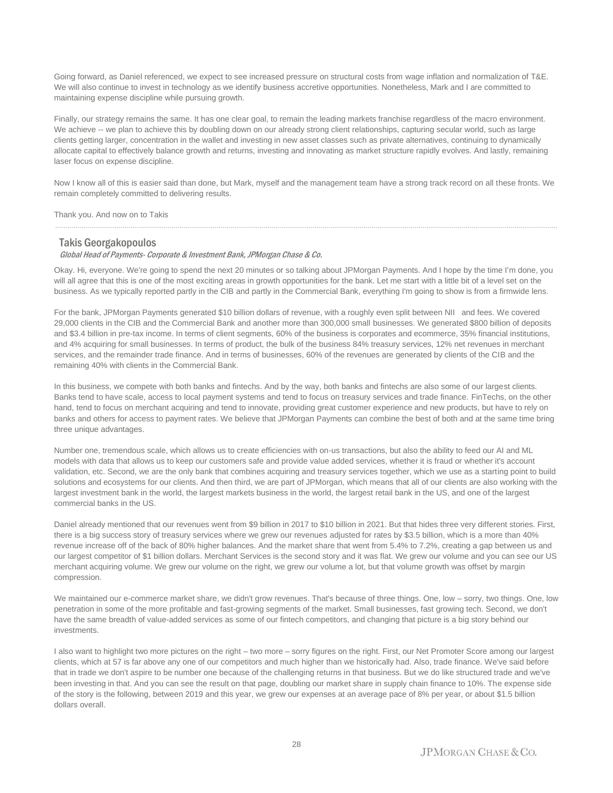Going forward, as Daniel referenced, we expect to see increased pressure on structural costs from wage inflation and normalization of T&E. We will also continue to invest in technology as we identify business accretive opportunities. Nonetheless, Mark and I are committed to maintaining expense discipline while pursuing growth.

Finally, our strategy remains the same. It has one clear goal, to remain the leading markets franchise regardless of the macro environment. We achieve -- we plan to achieve this by doubling down on our already strong client relationships, capturing secular world, such as large clients getting larger, concentration in the wallet and investing in new asset classes such as private alternatives, continuing to dynamically allocate capital to effectively balance growth and returns, investing and innovating as market structure rapidly evolves. And lastly, remaining laser focus on expense discipline.

Now I know all of this is easier said than done, but Mark, myself and the management team have a strong track record on all these fronts. We remain completely committed to delivering results.

......................................................................................................................................................................................................................................................

Thank you. And now on to Takis

#### Takis Georgakopoulos

Global Head of Payments- Corporate & Investment Bank, JPMorgan Chase & Co.

Okay. Hi, everyone. We're going to spend the next 20 minutes or so talking about JPMorgan Payments. And I hope by the time I'm done, you will all agree that this is one of the most exciting areas in growth opportunities for the bank. Let me start with a little bit of a level set on the business. As we typically reported partly in the CIB and partly in the Commercial Bank, everything I'm going to show is from a firmwide lens.

For the bank, JPMorgan Payments generated \$10 billion dollars of revenue, with a roughly even split between NII and fees. We covered 29,000 clients in the CIB and the Commercial Bank and another more than 300,000 small businesses. We generated \$800 billion of deposits and \$3.4 billion in pre-tax income. In terms of client segments, 60% of the business is corporates and ecommerce, 35% financial institutions, and 4% acquiring for small businesses. In terms of product, the bulk of the business 84% treasury services, 12% net revenues in merchant services, and the remainder trade finance. And in terms of businesses, 60% of the revenues are generated by clients of the CIB and the remaining 40% with clients in the Commercial Bank.

In this business, we compete with both banks and fintechs. And by the way, both banks and fintechs are also some of our largest clients. Banks tend to have scale, access to local payment systems and tend to focus on treasury services and trade finance. FinTechs, on the other hand, tend to focus on merchant acquiring and tend to innovate, providing great customer experience and new products, but have to rely on banks and others for access to payment rates. We believe that JPMorgan Payments can combine the best of both and at the same time bring three unique advantages.

Number one, tremendous scale, which allows us to create efficiencies with on-us transactions, but also the ability to feed our AI and ML models with data that allows us to keep our customers safe and provide value added services, whether it is fraud or whether it's account validation, etc. Second, we are the only bank that combines acquiring and treasury services together, which we use as a starting point to build solutions and ecosystems for our clients. And then third, we are part of JPMorgan, which means that all of our clients are also working with the largest investment bank in the world, the largest markets business in the world, the largest retail bank in the US, and one of the largest commercial banks in the US.

Daniel already mentioned that our revenues went from \$9 billion in 2017 to \$10 billion in 2021. But that hides three very different stories. First, there is a big success story of treasury services where we grew our revenues adjusted for rates by \$3.5 billion, which is a more than 40% revenue increase off of the back of 80% higher balances. And the market share that went from 5.4% to 7.2%, creating a gap between us and our largest competitor of \$1 billion dollars. Merchant Services is the second story and it was flat. We grew our volume and you can see our US merchant acquiring volume. We grew our volume on the right, we grew our volume a lot, but that volume growth was offset by margin compression.

We maintained our e-commerce market share, we didn't grow revenues. That's because of three things. One, low – sorry, two things. One, low penetration in some of the more profitable and fast-growing segments of the market. Small businesses, fast growing tech. Second, we don't have the same breadth of value-added services as some of our fintech competitors, and changing that picture is a big story behind our investments.

I also want to highlight two more pictures on the right – two more – sorry figures on the right. First, our Net Promoter Score among our largest clients, which at 57 is far above any one of our competitors and much higher than we historically had. Also, trade finance. We've said before that in trade we don't aspire to be number one because of the challenging returns in that business. But we do like structured trade and we've been investing in that. And you can see the result on that page, doubling our market share in supply chain finance to 10%. The expense side of the story is the following, between 2019 and this year, we grew our expenses at an average pace of 8% per year, or about \$1.5 billion dollars overall.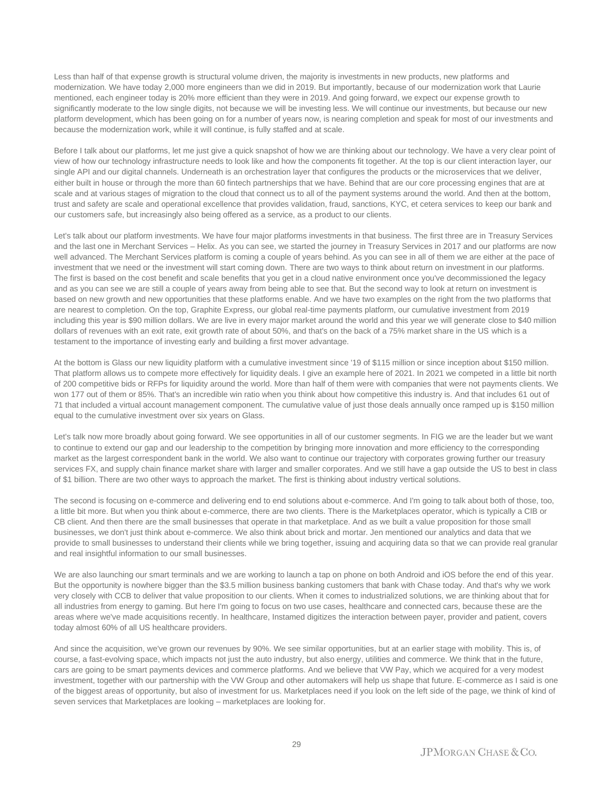Less than half of that expense growth is structural volume driven, the majority is investments in new products, new platforms and modernization. We have today 2,000 more engineers than we did in 2019. But importantly, because of our modernization work that Laurie mentioned, each engineer today is 20% more efficient than they were in 2019. And going forward, we expect our expense growth to significantly moderate to the low single digits, not because we will be investing less. We will continue our investments, but because our new platform development, which has been going on for a number of years now, is nearing completion and speak for most of our investments and because the modernization work, while it will continue, is fully staffed and at scale.

Before I talk about our platforms, let me just give a quick snapshot of how we are thinking about our technology. We have a very clear point of view of how our technology infrastructure needs to look like and how the components fit together. At the top is our client interaction layer, our single API and our digital channels. Underneath is an orchestration layer that configures the products or the microservices that we deliver, either built in house or through the more than 60 fintech partnerships that we have. Behind that are our core processing engines that are at scale and at various stages of migration to the cloud that connect us to all of the payment systems around the world. And then at the bottom, trust and safety are scale and operational excellence that provides validation, fraud, sanctions, KYC, et cetera services to keep our bank and our customers safe, but increasingly also being offered as a service, as a product to our clients.

Let's talk about our platform investments. We have four major platforms investments in that business. The first three are in Treasury Services and the last one in Merchant Services – Helix. As you can see, we started the journey in Treasury Services in 2017 and our platforms are now well advanced. The Merchant Services platform is coming a couple of years behind. As you can see in all of them we are either at the pace of investment that we need or the investment will start coming down. There are two ways to think about return on investment in our platforms. The first is based on the cost benefit and scale benefits that you get in a cloud native environment once you've decommissioned the legacy and as you can see we are still a couple of years away from being able to see that. But the second way to look at return on investment is based on new growth and new opportunities that these platforms enable. And we have two examples on the right from the two platforms that are nearest to completion. On the top, Graphite Express, our global real-time payments platform, our cumulative investment from 2019 including this year is \$90 million dollars. We are live in every major market around the world and this year we will generate close to \$40 million dollars of revenues with an exit rate, exit growth rate of about 50%, and that's on the back of a 75% market share in the US which is a testament to the importance of investing early and building a first mover advantage.

At the bottom is Glass our new liquidity platform with a cumulative investment since '19 of \$115 million or since inception about \$150 million. That platform allows us to compete more effectively for liquidity deals. I give an example here of 2021. In 2021 we competed in a little bit north of 200 competitive bids or RFPs for liquidity around the world. More than half of them were with companies that were not payments clients. We won 177 out of them or 85%. That's an incredible win ratio when you think about how competitive this industry is. And that includes 61 out of 71 that included a virtual account management component. The cumulative value of just those deals annually once ramped up is \$150 million equal to the cumulative investment over six years on Glass.

Let's talk now more broadly about going forward. We see opportunities in all of our customer segments. In FIG we are the leader but we want to continue to extend our gap and our leadership to the competition by bringing more innovation and more efficiency to the corresponding market as the largest correspondent bank in the world. We also want to continue our trajectory with corporates growing further our treasury services FX, and supply chain finance market share with larger and smaller corporates. And we still have a gap outside the US to best in class of \$1 billion. There are two other ways to approach the market. The first is thinking about industry vertical solutions.

The second is focusing on e-commerce and delivering end to end solutions about e-commerce. And I'm going to talk about both of those, too, a little bit more. But when you think about e-commerce, there are two clients. There is the Marketplaces operator, which is typically a CIB or CB client. And then there are the small businesses that operate in that marketplace. And as we built a value proposition for those small businesses, we don't just think about e-commerce. We also think about brick and mortar. Jen mentioned our analytics and data that we provide to small businesses to understand their clients while we bring together, issuing and acquiring data so that we can provide real granular and real insightful information to our small businesses.

We are also launching our smart terminals and we are working to launch a tap on phone on both Android and iOS before the end of this year. But the opportunity is nowhere bigger than the \$3.5 million business banking customers that bank with Chase today. And that's why we work very closely with CCB to deliver that value proposition to our clients. When it comes to industrialized solutions, we are thinking about that for all industries from energy to gaming. But here I'm going to focus on two use cases, healthcare and connected cars, because these are the areas where we've made acquisitions recently. In healthcare, Instamed digitizes the interaction between payer, provider and patient, covers today almost 60% of all US healthcare providers.

And since the acquisition, we've grown our revenues by 90%. We see similar opportunities, but at an earlier stage with mobility. This is, of course, a fast-evolving space, which impacts not just the auto industry, but also energy, utilities and commerce. We think that in the future, cars are going to be smart payments devices and commerce platforms. And we believe that VW Pay, which we acquired for a very modest investment, together with our partnership with the VW Group and other automakers will help us shape that future. E-commerce as I said is one of the biggest areas of opportunity, but also of investment for us. Marketplaces need if you look on the left side of the page, we think of kind of seven services that Marketplaces are looking – marketplaces are looking for.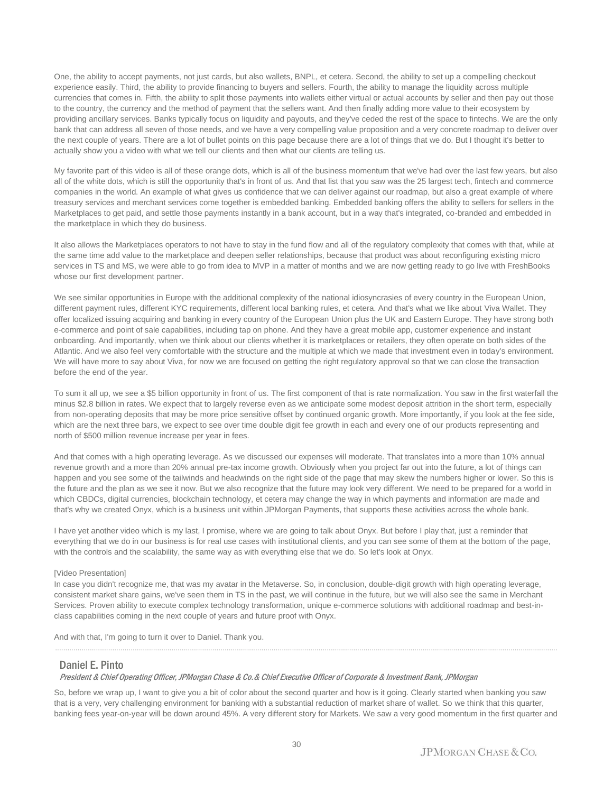One, the ability to accept payments, not just cards, but also wallets, BNPL, et cetera. Second, the ability to set up a compelling checkout experience easily. Third, the ability to provide financing to buyers and sellers. Fourth, the ability to manage the liquidity across multiple currencies that comes in. Fifth, the ability to split those payments into wallets either virtual or actual accounts by seller and then pay out those to the country, the currency and the method of payment that the sellers want. And then finally adding more value to their ecosystem by providing ancillary services. Banks typically focus on liquidity and payouts, and they've ceded the rest of the space to fintechs. We are the only bank that can address all seven of those needs, and we have a very compelling value proposition and a very concrete roadmap to deliver over the next couple of years. There are a lot of bullet points on this page because there are a lot of things that we do. But I thought it's better to actually show you a video with what we tell our clients and then what our clients are telling us.

My favorite part of this video is all of these orange dots, which is all of the business momentum that we've had over the last few years, but also all of the white dots, which is still the opportunity that's in front of us. And that list that you saw was the 25 largest tech, fintech and commerce companies in the world. An example of what gives us confidence that we can deliver against our roadmap, but also a great example of where treasury services and merchant services come together is embedded banking. Embedded banking offers the ability to sellers for sellers in the Marketplaces to get paid, and settle those payments instantly in a bank account, but in a way that's integrated, co-branded and embedded in the marketplace in which they do business.

It also allows the Marketplaces operators to not have to stay in the fund flow and all of the regulatory complexity that comes with that, while at the same time add value to the marketplace and deepen seller relationships, because that product was about reconfiguring existing micro services in TS and MS, we were able to go from idea to MVP in a matter of months and we are now getting ready to go live with FreshBooks whose our first development partner.

We see similar opportunities in Europe with the additional complexity of the national idiosyncrasies of every country in the European Union, different payment rules, different KYC requirements, different local banking rules, et cetera. And that's what we like about Viva Wallet. They offer localized issuing acquiring and banking in every country of the European Union plus the UK and Eastern Europe. They have strong both e-commerce and point of sale capabilities, including tap on phone. And they have a great mobile app, customer experience and instant onboarding. And importantly, when we think about our clients whether it is marketplaces or retailers, they often operate on both sides of the Atlantic. And we also feel very comfortable with the structure and the multiple at which we made that investment even in today's environment. We will have more to say about Viva, for now we are focused on getting the right regulatory approval so that we can close the transaction before the end of the year.

To sum it all up, we see a \$5 billion opportunity in front of us. The first component of that is rate normalization. You saw in the first waterfall the minus \$2.8 billion in rates. We expect that to largely reverse even as we anticipate some modest deposit attrition in the short term, especially from non-operating deposits that may be more price sensitive offset by continued organic growth. More importantly, if you look at the fee side, which are the next three bars, we expect to see over time double digit fee growth in each and every one of our products representing and north of \$500 million revenue increase per year in fees.

And that comes with a high operating leverage. As we discussed our expenses will moderate. That translates into a more than 10% annual revenue growth and a more than 20% annual pre-tax income growth. Obviously when you project far out into the future, a lot of things can happen and you see some of the tailwinds and headwinds on the right side of the page that may skew the numbers higher or lower. So this is the future and the plan as we see it now. But we also recognize that the future may look very different. We need to be prepared for a world in which CBDCs, digital currencies, blockchain technology, et cetera may change the way in which payments and information are made and that's why we created Onyx, which is a business unit within JPMorgan Payments, that supports these activities across the whole bank.

I have yet another video which is my last, I promise, where we are going to talk about Onyx. But before I play that, just a reminder that everything that we do in our business is for real use cases with institutional clients, and you can see some of them at the bottom of the page, with the controls and the scalability, the same way as with everything else that we do. So let's look at Onyx.

#### [Video Presentation]

In case you didn't recognize me, that was my avatar in the Metaverse. So, in conclusion, double-digit growth with high operating leverage, consistent market share gains, we've seen them in TS in the past, we will continue in the future, but we will also see the same in Merchant Services. Proven ability to execute complex technology transformation, unique e-commerce solutions with additional roadmap and best-inclass capabilities coming in the next couple of years and future proof with Onyx.

And with that, I'm going to turn it over to Daniel. Thank you.

### Daniel E. Pinto

#### President & Chief Operating Officer, JPMorgan Chase & Co.& Chief Executive Officer of Corporate & Investment Bank, JPMorgan

So, before we wrap up, I want to give you a bit of color about the second quarter and how is it going. Clearly started when banking you saw that is a very, very challenging environment for banking with a substantial reduction of market share of wallet. So we think that this quarter, banking fees year-on-year will be down around 45%. A very different story for Markets. We saw a very good momentum in the first quarter and

......................................................................................................................................................................................................................................................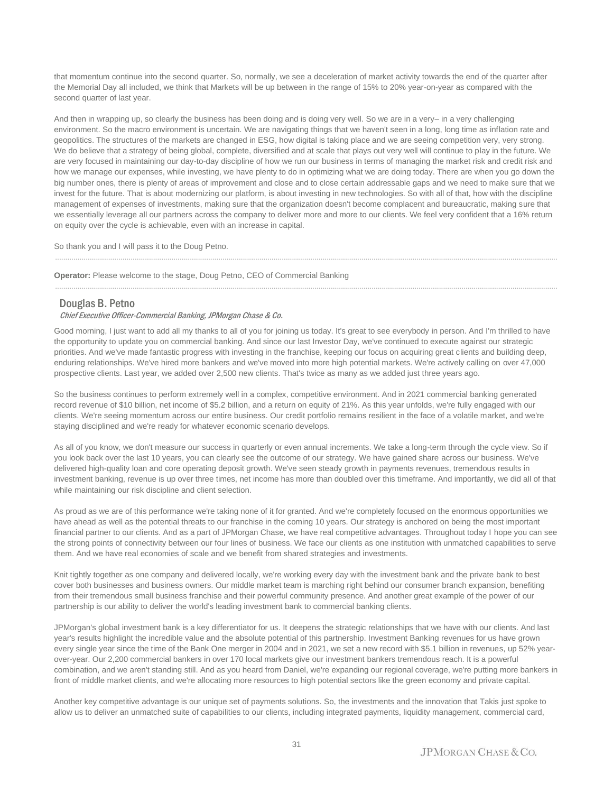that momentum continue into the second quarter. So, normally, we see a deceleration of market activity towards the end of the quarter after the Memorial Day all included, we think that Markets will be up between in the range of 15% to 20% year-on-year as compared with the second quarter of last year.

And then in wrapping up, so clearly the business has been doing and is doing very well. So we are in a very– in a very challenging environment. So the macro environment is uncertain. We are navigating things that we haven't seen in a long, long time as inflation rate and geopolitics. The structures of the markets are changed in ESG, how digital is taking place and we are seeing competition very, very strong. We do believe that a strategy of being global, complete, diversified and at scale that plays out very well will continue to play in the future. We are very focused in maintaining our day-to-day discipline of how we run our business in terms of managing the market risk and credit risk and how we manage our expenses, while investing, we have plenty to do in optimizing what we are doing today. There are when you go down the big number ones, there is plenty of areas of improvement and close and to close certain addressable gaps and we need to make sure that we invest for the future. That is about modernizing our platform, is about investing in new technologies. So with all of that, how with the discipline management of expenses of investments, making sure that the organization doesn't become complacent and bureaucratic, making sure that we essentially leverage all our partners across the company to deliver more and more to our clients. We feel very confident that a 16% return on equity over the cycle is achievable, even with an increase in capital.

......................................................................................................................................................................................................................................................

......................................................................................................................................................................................................................................................

So thank you and I will pass it to the Doug Petno.

**Operator:** Please welcome to the stage, Doug Petno, CEO of Commercial Banking

#### Douglas B. Petno

#### Chief Executive Officer-Commercial Banking, JPMorgan Chase & Co.

Good morning, I just want to add all my thanks to all of you for joining us today. It's great to see everybody in person. And I'm thrilled to have the opportunity to update you on commercial banking. And since our last Investor Day, we've continued to execute against our strategic priorities. And we've made fantastic progress with investing in the franchise, keeping our focus on acquiring great clients and building deep, enduring relationships. We've hired more bankers and we've moved into more high potential markets. We're actively calling on over 47,000 prospective clients. Last year, we added over 2,500 new clients. That's twice as many as we added just three years ago.

So the business continues to perform extremely well in a complex, competitive environment. And in 2021 commercial banking generated record revenue of \$10 billion, net income of \$5.2 billion, and a return on equity of 21%. As this year unfolds, we're fully engaged with our clients. We're seeing momentum across our entire business. Our credit portfolio remains resilient in the face of a volatile market, and we're staying disciplined and we're ready for whatever economic scenario develops.

As all of you know, we don't measure our success in quarterly or even annual increments. We take a long-term through the cycle view. So if you look back over the last 10 years, you can clearly see the outcome of our strategy. We have gained share across our business. We've delivered high-quality loan and core operating deposit growth. We've seen steady growth in payments revenues, tremendous results in investment banking, revenue is up over three times, net income has more than doubled over this timeframe. And importantly, we did all of that while maintaining our risk discipline and client selection.

As proud as we are of this performance we're taking none of it for granted. And we're completely focused on the enormous opportunities we have ahead as well as the potential threats to our franchise in the coming 10 years. Our strategy is anchored on being the most important financial partner to our clients. And as a part of JPMorgan Chase, we have real competitive advantages. Throughout today I hope you can see the strong points of connectivity between our four lines of business. We face our clients as one institution with unmatched capabilities to serve them. And we have real economies of scale and we benefit from shared strategies and investments.

Knit tightly together as one company and delivered locally, we're working every day with the investment bank and the private bank to best cover both businesses and business owners. Our middle market team is marching right behind our consumer branch expansion, benefiting from their tremendous small business franchise and their powerful community presence. And another great example of the power of our partnership is our ability to deliver the world's leading investment bank to commercial banking clients.

JPMorgan's global investment bank is a key differentiator for us. It deepens the strategic relationships that we have with our clients. And last year's results highlight the incredible value and the absolute potential of this partnership. Investment Banking revenues for us have grown every single year since the time of the Bank One merger in 2004 and in 2021, we set a new record with \$5.1 billion in revenues, up 52% yearover-year. Our 2,200 commercial bankers in over 170 local markets give our investment bankers tremendous reach. It is a powerful combination, and we aren't standing still. And as you heard from Daniel, we're expanding our regional coverage, we're putting more bankers in front of middle market clients, and we're allocating more resources to high potential sectors like the green economy and private capital.

Another key competitive advantage is our unique set of payments solutions. So, the investments and the innovation that Takis just spoke to allow us to deliver an unmatched suite of capabilities to our clients, including integrated payments, liquidity management, commercial card,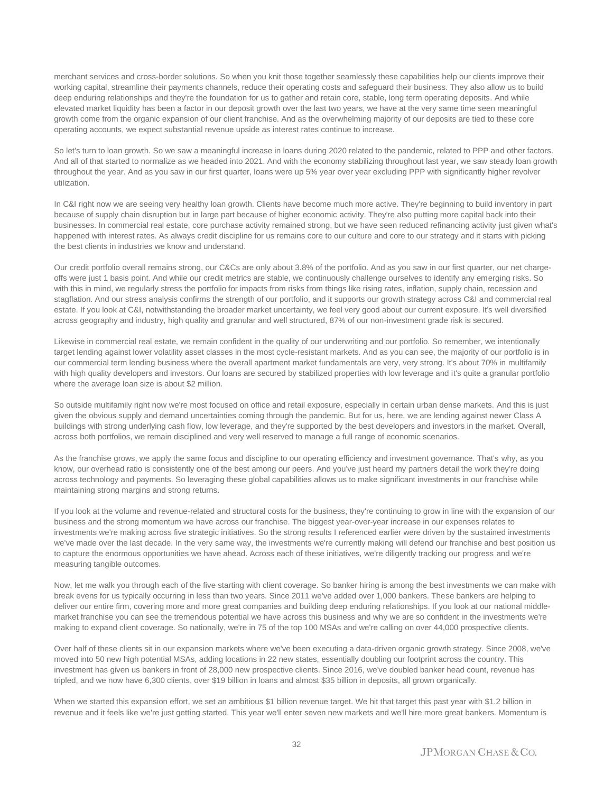merchant services and cross-border solutions. So when you knit those together seamlessly these capabilities help our clients improve their working capital, streamline their payments channels, reduce their operating costs and safeguard their business. They also allow us to build deep enduring relationships and they're the foundation for us to gather and retain core, stable, long term operating deposits. And while elevated market liquidity has been a factor in our deposit growth over the last two years, we have at the very same time seen meaningful growth come from the organic expansion of our client franchise. And as the overwhelming majority of our deposits are tied to these core operating accounts, we expect substantial revenue upside as interest rates continue to increase.

So let's turn to loan growth. So we saw a meaningful increase in loans during 2020 related to the pandemic, related to PPP and other factors. And all of that started to normalize as we headed into 2021. And with the economy stabilizing throughout last year, we saw steady loan growth throughout the year. And as you saw in our first quarter, loans were up 5% year over year excluding PPP with significantly higher revolver utilization.

In C&I right now we are seeing very healthy loan growth. Clients have become much more active. They're beginning to build inventory in part because of supply chain disruption but in large part because of higher economic activity. They're also putting more capital back into their businesses. In commercial real estate, core purchase activity remained strong, but we have seen reduced refinancing activity just given what's happened with interest rates. As always credit discipline for us remains core to our culture and core to our strategy and it starts with picking the best clients in industries we know and understand.

Our credit portfolio overall remains strong, our C&Cs are only about 3.8% of the portfolio. And as you saw in our first quarter, our net chargeoffs were just 1 basis point. And while our credit metrics are stable, we continuously challenge ourselves to identify any emerging risks. So with this in mind, we regularly stress the portfolio for impacts from risks from things like rising rates, inflation, supply chain, recession and stagflation. And our stress analysis confirms the strength of our portfolio, and it supports our growth strategy across C&I and commercial real estate. If you look at C&I, notwithstanding the broader market uncertainty, we feel very good about our current exposure. It's well diversified across geography and industry, high quality and granular and well structured, 87% of our non-investment grade risk is secured.

Likewise in commercial real estate, we remain confident in the quality of our underwriting and our portfolio. So remember, we intentionally target lending against lower volatility asset classes in the most cycle-resistant markets. And as you can see, the majority of our portfolio is in our commercial term lending business where the overall apartment market fundamentals are very, very strong. It's about 70% in multifamily with high quality developers and investors. Our loans are secured by stabilized properties with low leverage and it's quite a granular portfolio where the average loan size is about \$2 million.

So outside multifamily right now we're most focused on office and retail exposure, especially in certain urban dense markets. And this is just given the obvious supply and demand uncertainties coming through the pandemic. But for us, here, we are lending against newer Class A buildings with strong underlying cash flow, low leverage, and they're supported by the best developers and investors in the market. Overall, across both portfolios, we remain disciplined and very well reserved to manage a full range of economic scenarios.

As the franchise grows, we apply the same focus and discipline to our operating efficiency and investment governance. That's why, as you know, our overhead ratio is consistently one of the best among our peers. And you've just heard my partners detail the work they're doing across technology and payments. So leveraging these global capabilities allows us to make significant investments in our franchise while maintaining strong margins and strong returns.

If you look at the volume and revenue-related and structural costs for the business, they're continuing to grow in line with the expansion of our business and the strong momentum we have across our franchise. The biggest year-over-year increase in our expenses relates to investments we're making across five strategic initiatives. So the strong results I referenced earlier were driven by the sustained investments we've made over the last decade. In the very same way, the investments we're currently making will defend our franchise and best position us to capture the enormous opportunities we have ahead. Across each of these initiatives, we're diligently tracking our progress and we're measuring tangible outcomes.

Now, let me walk you through each of the five starting with client coverage. So banker hiring is among the best investments we can make with break evens for us typically occurring in less than two years. Since 2011 we've added over 1,000 bankers. These bankers are helping to deliver our entire firm, covering more and more great companies and building deep enduring relationships. If you look at our national middlemarket franchise you can see the tremendous potential we have across this business and why we are so confident in the investments we're making to expand client coverage. So nationally, we're in 75 of the top 100 MSAs and we're calling on over 44,000 prospective clients.

Over half of these clients sit in our expansion markets where we've been executing a data-driven organic growth strategy. Since 2008, we've moved into 50 new high potential MSAs, adding locations in 22 new states, essentially doubling our footprint across the country. This investment has given us bankers in front of 28,000 new prospective clients. Since 2016, we've doubled banker head count, revenue has tripled, and we now have 6,300 clients, over \$19 billion in loans and almost \$35 billion in deposits, all grown organically.

When we started this expansion effort, we set an ambitious \$1 billion revenue target. We hit that target this past year with \$1.2 billion in revenue and it feels like we're just getting started. This year we'll enter seven new markets and we'll hire more great bankers. Momentum is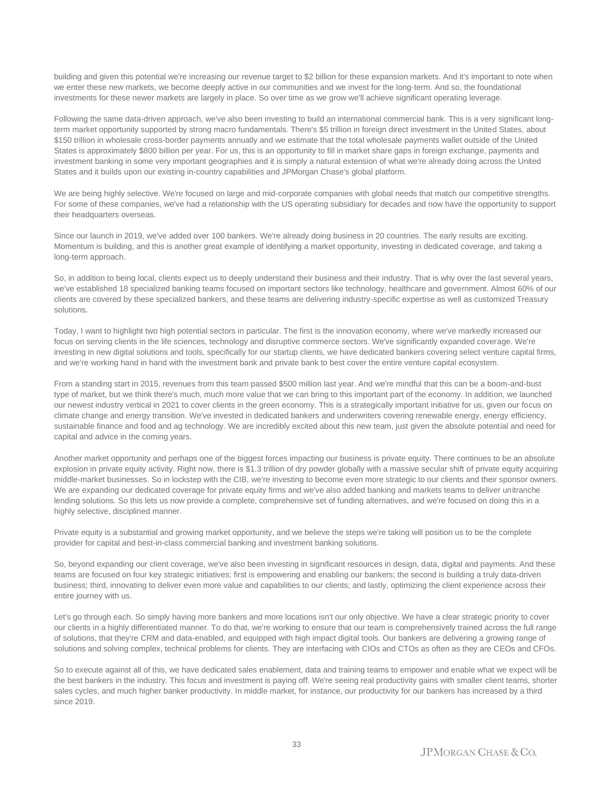building and given this potential we're increasing our revenue target to \$2 billion for these expansion markets. And it's important to note when we enter these new markets, we become deeply active in our communities and we invest for the long-term. And so, the foundational investments for these newer markets are largely in place. So over time as we grow we'll achieve significant operating leverage.

Following the same data-driven approach, we've also been investing to build an international commercial bank. This is a very significant longterm market opportunity supported by strong macro fundamentals. There's \$5 trillion in foreign direct investment in the United States, about \$150 trillion in wholesale cross-border payments annually and we estimate that the total wholesale payments wallet outside of the United States is approximately \$800 billion per year. For us, this is an opportunity to fill in market share gaps in foreign exchange, payments and investment banking in some very important geographies and it is simply a natural extension of what we're already doing across the United States and it builds upon our existing in-country capabilities and JPMorgan Chase's global platform.

We are being highly selective. We're focused on large and mid-corporate companies with global needs that match our competitive strengths. For some of these companies, we've had a relationship with the US operating subsidiary for decades and now have the opportunity to support their headquarters overseas.

Since our launch in 2019, we've added over 100 bankers. We're already doing business in 20 countries. The early results are exciting. Momentum is building, and this is another great example of identifying a market opportunity, investing in dedicated coverage, and taking a long-term approach.

So, in addition to being local, clients expect us to deeply understand their business and their industry. That is why over the last several years, we've established 18 specialized banking teams focused on important sectors like technology, healthcare and government. Almost 60% of our clients are covered by these specialized bankers, and these teams are delivering industry-specific expertise as well as customized Treasury solutions.

Today, I want to highlight two high potential sectors in particular. The first is the innovation economy, where we've markedly increased our focus on serving clients in the life sciences, technology and disruptive commerce sectors. We've significantly expanded coverage. We're investing in new digital solutions and tools, specifically for our startup clients, we have dedicated bankers covering select venture capital firms, and we're working hand in hand with the investment bank and private bank to best cover the entire venture capital ecosystem.

From a standing start in 2015, revenues from this team passed \$500 million last year. And we're mindful that this can be a boom-and-bust type of market, but we think there's much, much more value that we can bring to this important part of the economy. In addition, we launched our newest industry vertical in 2021 to cover clients in the green economy. This is a strategically important initiative for us, given our focus on climate change and energy transition. We've invested in dedicated bankers and underwriters covering renewable energy, energy efficiency, sustainable finance and food and ag technology. We are incredibly excited about this new team, just given the absolute potential and need for capital and advice in the coming years.

Another market opportunity and perhaps one of the biggest forces impacting our business is private equity. There continues to be an absolute explosion in private equity activity. Right now, there is \$1.3 trillion of dry powder globally with a massive secular shift of private equity acquiring middle-market businesses. So in lockstep with the CIB, we're investing to become even more strategic to our clients and their sponsor owners. We are expanding our dedicated coverage for private equity firms and we've also added banking and markets teams to deliver unitranche lending solutions. So this lets us now provide a complete, comprehensive set of funding alternatives, and we're focused on doing this in a highly selective, disciplined manner.

Private equity is a substantial and growing market opportunity, and we believe the steps we're taking will position us to be the complete provider for capital and best-in-class commercial banking and investment banking solutions.

So, beyond expanding our client coverage, we've also been investing in significant resources in design, data, digital and payments. And these teams are focused on four key strategic initiatives; first is empowering and enabling our bankers; the second is building a truly data-driven business; third, innovating to deliver even more value and capabilities to our clients; and lastly, optimizing the client experience across their entire journey with us.

Let's go through each. So simply having more bankers and more locations isn't our only objective. We have a clear strategic priority to cover our clients in a highly differentiated manner. To do that, we're working to ensure that our team is comprehensively trained across the full range of solutions, that they're CRM and data-enabled, and equipped with high impact digital tools. Our bankers are delivering a growing range of solutions and solving complex, technical problems for clients. They are interfacing with CIOs and CTOs as often as they are CEOs and CFOs.

So to execute against all of this, we have dedicated sales enablement, data and training teams to empower and enable what we expect will be the best bankers in the industry. This focus and investment is paying off. We're seeing real productivity gains with smaller client teams, shorter sales cycles, and much higher banker productivity. In middle market, for instance, our productivity for our bankers has increased by a third since 2019.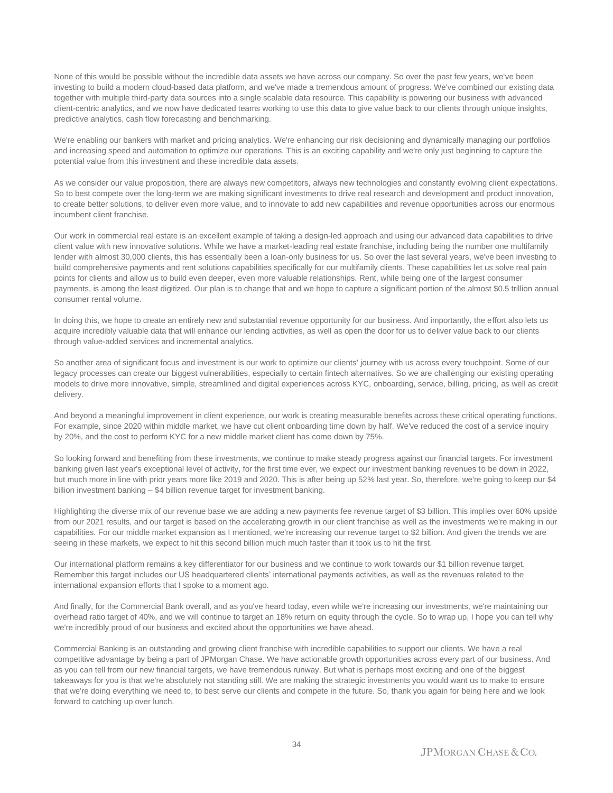None of this would be possible without the incredible data assets we have across our company. So over the past few years, we've been investing to build a modern cloud-based data platform, and we've made a tremendous amount of progress. We've combined our existing data together with multiple third-party data sources into a single scalable data resource. This capability is powering our business with advanced client-centric analytics, and we now have dedicated teams working to use this data to give value back to our clients through unique insights, predictive analytics, cash flow forecasting and benchmarking.

We're enabling our bankers with market and pricing analytics. We're enhancing our risk decisioning and dynamically managing our portfolios and increasing speed and automation to optimize our operations. This is an exciting capability and we're only just beginning to capture the potential value from this investment and these incredible data assets.

As we consider our value proposition, there are always new competitors, always new technologies and constantly evolving client expectations. So to best compete over the long-term we are making significant investments to drive real research and development and product innovation, to create better solutions, to deliver even more value, and to innovate to add new capabilities and revenue opportunities across our enormous incumbent client franchise.

Our work in commercial real estate is an excellent example of taking a design-led approach and using our advanced data capabilities to drive client value with new innovative solutions. While we have a market-leading real estate franchise, including being the number one multifamily lender with almost 30,000 clients, this has essentially been a loan-only business for us. So over the last several years, we've been investing to build comprehensive payments and rent solutions capabilities specifically for our multifamily clients. These capabilities let us solve real pain points for clients and allow us to build even deeper, even more valuable relationships. Rent, while being one of the largest consumer payments, is among the least digitized. Our plan is to change that and we hope to capture a significant portion of the almost \$0.5 trillion annual consumer rental volume.

In doing this, we hope to create an entirely new and substantial revenue opportunity for our business. And importantly, the effort also lets us acquire incredibly valuable data that will enhance our lending activities, as well as open the door for us to deliver value back to our clients through value-added services and incremental analytics.

So another area of significant focus and investment is our work to optimize our clients' journey with us across every touchpoint. Some of our legacy processes can create our biggest vulnerabilities, especially to certain fintech alternatives. So we are challenging our existing operating models to drive more innovative, simple, streamlined and digital experiences across KYC, onboarding, service, billing, pricing, as well as credit delivery.

And beyond a meaningful improvement in client experience, our work is creating measurable benefits across these critical operating functions. For example, since 2020 within middle market, we have cut client onboarding time down by half. We've reduced the cost of a service inquiry by 20%, and the cost to perform KYC for a new middle market client has come down by 75%.

So looking forward and benefiting from these investments, we continue to make steady progress against our financial targets. For investment banking given last year's exceptional level of activity, for the first time ever, we expect our investment banking revenues to be down in 2022, but much more in line with prior years more like 2019 and 2020. This is after being up 52% last year. So, therefore, we're going to keep our \$4 billion investment banking – \$4 billion revenue target for investment banking.

Highlighting the diverse mix of our revenue base we are adding a new payments fee revenue target of \$3 billion. This implies over 60% upside from our 2021 results, and our target is based on the accelerating growth in our client franchise as well as the investments we're making in our capabilities. For our middle market expansion as I mentioned, we're increasing our revenue target to \$2 billion. And given the trends we are seeing in these markets, we expect to hit this second billion much much faster than it took us to hit the first.

Our international platform remains a key differentiator for our business and we continue to work towards our \$1 billion revenue target. Remember this target includes our US headquartered clients' international payments activities, as well as the revenues related to the international expansion efforts that I spoke to a moment ago.

And finally, for the Commercial Bank overall, and as you've heard today, even while we're increasing our investments, we're maintaining our overhead ratio target of 40%, and we will continue to target an 18% return on equity through the cycle. So to wrap up, I hope you can tell why we're incredibly proud of our business and excited about the opportunities we have ahead.

Commercial Banking is an outstanding and growing client franchise with incredible capabilities to support our clients. We have a real competitive advantage by being a part of JPMorgan Chase. We have actionable growth opportunities across every part of our business. And as you can tell from our new financial targets, we have tremendous runway. But what is perhaps most exciting and one of the biggest takeaways for you is that we're absolutely not standing still. We are making the strategic investments you would want us to make to ensure that we're doing everything we need to, to best serve our clients and compete in the future. So, thank you again for being here and we look forward to catching up over lunch.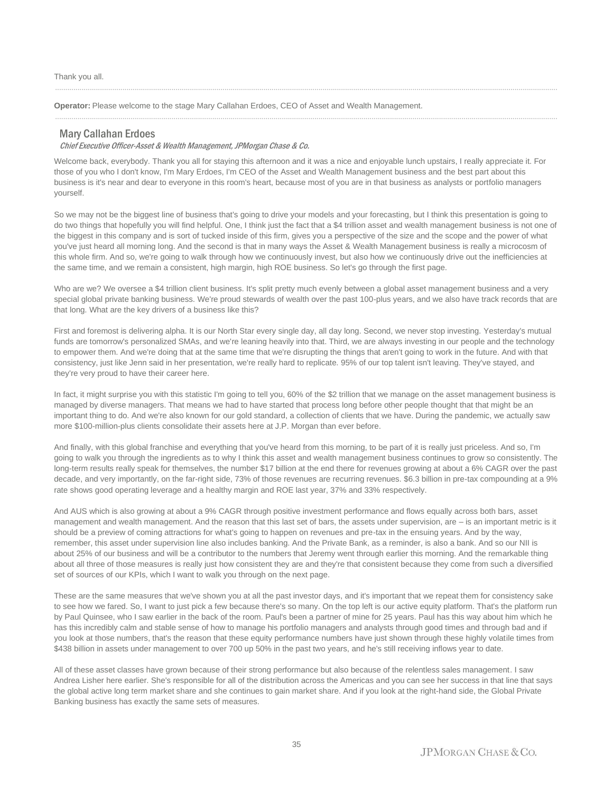Thank you all.

**Operator:** Please welcome to the stage Mary Callahan Erdoes, CEO of Asset and Wealth Management.

#### Mary Callahan Erdoes

#### Chief Executive Officer-Asset & Wealth Management, JPMorgan Chase & Co.

Welcome back, everybody. Thank you all for staying this afternoon and it was a nice and enjoyable lunch upstairs, I really appreciate it. For those of you who I don't know, I'm Mary Erdoes, I'm CEO of the Asset and Wealth Management business and the best part about this business is it's near and dear to everyone in this room's heart, because most of you are in that business as analysts or portfolio managers yourself.

......................................................................................................................................................................................................................................................

......................................................................................................................................................................................................................................................

So we may not be the biggest line of business that's going to drive your models and your forecasting, but I think this presentation is going to do two things that hopefully you will find helpful. One, I think just the fact that a \$4 trillion asset and wealth management business is not one of the biggest in this company and is sort of tucked inside of this firm, gives you a perspective of the size and the scope and the power of what you've just heard all morning long. And the second is that in many ways the Asset & Wealth Management business is really a microcosm of this whole firm. And so, we're going to walk through how we continuously invest, but also how we continuously drive out the inefficiencies at the same time, and we remain a consistent, high margin, high ROE business. So let's go through the first page.

Who are we? We oversee a \$4 trillion client business. It's split pretty much evenly between a global asset management business and a very special global private banking business. We're proud stewards of wealth over the past 100-plus years, and we also have track records that are that long. What are the key drivers of a business like this?

First and foremost is delivering alpha. It is our North Star every single day, all day long. Second, we never stop investing. Yesterday's mutual funds are tomorrow's personalized SMAs, and we're leaning heavily into that. Third, we are always investing in our people and the technology to empower them. And we're doing that at the same time that we're disrupting the things that aren't going to work in the future. And with that consistency, just like Jenn said in her presentation, we're really hard to replicate. 95% of our top talent isn't leaving. They've stayed, and they're very proud to have their career here.

In fact, it might surprise you with this statistic I'm going to tell you, 60% of the \$2 trillion that we manage on the asset management business is managed by diverse managers. That means we had to have started that process long before other people thought that that might be an important thing to do. And we're also known for our gold standard, a collection of clients that we have. During the pandemic, we actually saw more \$100-million-plus clients consolidate their assets here at J.P. Morgan than ever before.

And finally, with this global franchise and everything that you've heard from this morning, to be part of it is really just priceless. And so, I'm going to walk you through the ingredients as to why I think this asset and wealth management business continues to grow so consistently. The long-term results really speak for themselves, the number \$17 billion at the end there for revenues growing at about a 6% CAGR over the past decade, and very importantly, on the far-right side, 73% of those revenues are recurring revenues. \$6.3 billion in pre-tax compounding at a 9% rate shows good operating leverage and a healthy margin and ROE last year, 37% and 33% respectively.

And AUS which is also growing at about a 9% CAGR through positive investment performance and flows equally across both bars, asset management and wealth management. And the reason that this last set of bars, the assets under supervision, are – is an important metric is it should be a preview of coming attractions for what's going to happen on revenues and pre-tax in the ensuing years. And by the way, remember, this asset under supervision line also includes banking. And the Private Bank, as a reminder, is also a bank. And so our NII is about 25% of our business and will be a contributor to the numbers that Jeremy went through earlier this morning. And the remarkable thing about all three of those measures is really just how consistent they are and they're that consistent because they come from such a diversified set of sources of our KPIs, which I want to walk you through on the next page.

These are the same measures that we've shown you at all the past investor days, and it's important that we repeat them for consistency sake to see how we fared. So, I want to just pick a few because there's so many. On the top left is our active equity platform. That's the platform run by Paul Quinsee, who I saw earlier in the back of the room. Paul's been a partner of mine for 25 years. Paul has this way about him which he has this incredibly calm and stable sense of how to manage his portfolio managers and analysts through good times and through bad and if you look at those numbers, that's the reason that these equity performance numbers have just shown through these highly volatile times from \$438 billion in assets under management to over 700 up 50% in the past two years, and he's still receiving inflows year to date.

All of these asset classes have grown because of their strong performance but also because of the relentless sales management. I saw Andrea Lisher here earlier. She's responsible for all of the distribution across the Americas and you can see her success in that line that says the global active long term market share and she continues to gain market share. And if you look at the right-hand side, the Global Private Banking business has exactly the same sets of measures.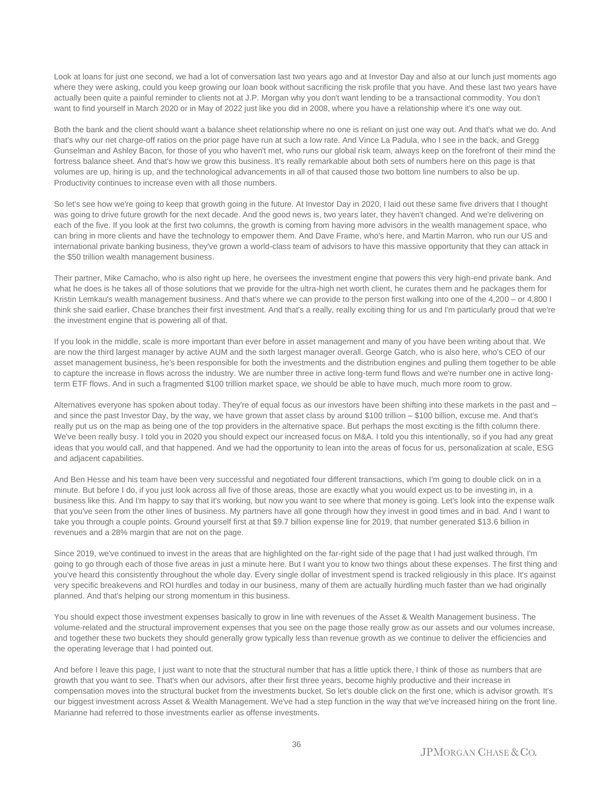Look at loans for just one second, we had a lot of conversation last two years ago and at Investor Day and also at our lunch just moments ago where they were asking, could you keep growing our loan book without sacrificing the risk profile that you have. And these last two years have actually been quite a painful reminder to clients not at J.P. Morgan why you don't want lending to be a transactional commodity. You don't want to find yourself in March 2020 or in May of 2022 just like you did in 2008, where you have a relationship where it's one way out.

Both the bank and the client should want a balance sheet relationship where no one is reliant on just one way out. And that's what we do. And that's why our net charge-off ratios on the prior page have run at such a low rate. And Vince La Padula, who I see in the back, and Gregg Gunselman and Ashley Bacon, for those of you who haven't met, who runs our global risk team, always keep on the forefront of their mind the fortress balance sheet. And that's how we grow this business. It's really remarkable about both sets of numbers here on this page is that volumes are up, hiring is up, and the technological advancements in all of that caused those two bottom line numbers to also be up. Productivity continues to increase even with all those numbers.

So let's see how we're going to keep that growth going in the future. At Investor Day in 2020, I laid out these same five drivers that I thought was going to drive future growth for the next decade. And the good news is, two years later, they haven't changed. And we're delivering on each of the five. If you look at the first two columns, the growth is coming from having more advisors in the wealth management space, who can bring in more clients and have the technology to empower them. And Dave Frame, who's here, and Martin Marron, who run our US and international private banking business, they've grown a world-class team of advisors to have this massive opportunity that they can attack in the \$50 trillion wealth management business.

Their partner, Mike Camacho, who is also right up here, he oversees the investment engine that powers this very high-end private bank. And what he does is he takes all of those solutions that we provide for the ultra-high net worth client, he curates them and he packages them for Kristin Lemkau's wealth management business. And that's where we can provide to the person first walking into one of the 4,200 – or 4,800 I think she said earlier, Chase branches their first investment. And that's a really, really exciting thing for us and I'm particularly proud that we're the investment engine that is powering all of that.

If you look in the middle, scale is more important than ever before in asset management and many of you have been writing about that. We are now the third largest manager by active AUM and the sixth largest manager overall. George Gatch, who is also here, who's CEO of our asset management business, he's been responsible for both the investments and the distribution engines and pulling them together to be able to capture the increase in flows across the industry. We are number three in active long-term fund flows and we're number one in active longterm ETF flows. And in such a fragmented \$100 trillion market space, we should be able to have much, much more room to grow.

Alternatives everyone has spoken about today. They're of equal focus as our investors have been shifting into these markets in the past and – and since the past Investor Day, by the way, we have grown that asset class by around \$100 trillion – \$100 billion, excuse me. And that's really put us on the map as being one of the top providers in the alternative space. But perhaps the most exciting is the fifth column there. We've been really busy. I told you in 2020 you should expect our increased focus on M&A. I told you this intentionally, so if you had any great ideas that you would call, and that happened. And we had the opportunity to lean into the areas of focus for us, personalization at scale, ESG and adjacent capabilities.

And Ben Hesse and his team have been very successful and negotiated four different transactions, which I'm going to double click on in a minute. But before I do, if you just look across all five of those areas, those are exactly what you would expect us to be investing in, in a business like this. And I'm happy to say that it's working, but now you want to see where that money is going. Let's look into the expense walk that you've seen from the other lines of business. My partners have all gone through how they invest in good times and in bad. And I want to take you through a couple points. Ground yourself first at that \$9.7 billion expense line for 2019, that number generated \$13.6 billion in revenues and a 28% margin that are not on the page.

Since 2019, we've continued to invest in the areas that are highlighted on the far-right side of the page that I had just walked through. I'm going to go through each of those five areas in just a minute here. But I want you to know two things about these expenses. The first thing and you've heard this consistently throughout the whole day. Every single dollar of investment spend is tracked religiously in this place. It's against very specific breakevens and ROI hurdles and today in our business, many of them are actually hurdling much faster than we had originally planned. And that's helping our strong momentum in this business.

You should expect those investment expenses basically to grow in line with revenues of the Asset & Wealth Management business. The volume-related and the structural improvement expenses that you see on the page those really grow as our assets and our volumes increase, and together these two buckets they should generally grow typically less than revenue growth as we continue to deliver the efficiencies and the operating leverage that I had pointed out.

And before I leave this page, I just want to note that the structural number that has a little uptick there, I think of those as numbers that are growth that you want to see. That's when our advisors, after their first three years, become highly productive and their increase in compensation moves into the structural bucket from the investments bucket. So let's double click on the first one, which is advisor growth. It's our biggest investment across Asset & Wealth Management. We've had a step function in the way that we've increased hiring on the front line. Marianne had referred to those investments earlier as offense investments.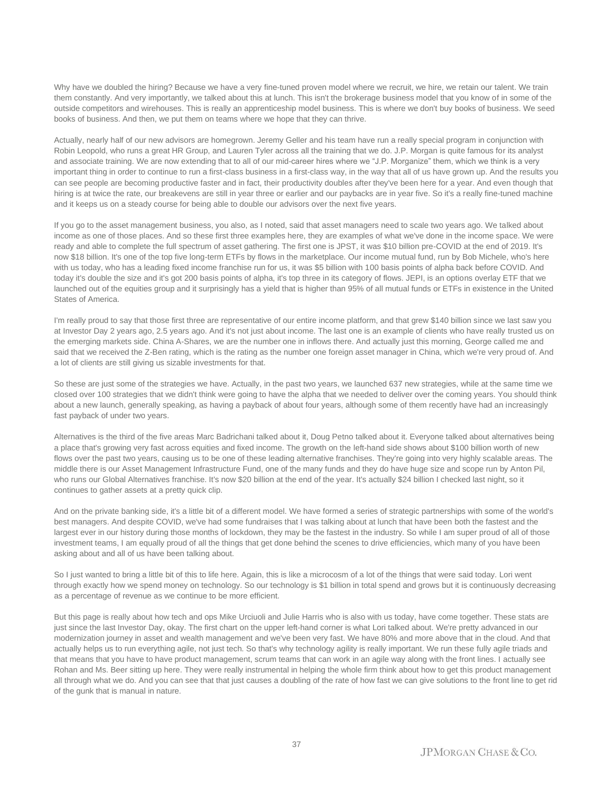Why have we doubled the hiring? Because we have a very fine-tuned proven model where we recruit, we hire, we retain our talent. We train them constantly. And very importantly, we talked about this at lunch. This isn't the brokerage business model that you know of in some of the outside competitors and wirehouses. This is really an apprenticeship model business. This is where we don't buy books of business. We seed books of business. And then, we put them on teams where we hope that they can thrive.

Actually, nearly half of our new advisors are homegrown. Jeremy Geller and his team have run a really special program in conjunction with Robin Leopold, who runs a great HR Group, and Lauren Tyler across all the training that we do. J.P. Morgan is quite famous for its analyst and associate training. We are now extending that to all of our mid-career hires where we "J.P. Morganize" them, which we think is a very important thing in order to continue to run a first-class business in a first-class way, in the way that all of us have grown up. And the results you can see people are becoming productive faster and in fact, their productivity doubles after they've been here for a year. And even though that hiring is at twice the rate, our breakevens are still in year three or earlier and our paybacks are in year five. So it's a really fine-tuned machine and it keeps us on a steady course for being able to double our advisors over the next five years.

If you go to the asset management business, you also, as I noted, said that asset managers need to scale two years ago. We talked about income as one of those places. And so these first three examples here, they are examples of what we've done in the income space. We were ready and able to complete the full spectrum of asset gathering. The first one is JPST, it was \$10 billion pre-COVID at the end of 2019. It's now \$18 billion. It's one of the top five long-term ETFs by flows in the marketplace. Our income mutual fund, run by Bob Michele, who's here with us today, who has a leading fixed income franchise run for us, it was \$5 billion with 100 basis points of alpha back before COVID. And today it's double the size and it's got 200 basis points of alpha, it's top three in its category of flows. JEPI, is an options overlay ETF that we launched out of the equities group and it surprisingly has a yield that is higher than 95% of all mutual funds or ETFs in existence in the United States of America.

I'm really proud to say that those first three are representative of our entire income platform, and that grew \$140 billion since we last saw you at Investor Day 2 years ago, 2.5 years ago. And it's not just about income. The last one is an example of clients who have really trusted us on the emerging markets side. China A-Shares, we are the number one in inflows there. And actually just this morning, George called me and said that we received the Z-Ben rating, which is the rating as the number one foreign asset manager in China, which we're very proud of. And a lot of clients are still giving us sizable investments for that.

So these are just some of the strategies we have. Actually, in the past two years, we launched 637 new strategies, while at the same time we closed over 100 strategies that we didn't think were going to have the alpha that we needed to deliver over the coming years. You should think about a new launch, generally speaking, as having a payback of about four years, although some of them recently have had an increasingly fast payback of under two years.

Alternatives is the third of the five areas Marc Badrichani talked about it, Doug Petno talked about it. Everyone talked about alternatives being a place that's growing very fast across equities and fixed income. The growth on the left-hand side shows about \$100 billion worth of new flows over the past two years, causing us to be one of these leading alternative franchises. They're going into very highly scalable areas. The middle there is our Asset Management Infrastructure Fund, one of the many funds and they do have huge size and scope run by Anton Pil, who runs our Global Alternatives franchise. It's now \$20 billion at the end of the year. It's actually \$24 billion I checked last night, so it continues to gather assets at a pretty quick clip.

And on the private banking side, it's a little bit of a different model. We have formed a series of strategic partnerships with some of the world's best managers. And despite COVID, we've had some fundraises that I was talking about at lunch that have been both the fastest and the largest ever in our history during those months of lockdown, they may be the fastest in the industry. So while I am super proud of all of those investment teams, I am equally proud of all the things that get done behind the scenes to drive efficiencies, which many of you have been asking about and all of us have been talking about.

So I just wanted to bring a little bit of this to life here. Again, this is like a microcosm of a lot of the things that were said today. Lori went through exactly how we spend money on technology. So our technology is \$1 billion in total spend and grows but it is continuously decreasing as a percentage of revenue as we continue to be more efficient.

But this page is really about how tech and ops Mike Urciuoli and Julie Harris who is also with us today, have come together. These stats are just since the last Investor Day, okay. The first chart on the upper left-hand corner is what Lori talked about. We're pretty advanced in our modernization journey in asset and wealth management and we've been very fast. We have 80% and more above that in the cloud. And that actually helps us to run everything agile, not just tech. So that's why technology agility is really important. We run these fully agile triads and that means that you have to have product management, scrum teams that can work in an agile way along with the front lines. I actually see Rohan and Ms. Beer sitting up here. They were really instrumental in helping the whole firm think about how to get this product management all through what we do. And you can see that that just causes a doubling of the rate of how fast we can give solutions to the front line to get rid of the gunk that is manual in nature.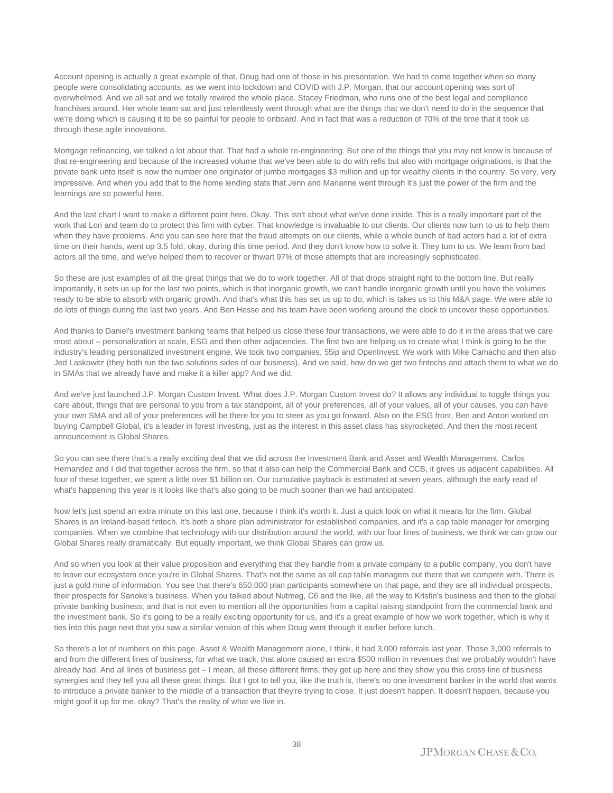Account opening is actually a great example of that. Doug had one of those in his presentation. We had to come together when so many people were consolidating accounts, as we went into lockdown and COVID with J.P. Morgan, that our account opening was sort of overwhelmed. And we all sat and we totally rewired the whole place. Stacey Friedman, who runs one of the best legal and compliance franchises around. Her whole team sat and just relentlessly went through what are the things that we don't need to do in the sequence that we're doing which is causing it to be so painful for people to onboard. And in fact that was a reduction of 70% of the time that it took us through these agile innovations.

Mortgage refinancing, we talked a lot about that. That had a whole re-engineering. But one of the things that you may not know is because of that re-engineering and because of the increased volume that we've been able to do with refis but also with mortgage originations, is that the private bank unto itself is now the number one originator of jumbo mortgages \$3 million and up for wealthy clients in the country. So very, very impressive. And when you add that to the home lending stats that Jenn and Marianne went through it's just the power of the firm and the learnings are so powerful here.

And the last chart I want to make a different point here. Okay. This isn't about what we've done inside. This is a really important part of the work that Lori and team do to protect this firm with cyber. That knowledge is invaluable to our clients. Our clients now turn to us to help them when they have problems. And you can see here that the fraud attempts on our clients, while a whole bunch of bad actors had a lot of extra time on their hands, went up 3.5 fold, okay, during this time period. And they don't know how to solve it. They turn to us. We learn from bad actors all the time, and we've helped them to recover or thwart 97% of those attempts that are increasingly sophisticated.

So these are just examples of all the great things that we do to work together. All of that drops straight right to the bottom line. But really importantly, it sets us up for the last two points, which is that inorganic growth, we can't handle inorganic growth until you have the volumes ready to be able to absorb with organic growth. And that's what this has set us up to do, which is takes us to this M&A page. We were able to do lots of things during the last two years. And Ben Hesse and his team have been working around the clock to uncover these opportunities.

And thanks to Daniel's investment banking teams that helped us close these four transactions, we were able to do it in the areas that we care most about – personalization at scale, ESG and then other adjacencies. The first two are helping us to create what I think is going to be the industry's leading personalized investment engine. We took two companies, 55ip and OpenInvest. We work with Mike Camacho and then also Jed Laskowitz (they both run the two solutions sides of our business). And we said, how do we get two fintechs and attach them to what we do in SMAs that we already have and make it a killer app? And we did.

And we've just launched J.P. Morgan Custom Invest. What does J.P. Morgan Custom Invest do? It allows any individual to toggle things you care about, things that are personal to you from a tax standpoint, all of your preferences, all of your values, all of your causes, you can have your own SMA and all of your preferences will be there for you to steer as you go forward. Also on the ESG front, Ben and Anton worked on buying Campbell Global, it's a leader in forest investing, just as the interest in this asset class has skyrocketed. And then the most recent announcement is Global Shares.

So you can see there that's a really exciting deal that we did across the Investment Bank and Asset and Wealth Management. Carlos Hernandez and I did that together across the firm, so that it also can help the Commercial Bank and CCB, it gives us adjacent capabilities. All four of these together, we spent a little over \$1 billion on. Our cumulative payback is estimated at seven years, although the early read of what's happening this year is it looks like that's also going to be much sooner than we had anticipated.

Now let's just spend an extra minute on this last one, because I think it's worth it. Just a quick look on what it means for the firm. Global Shares is an Ireland-based fintech. It's both a share plan administrator for established companies, and it's a cap table manager for emerging companies. When we combine that technology with our distribution around the world, with our four lines of business, we think we can grow our Global Shares really dramatically. But equally important, we think Global Shares can grow us.

And so when you look at their value proposition and everything that they handle from a private company to a public company, you don't have to leave our ecosystem once you're in Global Shares. That's not the same as all cap table managers out there that we compete with. There is just a gold mine of information. You see that there's 650,000 plan participants somewhere on that page, and they are all individual prospects, their prospects for Sanoke's business. When you talked about Nutmeg, C6 and the like, all the way to Kristin's business and then to the global private banking business; and that is not even to mention all the opportunities from a capital raising standpoint from the commercial bank and the investment bank. So it's going to be a really exciting opportunity for us, and it's a great example of how we work together, which is why it ties into this page next that you saw a similar version of this when Doug went through it earlier before lunch.

So there's a lot of numbers on this page. Asset & Wealth Management alone, I think, it had 3,000 referrals last year. Those 3,000 referrals to and from the different lines of business, for what we track, that alone caused an extra \$500 million in revenues that we probably wouldn't have already had. And all lines of business get – I mean, all these different firms, they get up here and they show you this cross line of business synergies and they tell you all these great things. But I got to tell you, like the truth is, there's no one investment banker in the world that wants to introduce a private banker to the middle of a transaction that they're trying to close. It just doesn't happen. It doesn't happen, because you might goof it up for me, okay? That's the reality of what we live in.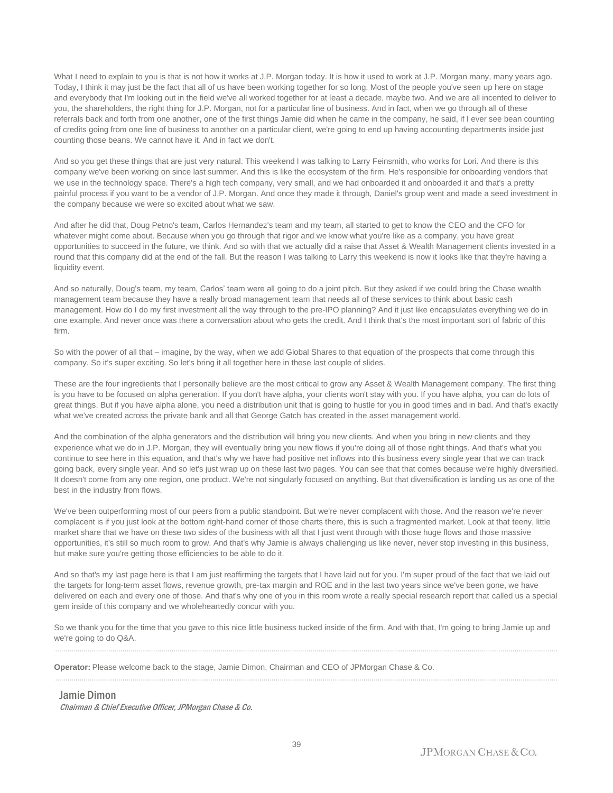What I need to explain to you is that is not how it works at J.P. Morgan today. It is how it used to work at J.P. Morgan many, many years ago. Today, I think it may just be the fact that all of us have been working together for so long. Most of the people you've seen up here on stage and everybody that I'm looking out in the field we've all worked together for at least a decade, maybe two. And we are all incented to deliver to you, the shareholders, the right thing for J.P. Morgan, not for a particular line of business. And in fact, when we go through all of these referrals back and forth from one another, one of the first things Jamie did when he came in the company, he said, if I ever see bean counting of credits going from one line of business to another on a particular client, we're going to end up having accounting departments inside just counting those beans. We cannot have it. And in fact we don't.

And so you get these things that are just very natural. This weekend I was talking to Larry Feinsmith, who works for Lori. And there is this company we've been working on since last summer. And this is like the ecosystem of the firm. He's responsible for onboarding vendors that we use in the technology space. There's a high tech company, very small, and we had onboarded it and onboarded it and that's a pretty painful process if you want to be a vendor of J.P. Morgan. And once they made it through, Daniel's group went and made a seed investment in the company because we were so excited about what we saw.

And after he did that, Doug Petno's team, Carlos Hernandez's team and my team, all started to get to know the CEO and the CFO for whatever might come about. Because when you go through that rigor and we know what you're like as a company, you have great opportunities to succeed in the future, we think. And so with that we actually did a raise that Asset & Wealth Management clients invested in a round that this company did at the end of the fall. But the reason I was talking to Larry this weekend is now it looks like that they're having a liquidity event.

And so naturally, Doug's team, my team, Carlos' team were all going to do a joint pitch. But they asked if we could bring the Chase wealth management team because they have a really broad management team that needs all of these services to think about basic cash management. How do I do my first investment all the way through to the pre-IPO planning? And it just like encapsulates everything we do in one example. And never once was there a conversation about who gets the credit. And I think that's the most important sort of fabric of this firm.

So with the power of all that – imagine, by the way, when we add Global Shares to that equation of the prospects that come through this company. So it's super exciting. So let's bring it all together here in these last couple of slides.

These are the four ingredients that I personally believe are the most critical to grow any Asset & Wealth Management company. The first thing is you have to be focused on alpha generation. If you don't have alpha, your clients won't stay with you. If you have alpha, you can do lots of great things. But if you have alpha alone, you need a distribution unit that is going to hustle for you in good times and in bad. And that's exactly what we've created across the private bank and all that George Gatch has created in the asset management world.

And the combination of the alpha generators and the distribution will bring you new clients. And when you bring in new clients and they experience what we do in J.P. Morgan, they will eventually bring you new flows if you're doing all of those right things. And that's what you continue to see here in this equation, and that's why we have had positive net inflows into this business every single year that we can track going back, every single year. And so let's just wrap up on these last two pages. You can see that that comes because we're highly diversified. It doesn't come from any one region, one product. We're not singularly focused on anything. But that diversification is landing us as one of the best in the industry from flows.

We've been outperforming most of our peers from a public standpoint. But we're never complacent with those. And the reason we're never complacent is if you just look at the bottom right-hand corner of those charts there, this is such a fragmented market. Look at that teeny, little market share that we have on these two sides of the business with all that I just went through with those huge flows and those massive opportunities, it's still so much room to grow. And that's why Jamie is always challenging us like never, never stop investing in this business, but make sure you're getting those efficiencies to be able to do it.

And so that's my last page here is that I am just reaffirming the targets that I have laid out for you. I'm super proud of the fact that we laid out the targets for long-term asset flows, revenue growth, pre-tax margin and ROE and in the last two years since we've been gone, we have delivered on each and every one of those. And that's why one of you in this room wrote a really special research report that called us a special gem inside of this company and we wholeheartedly concur with you.

So we thank you for the time that you gave to this nice little business tucked inside of the firm. And with that, I'm going to bring Jamie up and we're going to do Q&A. ......................................................................................................................................................................................................................................................

......................................................................................................................................................................................................................................................

**Operator:** Please welcome back to the stage, Jamie Dimon, Chairman and CEO of JPMorgan Chase & Co.

Jamie Dimon Chairman & Chief Executive Officer, JPMorgan Chase & Co.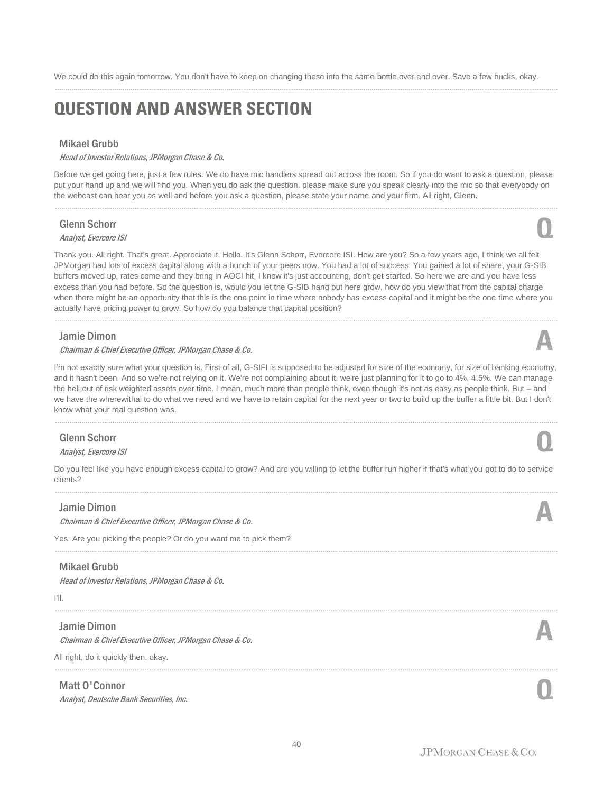We could do this again tomorrow. You don't have to keep on changing these into the same bottle over and over. Save a few bucks, okay.

......................................................................................................................................................................................................................................................

# **QUESTION AND ANSWER SECTION**

# Mikael Grubb

Head of Investor Relations, JPMorgan Chase & Co.

Before we get going here, just a few rules. We do have mic handlers spread out across the room. So if you do want to ask a question, please put your hand up and we will find you. When you do ask the question, please make sure you speak clearly into the mic so that everybody on the webcast can hear you as well and before you ask a question, please state your name and your firm. All right, Glenn.

......................................................................................................................................................................................................................................................

# Glenn Schorr

# **Glenn Schorr**<br>Analyst, Evercore ISI

Thank you. All right. That's great. Appreciate it. Hello. It's Glenn Schorr, Evercore ISI. How are you? So a few years ago, I think we all felt JPMorgan had lots of excess capital along with a bunch of your peers now. You had a lot of success. You gained a lot of share, your G-SIB buffers moved up, rates come and they bring in AOCI hit, I know it's just accounting, don't get started. So here we are and you have less excess than you had before. So the question is, would you let the G-SIB hang out here grow, how do you view that from the capital charge when there might be an opportunity that this is the one point in time where nobody has excess capital and it might be the one time where you actually have pricing power to grow. So how do you balance that capital position?

......................................................................................................................................................................................................................................................

# Jamie Dimon

### Chairman & Chief Executive Officer, JPMorgan Chase & Co. **A**

I'm not exactly sure what your question is. First of all, G-SIFI is supposed to be adjusted for size of the economy, for size of banking economy, and it hasn't been. And so we're not relying on it. We're not complaining about it, we're just planning for it to go to 4%, 4.5%. We can manage the hell out of risk weighted assets over time. I mean, much more than people think, even though it's not as easy as people think. But – and we have the wherewithal to do what we need and we have to retain capital for the next year or two to build up the buffer a little bit. But I don't know what your real question was.

# Glenn Schorr **Glenn Schorr**<br>Analyst, Evercore ISI

Do you feel like you have enough excess capital to grow? And are you willing to let the buffer run higher if that's what you got to do to service clients? ......................................................................................................................................................................................................................................................

......................................................................................................................................................................................................................................................

......................................................................................................................................................................................................................................................

40

# Jamie Dimon

Chairman & Chief Executive Officer, JPMorgan Chase & Co. **A**

Yes. Are you picking the people? Or do you want me to pick them?

# Mikael Grubb

Head of Investor Relations, JPMorgan Chase & Co.

### I'll.

# Jamie Dimon

Chairman & Chief Executive Officer, JPMorgan Chase & Co. **A**

All right, do it quickly then, okay.

# Matt O'Connor

Analyst, Deutsche Bank Securities, Inc. **Q**







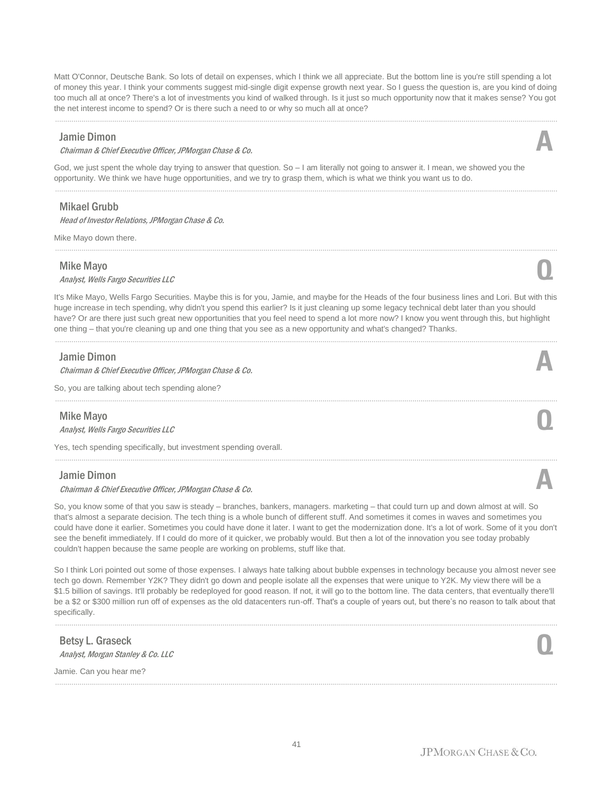Matt O'Connor, Deutsche Bank. So lots of detail on expenses, which I think we all appreciate. But the bottom line is you're still spending a lot of money this year. I think your comments suggest mid-single digit expense growth next year. So I guess the question is, are you kind of doing too much all at once? There's a lot of investments you kind of walked through. Is it just so much opportunity now that it makes sense? You got the net interest income to spend? Or is there such a need to or why so much all at once?

......................................................................................................................................................................................................................................................

......................................................................................................................................................................................................................................................

## Jamie Dimon

#### Chairman & Chief Executive Officer, JPMorgan Chase & Co. **A**

God, we just spent the whole day trying to answer that question. So – I am literally not going to answer it. I mean, we showed you the opportunity. We think we have huge opportunities, and we try to grasp them, which is what we think you want us to do.

# Mikael Grubb

Head of Investor Relations, JPMorgan Chase & Co.

Mike Mayo down there.

### Mike Mayo

# Analyst, Wells Fargo Securities LLC **Q**

It's Mike Mayo, Wells Fargo Securities. Maybe this is for you, Jamie, and maybe for the Heads of the four business lines and Lori. But with this huge increase in tech spending, why didn't you spend this earlier? Is it just cleaning up some legacy technical debt later than you should have? Or are there just such great new opportunities that you feel need to spend a lot more now? I know you went through this, but highlight one thing – that you're cleaning up and one thing that you see as a new opportunity and what's changed? Thanks.

......................................................................................................................................................................................................................................................

## Jamie Dimon

Chairman & Chief Executive Officer, JPMorgan Chase & Co. **A**

So, you are talking about tech spending alone?

# Mike Mayo

Analyst, Wells Fargo Securities LLC **Q**

Yes, tech spending specifically, but investment spending overall.

### Jamie Dimon

Chairman & Chief Executive Officer, JPMorgan Chase & Co. **A**

So, you know some of that you saw is steady – branches, bankers, managers. marketing – that could turn up and down almost at will. So that's almost a separate decision. The tech thing is a whole bunch of different stuff. And sometimes it comes in waves and sometimes you could have done it earlier. Sometimes you could have done it later. I want to get the modernization done. It's a lot of work. Some of it you don't see the benefit immediately. If I could do more of it quicker, we probably would. But then a lot of the innovation you see today probably couldn't happen because the same people are working on problems, stuff like that.

......................................................................................................................................................................................................................................................

So I think Lori pointed out some of those expenses. I always hate talking about bubble expenses in technology because you almost never see tech go down. Remember Y2K? They didn't go down and people isolate all the expenses that were unique to Y2K. My view there will be a \$1.5 billion of savings. It'll probably be redeployed for good reason. If not, it will go to the bottom line. The data centers, that eventually there'll be a \$2 or \$300 million run off of expenses as the old datacenters run-off. That's a couple of years out, but there's no reason to talk about that specifically.

......................................................................................................................................................................................................................................................

......................................................................................................................................................................................................................................................

Betsy L. Graseck **Betsy L. Graseck**<br>Analyst, Morgan Stanley & Co. LLC

Jamie. Can you hear me?





......................................................................................................................................................................................................................................................



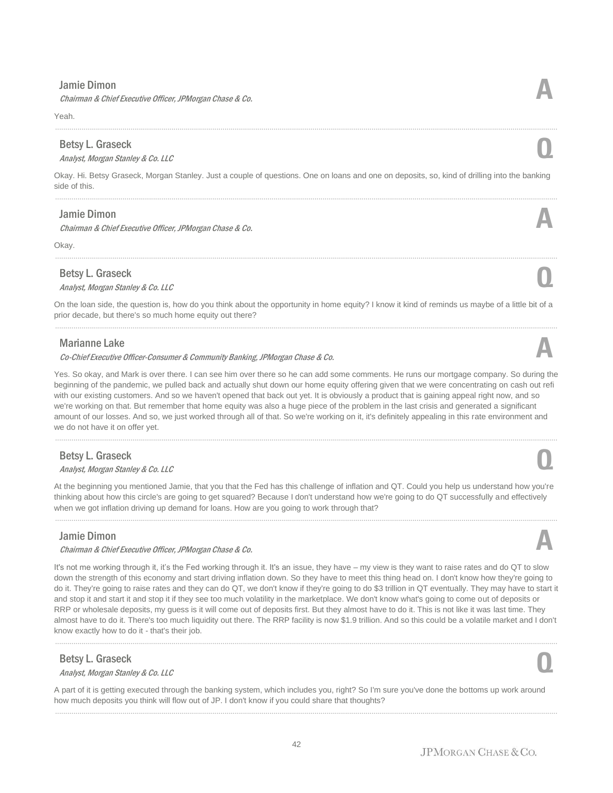# Jamie Dimon

Chairman & Chief Executive Officer, JPMorgan Chase & Co. **A**

Yeah.

## Betsy L. Graseck

Betsy L. Graseck<br>Analyst, Morgan Stanley & Co. LLC

Okay. Hi. Betsy Graseck, Morgan Stanley. Just a couple of questions. One on loans and one on deposits, so, kind of drilling into the banking side of this. ......................................................................................................................................................................................................................................................

......................................................................................................................................................................................................................................................

# Jamie Dimon

Chairman & Chief Executive Officer, JPMorgan Chase & Co. **A**

Okay.

# Betsy L. Graseck

Betsy L. Graseck<br>Analyst, Morgan Stanley & Co. LLC

On the loan side, the question is, how do you think about the opportunity in home equity? I know it kind of reminds us maybe of a little bit of a prior decade, but there's so much home equity out there?

......................................................................................................................................................................................................................................................

# Marianne Lake

#### Co-Chief Executive Officer-Consumer & Community Banking, JPMorgan Chase & Co.

Yes. So okay, and Mark is over there. I can see him over there so he can add some comments. He runs our mortgage company. So during the beginning of the pandemic, we pulled back and actually shut down our home equity offering given that we were concentrating on cash out refi with our existing customers. And so we haven't opened that back out yet. It is obviously a product that is gaining appeal right now, and so we're working on that. But remember that home equity was also a huge piece of the problem in the last crisis and generated a significant amount of our losses. And so, we just worked through all of that. So we're working on it, it's definitely appealing in this rate environment and we do not have it on offer yet.

......................................................................................................................................................................................................................................................

# Betsy L. Graseck

Betsy L. Graseck<br>Analyst, Morgan Stanley & Co. LLC

At the beginning you mentioned Jamie, that you that the Fed has this challenge of inflation and QT. Could you help us understand how you're thinking about how this circle's are going to get squared? Because I don't understand how we're going to do QT successfully and effectively when we got inflation driving up demand for loans. How are you going to work through that?

# Jamie Dimon

#### Chairman & Chief Executive Officer, JPMorgan Chase & Co. **A**

It's not me working through it, it's the Fed working through it. It's an issue, they have – my view is they want to raise rates and do QT to slow down the strength of this economy and start driving inflation down. So they have to meet this thing head on. I don't know how they're going to do it. They're going to raise rates and they can do QT, we don't know if they're going to do \$3 trillion in QT eventually. They may have to start it and stop it and start it and stop it if they see too much volatility in the marketplace. We don't know what's going to come out of deposits or RRP or wholesale deposits, my guess is it will come out of deposits first. But they almost have to do it. This is not like it was last time. They almost have to do it. There's too much liquidity out there. The RRP facility is now \$1.9 trillion. And so this could be a volatile market and I don't know exactly how to do it - that's their job.

......................................................................................................................................................................................................................................................

### Betsy L. Graseck

# **Betsy L. Graseck**<br>Analyst, Morgan Stanley & Co. LLC

A part of it is getting executed through the banking system, which includes you, right? So I'm sure you've done the bottoms up work around how much deposits you think will flow out of JP. I don't know if you could share that thoughts? ......................................................................................................................................................................................................................................................



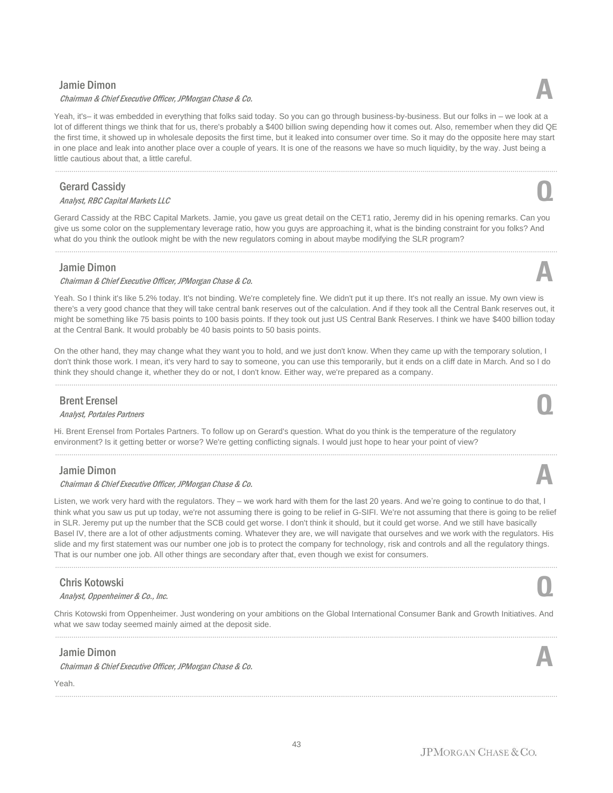# Jamie Dimon

#### Chairman & Chief Executive Officer, JPMorgan Chase & Co. **A**

Yeah, it's– it was embedded in everything that folks said today. So you can go through business-by-business. But our folks in – we look at a lot of different things we think that for us, there's probably a \$400 billion swing depending how it comes out. Also, remember when they did QE the first time, it showed up in wholesale deposits the first time, but it leaked into consumer over time. So it may do the opposite here may start in one place and leak into another place over a couple of years. It is one of the reasons we have so much liquidity, by the way. Just being a little cautious about that, a little careful.

# Gerard Cassidy

# Analyst, RBC Capital Markets LLC **Q**

Gerard Cassidy at the RBC Capital Markets. Jamie, you gave us great detail on the CET1 ratio, Jeremy did in his opening remarks. Can you give us some color on the supplementary leverage ratio, how you guys are approaching it, what is the binding constraint for you folks? And what do you think the outlook might be with the new regulators coming in about maybe modifying the SLR program?

......................................................................................................................................................................................................................................................

# Jamie Dimon

#### Chairman & Chief Executive Officer, JPMorgan Chase & Co. **A**

Yeah. So I think it's like 5.2% today. It's not binding. We're completely fine. We didn't put it up there. It's not really an issue. My own view is there's a very good chance that they will take central bank reserves out of the calculation. And if they took all the Central Bank reserves out, it might be something like 75 basis points to 100 basis points. If they took out just US Central Bank Reserves. I think we have \$400 billion today at the Central Bank. It would probably be 40 basis points to 50 basis points.

On the other hand, they may change what they want you to hold, and we just don't know. When they came up with the temporary solution, I don't think those work. I mean, it's very hard to say to someone, you can use this temporarily, but it ends on a cliff date in March. And so I do think they should change it, whether they do or not, I don't know. Either way, we're prepared as a company.

......................................................................................................................................................................................................................................................

# Brent Erensel

# Analyst, Portales Partners **Q**

Hi. Brent Erensel from Portales Partners. To follow up on Gerard's question. What do you think is the temperature of the regulatory environment? Is it getting better or worse? We're getting conflicting signals. I would just hope to hear your point of view?

# Jamie Dimon

#### Chairman & Chief Executive Officer, JPMorgan Chase & Co. **A**

Listen, we work very hard with the regulators. They – we work hard with them for the last 20 years. And we're going to continue to do that, I think what you saw us put up today, we're not assuming there is going to be relief in G-SIFI. We're not assuming that there is going to be relief in SLR. Jeremy put up the number that the SCB could get worse. I don't think it should, but it could get worse. And we still have basically Basel IV, there are a lot of other adjustments coming. Whatever they are, we will navigate that ourselves and we work with the regulators. His slide and my first statement was our number one job is to protect the company for technology, risk and controls and all the regulatory things. That is our number one job. All other things are secondary after that, even though we exist for consumers.

......................................................................................................................................................................................................................................................

# Chris Kotowski

Analyst, Oppenheimer & Co., Inc. **Q**

Chris Kotowski from Oppenheimer. Just wondering on your ambitions on the Global International Consumer Bank and Growth Initiatives. And what we saw today seemed mainly aimed at the deposit side. ......................................................................................................................................................................................................................................................

......................................................................................................................................................................................................................................................

# Jamie Dimon

Chairman & Chief Executive Officer, JPMorgan Chase & Co. **A**

Yeah.















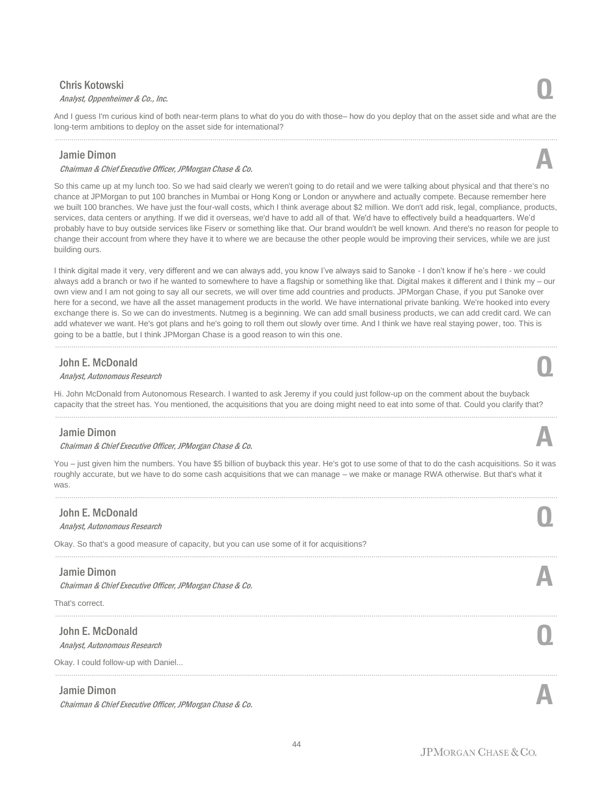# Chris Kotowski

# Analyst, Oppenheimer & Co., Inc. **Q**

And I guess I'm curious kind of both near-term plans to what do you do with those– how do you deploy that on the asset side and what are the long-term ambitions to deploy on the asset side for international? ......................................................................................................................................................................................................................................................

# Jamie Dimon

#### Chairman & Chief Executive Officer, JPMorgan Chase & Co. **A**

So this came up at my lunch too. So we had said clearly we weren't going to do retail and we were talking about physical and that there's no chance at JPMorgan to put 100 branches in Mumbai or Hong Kong or London or anywhere and actually compete. Because remember here we built 100 branches. We have just the four-wall costs, which I think average about \$2 million. We don't add risk, legal, compliance, products, services, data centers or anything. If we did it overseas, we'd have to add all of that. We'd have to effectively build a headquarters. We'd probably have to buy outside services like Fiserv or something like that. Our brand wouldn't be well known. And there's no reason for people to change their account from where they have it to where we are because the other people would be improving their services, while we are just building ours.

I think digital made it very, very different and we can always add, you know I've always said to Sanoke - I don't know if he's here - we could always add a branch or two if he wanted to somewhere to have a flagship or something like that. Digital makes it different and I think my – our own view and I am not going to say all our secrets, we will over time add countries and products. JPMorgan Chase, if you put Sanoke over here for a second, we have all the asset management products in the world. We have international private banking. We're hooked into every exchange there is. So we can do investments. Nutmeg is a beginning. We can add small business products, we can add credit card. We can add whatever we want. He's got plans and he's going to roll them out slowly over time. And I think we have real staying power, too. This is going to be a battle, but I think JPMorgan Chase is a good reason to win this one.

......................................................................................................................................................................................................................................................

# John E. McDonald

# **John E. McDonald**<br>Analyst, Autonomous Research **Q**

Hi. John McDonald from Autonomous Research. I wanted to ask Jeremy if you could just follow-up on the comment about the buyback capacity that the street has. You mentioned, the acquisitions that you are doing might need to eat into some of that. Could you clarify that?

......................................................................................................................................................................................................................................................

# Jamie Dimon

#### Chairman & Chief Executive Officer, JPMorgan Chase & Co. **A**

You - just given him the numbers. You have \$5 billion of buyback this year. He's got to use some of that to do the cash acquisitions. So it was roughly accurate, but we have to do some cash acquisitions that we can manage – we make or manage RWA otherwise. But that's what it was.

......................................................................................................................................................................................................................................................

......................................................................................................................................................................................................................................................

......................................................................................................................................................................................................................................................

......................................................................................................................................................................................................................................................

# John E. McDonald

# **John E. McDonald**<br>Analyst, Autonomous Research **Q**

Okay. So that's a good measure of capacity, but you can use some of it for acquisitions?

### Jamie Dimon

Chairman & Chief Executive Officer, JPMorgan Chase & Co. **A**

That's correct.

# John E. McDonald **John E. McDonald**<br>Analyst, Autonomous Research **Q**

Okay. I could follow-up with Daniel...

#### Jamie Dimon

Chairman & Chief Executive Officer, JPMorgan Chase & Co. **A**

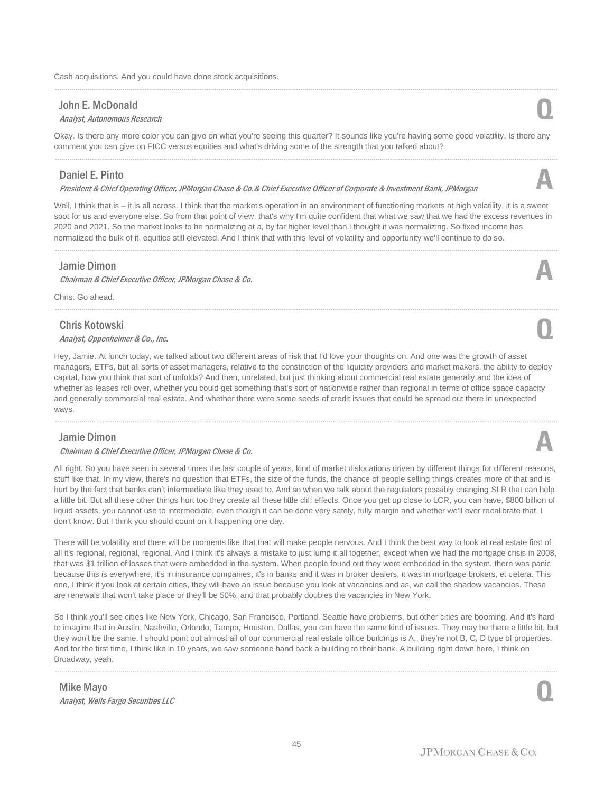## John E. McDonald

# **John E. McDonald**<br>Analyst, Autonomous Research **Q**

Okay. Is there any more color you can give on what you're seeing this quarter? It sounds like you're having some good volatility. Is there any comment you can give on FICC versus equities and what's driving some of the strength that you talked about?

......................................................................................................................................................................................................................................................

# Daniel E. Pinto

President & Chief Operating Officer, JPMorgan Chase & Co.& Chief Executive Officer of Corporate & Investment Bank, JPMorgan **A**

Well, I think that is – it is all across. I think that the market's operation in an environment of functioning markets at high volatility, it is a sweet spot for us and everyone else. So from that point of view, that's why I'm quite confident that what we saw that we had the excess revenues in 2020 and 2021. So the market looks to be normalizing at a, by far higher level than I thought it was normalizing. So fixed income has normalized the bulk of it, equities still elevated. And I think that with this level of volatility and opportunity we'll continue to do so.

......................................................................................................................................................................................................................................................

## Jamie Dimon

#### Chairman & Chief Executive Officer, JPMorgan Chase & Co. **A**

Chris. Go ahead.

# Chris Kotowski Analyst, Oppenheimer & Co., Inc. **Q**

Hey, Jamie. At lunch today, we talked about two different areas of risk that I'd love your thoughts on. And one was the growth of asset managers, ETFs, but all sorts of asset managers, relative to the constriction of the liquidity providers and market makers, the ability to deploy capital, how you think that sort of unfolds? And then, unrelated, but just thinking about commercial real estate generally and the idea of whether as leases roll over, whether you could get something that's sort of nationwide rather than regional in terms of office space capacity and generally commercial real estate. And whether there were some seeds of credit issues that could be spread out there in unexpected ways.

......................................................................................................................................................................................................................................................

# Jamie Dimon

#### Chairman & Chief Executive Officer, JPMorgan Chase & Co. **A**

All right. So you have seen in several times the last couple of years, kind of market dislocations driven by different things for different reasons, stuff like that. In my view, there's no question that ETFs, the size of the funds, the chance of people selling things creates more of that and is hurt by the fact that banks can't intermediate like they used to. And so when we talk about the regulators possibly changing SLR that can help a little bit. But all these other things hurt too they create all these little cliff effects. Once you get up close to LCR, you can have, \$800 billion of liquid assets, you cannot use to intermediate, even though it can be done very safely, fully margin and whether we'll ever recalibrate that, I don't know. But I think you should count on it happening one day.

There will be volatility and there will be moments like that that will make people nervous. And I think the best way to look at real estate first of all it's regional, regional, regional. And I think it's always a mistake to just lump it all together, except when we had the mortgage crisis in 2008, that was \$1 trillion of losses that were embedded in the system. When people found out they were embedded in the system, there was panic because this is everywhere, it's in insurance companies, it's in banks and it was in broker dealers, it was in mortgage brokers, et cetera. This one, I think if you look at certain cities, they will have an issue because you look at vacancies and as, we call the shadow vacancies. These are renewals that won't take place or they'll be 50%, and that probably doubles the vacancies in New York.

So I think you'll see cities like New York, Chicago, San Francisco, Portland, Seattle have problems, but other cities are booming. And it's hard to imagine that in Austin, Nashville, Orlando, Tampa, Houston, Dallas, you can have the same kind of issues. They may be there a little bit, but they won't be the same. I should point out almost all of our commercial real estate office buildings is A., they're not B, C, D type of properties. And for the first time, I think like in 10 years, we saw someone hand back a building to their bank. A building right down here, I think on Broadway, yeah.

......................................................................................................................................................................................................................................................

# Mike Mayo Analyst, Wells Fargo Securities LLC **Q**

JPMORGAN CHASE & CO.





# ......................................................................................................................................................................................................................................................

......................................................................................................................................................................................................................................................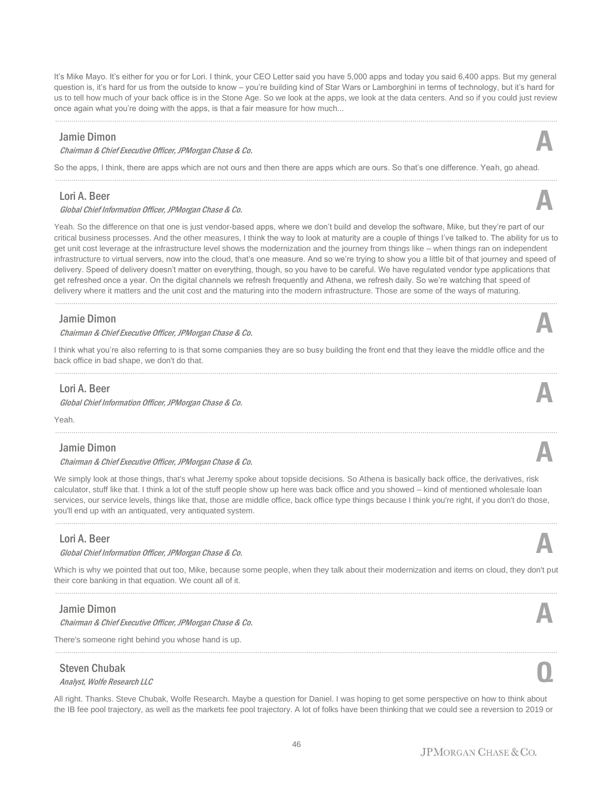It's Mike Mayo. It's either for you or for Lori. I think, your CEO Letter said you have 5,000 apps and today you said 6,400 apps. But my general question is, it's hard for us from the outside to know – you're building kind of Star Wars or Lamborghini in terms of technology, but it's hard for us to tell how much of your back office is in the Stone Age. So we look at the apps, we look at the data centers. And so if you could just review once again what you're doing with the apps, is that a fair measure for how much...

......................................................................................................................................................................................................................................................

# Jamie Dimon

#### Chairman & Chief Executive Officer, JPMorgan Chase & Co. **A**

So the apps, I think, there are apps which are not ours and then there are apps which are ours. So that's one difference. Yeah, go ahead.

# Lori A. Beer

#### Global Chief Information Officer, JPMorgan Chase & Co. **A**

Yeah. So the difference on that one is just vendor-based apps, where we don't build and develop the software, Mike, but they're part of our critical business processes. And the other measures, I think the way to look at maturity are a couple of things I've talked to. The ability for us to get unit cost leverage at the infrastructure level shows the modernization and the journey from things like – when things ran on independent infrastructure to virtual servers, now into the cloud, that's one measure. And so we're trying to show you a little bit of that journey and speed of delivery. Speed of delivery doesn't matter on everything, though, so you have to be careful. We have regulated vendor type applications that get refreshed once a year. On the digital channels we refresh frequently and Athena, we refresh daily. So we're watching that speed of delivery where it matters and the unit cost and the maturing into the modern infrastructure. Those are some of the ways of maturing.

......................................................................................................................................................................................................................................................

### Jamie Dimon

#### Chairman & Chief Executive Officer, JPMorgan Chase & Co. **A**

I think what you're also referring to is that some companies they are so busy building the front end that they leave the middle office and the back office in bad shape, we don't do that.

......................................................................................................................................................................................................................................................

......................................................................................................................................................................................................................................................

### Lori A. Beer

Global Chief Information Officer, JPMorgan Chase & Co.

Yeah.

### Jamie Dimon

#### Chairman & Chief Executive Officer, JPMorgan Chase & Co. **A**

We simply look at those things, that's what Jeremy spoke about topside decisions. So Athena is basically back office, the derivatives, risk calculator, stuff like that. I think a lot of the stuff people show up here was back office and you showed – kind of mentioned wholesale loan services, our service levels, things like that, those are middle office, back office type things because I think you're right, if you don't do those, you'll end up with an antiquated, very antiquated system.

......................................................................................................................................................................................................................................................

## Lori A. Beer

#### Global Chief Information Officer, JPMorgan Chase & Co.

Which is why we pointed that out too, Mike, because some people, when they talk about their modernization and items on cloud, they don't put their core banking in that equation. We count all of it.

### Jamie Dimon

Chairman & Chief Executive Officer, JPMorgan Chase & Co. **A**

There's someone right behind you whose hand is up.

# Steven Chubak

Steven Chubak<br>Analyst, Wolfe Research LLC

All right. Thanks. Steve Chubak, Wolfe Research. Maybe a question for Daniel. I was hoping to get some perspective on how to think about the IB fee pool trajectory, as well as the markets fee pool trajectory. A lot of folks have been thinking that we could see a reversion to 2019 or

......................................................................................................................................................................................................................................................





# ......................................................................................................................................................................................................................................................

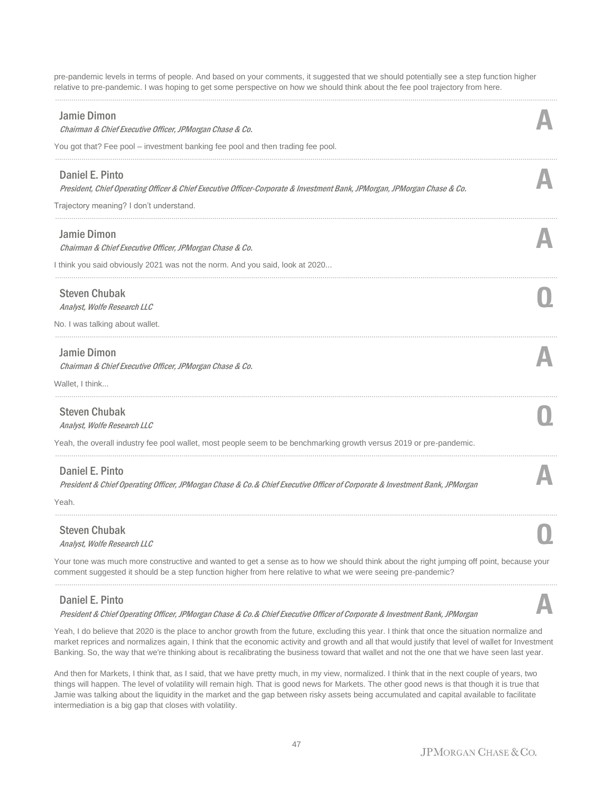pre-pandemic levels in terms of people. And based on your comments, it suggested that we should potentially see a step function higher relative to pre-pandemic. I was hoping to get some perspective on how we should think about the fee pool trajectory from here.

......................................................................................................................................................................................................................................................

| <b>Jamie Dimon</b><br>Chairman & Chief Executive Officer, JPMorgan Chase & Co.                                                                                                                                                                            |  |
|-----------------------------------------------------------------------------------------------------------------------------------------------------------------------------------------------------------------------------------------------------------|--|
| You got that? Fee pool – investment banking fee pool and then trading fee pool.                                                                                                                                                                           |  |
| Daniel E. Pinto<br>President, Chief Operating Officer & Chief Executive Officer-Corporate & Investment Bank, JPMorgan, JPMorgan Chase & Co.                                                                                                               |  |
| Trajectory meaning? I don't understand.                                                                                                                                                                                                                   |  |
| <b>Jamie Dimon</b><br>Chairman & Chief Executive Officer, JPMorgan Chase & Co.                                                                                                                                                                            |  |
| I think you said obviously 2021 was not the norm. And you said, look at 2020                                                                                                                                                                              |  |
| <b>Steven Chubak</b><br>Analyst, Wolfe Research LLC                                                                                                                                                                                                       |  |
| No. I was talking about wallet.                                                                                                                                                                                                                           |  |
| <b>Jamie Dimon</b><br>Chairman & Chief Executive Officer, JPMorgan Chase & Co.                                                                                                                                                                            |  |
| Wallet, I think                                                                                                                                                                                                                                           |  |
| <b>Steven Chubak</b><br>Analyst, Wolfe Research LLC                                                                                                                                                                                                       |  |
| Yeah, the overall industry fee pool wallet, most people seem to be benchmarking growth versus 2019 or pre-pandemic.                                                                                                                                       |  |
| Daniel E. Pinto<br>President & Chief Operating Officer, JPMorgan Chase & Co. & Chief Executive Officer of Corporate & Investment Bank, JPMorgan                                                                                                           |  |
| Yeah.                                                                                                                                                                                                                                                     |  |
| <b>Steven Chubak</b><br>Analyst, Wolfe Research LLC                                                                                                                                                                                                       |  |
| Your tone was much more constructive and wanted to get a sense as to how we should think about the right jumping off point, because your<br>comment suggested it should be a step function higher from here relative to what we were seeing pre-pandemic? |  |
| <b>Daniel E. Pinto</b>                                                                                                                                                                                                                                    |  |

President & Chief Operating Officer, JPMorgan Chase & Co.& Chief Executive Officer of Corporate & Investment Bank, JPMorgan **A**

Yeah, I do believe that 2020 is the place to anchor growth from the future, excluding this year. I think that once the situation normalize and market reprices and normalizes again, I think that the economic activity and growth and all that would justify that level of wallet for Investment Banking. So, the way that we're thinking about is recalibrating the business toward that wallet and not the one that we have seen last year.

And then for Markets, I think that, as I said, that we have pretty much, in my view, normalized. I think that in the next couple of years, two things will happen. The level of volatility will remain high. That is good news for Markets. The other good news is that though it is true that Jamie was talking about the liquidity in the market and the gap between risky assets being accumulated and capital available to facilitate intermediation is a big gap that closes with volatility.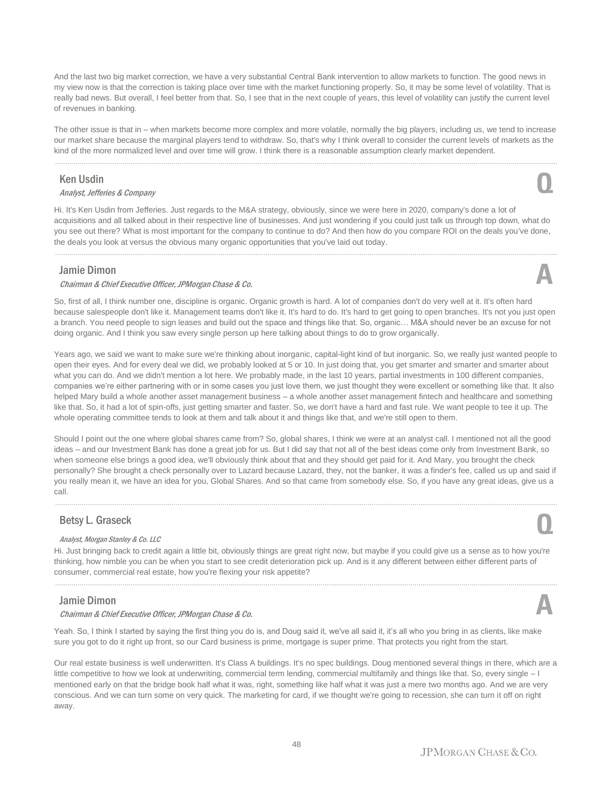And the last two big market correction, we have a very substantial Central Bank intervention to allow markets to function. The good news in my view now is that the correction is taking place over time with the market functioning properly. So, it may be some level of volatility. That is really bad news. But overall, I feel better from that. So, I see that in the next couple of years, this level of volatility can justify the current level of revenues in banking.

The other issue is that in – when markets become more complex and more volatile, normally the big players, including us, we tend to increase our market share because the marginal players tend to withdraw. So, that's why I think overall to consider the current levels of markets as the kind of the more normalized level and over time will grow. I think there is a reasonable assumption clearly market dependent.

......................................................................................................................................................................................................................................................

### Ken Usdin

Analyst, Jefferies & Company **Q**

Hi. It's Ken Usdin from Jefferies. Just regards to the M&A strategy, obviously, since we were here in 2020, company's done a lot of acquisitions and all talked about in their respective line of businesses. And just wondering if you could just talk us through top down, what do you see out there? What is most important for the company to continue to do? And then how do you compare ROI on the deals you've done, the deals you look at versus the obvious many organic opportunities that you've laid out today.

......................................................................................................................................................................................................................................................

## Jamie Dimon

#### Chairman & Chief Executive Officer, JPMorgan Chase & Co. **A**

So, first of all, I think number one, discipline is organic. Organic growth is hard. A lot of companies don't do very well at it. It's often hard because salespeople don't like it. Management teams don't like it. It's hard to do. It's hard to get going to open branches. It's not you just open a branch. You need people to sign leases and build out the space and things like that. So, organic… M&A should never be an excuse for not doing organic. And I think you saw every single person up here talking about things to do to grow organically.

Years ago, we said we want to make sure we're thinking about inorganic, capital-light kind of but inorganic. So, we really just wanted people to open their eyes. And for every deal we did, we probably looked at 5 or 10. In just doing that, you get smarter and smarter and smarter about what you can do. And we didn't mention a lot here. We probably made, in the last 10 years, partial investments in 100 different companies, companies we're either partnering with or in some cases you just love them, we just thought they were excellent or something like that. It also helped Mary build a whole another asset management business – a whole another asset management fintech and healthcare and something like that. So, it had a lot of spin-offs, just getting smarter and faster. So, we don't have a hard and fast rule. We want people to tee it up. The whole operating committee tends to look at them and talk about it and things like that, and we're still open to them.

Should I point out the one where global shares came from? So, global shares, I think we were at an analyst call. I mentioned not all the good ideas – and our Investment Bank has done a great job for us. But I did say that not all of the best ideas come only from Investment Bank, so when someone else brings a good idea, we'll obviously think about that and they should get paid for it. And Mary, you brought the check personally? She brought a check personally over to Lazard because Lazard, they, not the banker, it was a finder's fee, called us up and said if you really mean it, we have an idea for you, Global Shares. And so that came from somebody else. So, if you have any great ideas, give us a call.

......................................................................................................................................................................................................................................................

# Betsy L. Graseck

#### Analyst, Morgan Stanley & Co. LLC

Hi. Just bringing back to credit again a little bit, obviously things are great right now, but maybe if you could give us a sense as to how you're thinking, how nimble you can be when you start to see credit deterioration pick up. And is it any different between either different parts of consumer, commercial real estate, how you're flexing your risk appetite?

......................................................................................................................................................................................................................................................

### Jamie Dimon

#### Chairman & Chief Executive Officer, JPMorgan Chase & Co. **A**

Yeah. So, I think I started by saying the first thing you do is, and Doug said it, we've all said it, it's all who you bring in as clients, like make sure you got to do it right up front, so our Card business is prime, mortgage is super prime. That protects you right from the start.

Our real estate business is well underwritten. It's Class A buildings. It's no spec buildings. Doug mentioned several things in there, which are a little competitive to how we look at underwriting, commercial term lending, commercial multifamily and things like that. So, every single – I mentioned early on that the bridge book half what it was, right, something like half what it was just a mere two months ago. And we are very conscious. And we can turn some on very quick. The marketing for card, if we thought we're going to recession, she can turn it off on right away.

**Q**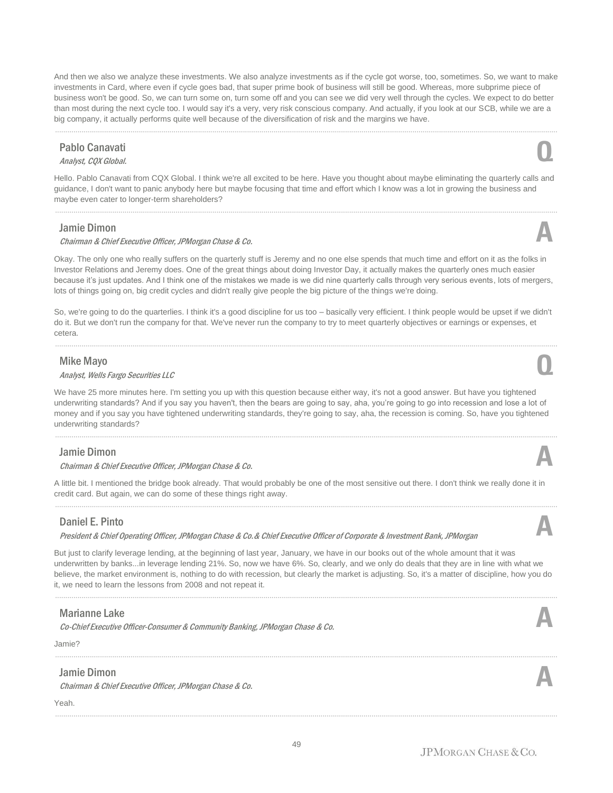And then we also we analyze these investments. We also analyze investments as if the cycle got worse, too, sometimes. So, we want to make investments in Card, where even if cycle goes bad, that super prime book of business will still be good. Whereas, more subprime piece of business won't be good. So, we can turn some on, turn some off and you can see we did very well through the cycles. We expect to do better than most during the next cycle too. I would say it's a very, very risk conscious company. And actually, if you look at our SCB, while we are a big company, it actually performs quite well because of the diversification of risk and the margins we have.

......................................................................................................................................................................................................................................................

# Pablo Canavati Pablo Canavati<br>Analyst, CQX Global. **QQX**

Hello. Pablo Canavati from CQX Global. I think we're all excited to be here. Have you thought about maybe eliminating the quarterly calls and guidance, I don't want to panic anybody here but maybe focusing that time and effort which I know was a lot in growing the business and maybe even cater to longer-term shareholders?

### Jamie Dimon

#### Chairman & Chief Executive Officer, JPMorgan Chase & Co. **A**

Okay. The only one who really suffers on the quarterly stuff is Jeremy and no one else spends that much time and effort on it as the folks in Investor Relations and Jeremy does. One of the great things about doing Investor Day, it actually makes the quarterly ones much easier because it's just updates. And I think one of the mistakes we made is we did nine quarterly calls through very serious events, lots of mergers, lots of things going on, big credit cycles and didn't really give people the big picture of the things we're doing.

So, we're going to do the quarterlies. I think it's a good discipline for us too – basically very efficient. I think people would be upset if we didn't do it. But we don't run the company for that. We've never run the company to try to meet quarterly objectives or earnings or expenses, et cetera.

......................................................................................................................................................................................................................................................

## Mike Mayo

# Analyst, Wells Fargo Securities LLC **Q**

We have 25 more minutes here. I'm setting you up with this question because either way, it's not a good answer. But have you tightened underwriting standards? And if you say you haven't, then the bears are going to say, aha, you're going to go into recession and lose a lot of money and if you say you have tightened underwriting standards, they're going to say, aha, the recession is coming. So, have you tightened underwriting standards?

......................................................................................................................................................................................................................................................

### Jamie Dimon

#### Chairman & Chief Executive Officer, JPMorgan Chase & Co. **A**

A little bit. I mentioned the bridge book already. That would probably be one of the most sensitive out there. I don't think we really done it in credit card. But again, we can do some of these things right away.

......................................................................................................................................................................................................................................................

# Daniel E. Pinto

#### President & Chief Operating Officer, JPMorgan Chase & Co.& Chief Executive Officer of Corporate & Investment Bank, JPMorgan **A**

But just to clarify leverage lending, at the beginning of last year, January, we have in our books out of the whole amount that it was underwritten by banks...in leverage lending 21%. So, now we have 6%. So, clearly, and we only do deals that they are in line with what we believe, the market environment is, nothing to do with recession, but clearly the market is adjusting. So, it's a matter of discipline, how you do it, we need to learn the lessons from 2008 and not repeat it.

......................................................................................................................................................................................................................................................

......................................................................................................................................................................................................................................................

# Marianne Lake

Co-Chief Executive Officer-Consumer & Community Banking, JPMorgan Chase & Co.

Jamie?

# Jamie Dimon

Chairman & Chief Executive Officer, JPMorgan Chase & Co. **A**

Yeah.











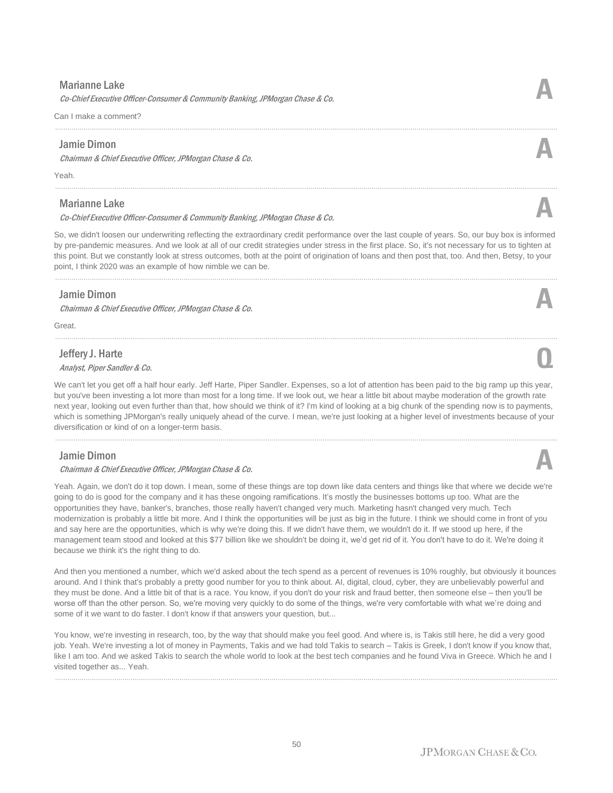## Marianne Lake

Co-Chief Executive Officer-Consumer & Community Banking, JPMorgan Chase & Co.

Can I make a comment?

### Jamie Dimon

Chairman & Chief Executive Officer, JPMorgan Chase & Co. **A**

Yeah.

# Marianne Lake

Co-Chief Executive Officer-Consumer & Community Banking, JPMorgan Chase & Co.

So, we didn't loosen our underwriting reflecting the extraordinary credit performance over the last couple of years. So, our buy box is informed by pre-pandemic measures. And we look at all of our credit strategies under stress in the first place. So, it's not necessary for us to tighten at this point. But we constantly look at stress outcomes, both at the point of origination of loans and then post that, too. And then, Betsy, to your point, I think 2020 was an example of how nimble we can be.

......................................................................................................................................................................................................................................................

......................................................................................................................................................................................................................................................

......................................................................................................................................................................................................................................................

## Jamie Dimon

Chairman & Chief Executive Officer, JPMorgan Chase & Co. **A**

Great.

# Jeffery J. Harte

**Analyst, Piper Sandler & Co. Q**<br>Analyst, Piper Sandler & Co. **Q** 

We can't let you get off a half hour early. Jeff Harte, Piper Sandler. Expenses, so a lot of attention has been paid to the big ramp up this year, but you've been investing a lot more than most for a long time. If we look out, we hear a little bit about maybe moderation of the growth rate next year, looking out even further than that, how should we think of it? I'm kind of looking at a big chunk of the spending now is to payments, which is something JPMorgan's really uniquely ahead of the curve. I mean, we're just looking at a higher level of investments because of your diversification or kind of on a longer-term basis.

......................................................................................................................................................................................................................................................

# Jamie Dimon

#### Chairman & Chief Executive Officer, JPMorgan Chase & Co. **A**

Yeah. Again, we don't do it top down. I mean, some of these things are top down like data centers and things like that where we decide we're going to do is good for the company and it has these ongoing ramifications. It's mostly the businesses bottoms up too. What are the opportunities they have, banker's, branches, those really haven't changed very much. Marketing hasn't changed very much. Tech modernization is probably a little bit more. And I think the opportunities will be just as big in the future. I think we should come in front of you and say here are the opportunities, which is why we're doing this. If we didn't have them, we wouldn't do it. If we stood up here, if the management team stood and looked at this \$77 billion like we shouldn't be doing it, we'd get rid of it. You don't have to do it. We're doing it because we think it's the right thing to do.

And then you mentioned a number, which we'd asked about the tech spend as a percent of revenues is 10% roughly, but obviously it bounces around. And I think that's probably a pretty good number for you to think about. AI, digital, cloud, cyber, they are unbelievably powerful and they must be done. And a little bit of that is a race. You know, if you don't do your risk and fraud better, then someone else – then you'll be worse off than the other person. So, we're moving very quickly to do some of the things, we're very comfortable with what we're doing and some of it we want to do faster. I don't know if that answers your question, but...

You know, we're investing in research, too, by the way that should make you feel good. And where is, is Takis still here, he did a very good job. Yeah. We're investing a lot of money in Payments, Takis and we had told Takis to search – Takis is Greek, I don't know if you know that, like I am too. And we asked Takis to search the whole world to look at the best tech companies and he found Viva in Greece. Which he and I visited together as... Yeah.

......................................................................................................................................................................................................................................................





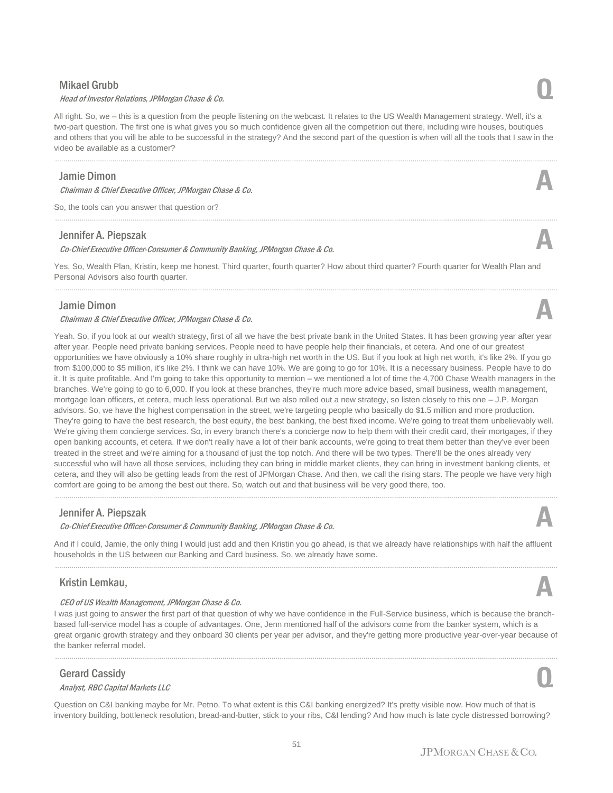# Mikael Grubb

#### Head of Investor Relations, JPMorgan Chase & Co. **Q**

All right. So, we – this is a question from the people listening on the webcast. It relates to the US Wealth Management strategy. Well, it's a two-part question. The first one is what gives you so much confidence given all the competition out there, including wire houses, boutiques and others that you will be able to be successful in the strategy? And the second part of the question is when will all the tools that I saw in the video be available as a customer?

......................................................................................................................................................................................................................................................

......................................................................................................................................................................................................................................................

## Jamie Dimon

Chairman & Chief Executive Officer, JPMorgan Chase & Co. **A**

So, the tools can you answer that question or?

## Jennifer A. Piepszak

Co-Chief Executive Officer-Consumer & Community Banking, JPMorgan Chase & Co.

Yes. So, Wealth Plan, Kristin, keep me honest. Third quarter, fourth quarter? How about third quarter? Fourth quarter for Wealth Plan and Personal Advisors also fourth quarter.

......................................................................................................................................................................................................................................................

# Jamie Dimon

#### Chairman & Chief Executive Officer, JPMorgan Chase & Co. **A**

Yeah. So, if you look at our wealth strategy, first of all we have the best private bank in the United States. It has been growing year after year after year. People need private banking services. People need to have people help their financials, et cetera. And one of our greatest opportunities we have obviously a 10% share roughly in ultra-high net worth in the US. But if you look at high net worth, it's like 2%. If you go from \$100,000 to \$5 million, it's like 2%. I think we can have 10%. We are going to go for 10%. It is a necessary business. People have to do it. It is quite profitable. And I'm going to take this opportunity to mention – we mentioned a lot of time the 4,700 Chase Wealth managers in the branches. We're going to go to 6,000. If you look at these branches, they're much more advice based, small business, wealth management, mortgage loan officers, et cetera, much less operational. But we also rolled out a new strategy, so listen closely to this one – J.P. Morgan advisors. So, we have the highest compensation in the street, we're targeting people who basically do \$1.5 million and more production. They're going to have the best research, the best equity, the best banking, the best fixed income. We're going to treat them unbelievably well. We're giving them concierge services. So, in every branch there's a concierge now to help them with their credit card, their mortgages, if they open banking accounts, et cetera. If we don't really have a lot of their bank accounts, we're going to treat them better than they've ever been treated in the street and we're aiming for a thousand of just the top notch. And there will be two types. There'll be the ones already very successful who will have all those services, including they can bring in middle market clients, they can bring in investment banking clients, et cetera, and they will also be getting leads from the rest of JPMorgan Chase. And then, we call the rising stars. The people we have very high comfort are going to be among the best out there. So, watch out and that business will be very good there, too.

# Jennifer A. Piepszak

Co-Chief Executive Officer-Consumer & Community Banking, JPMorgan Chase & Co.

And if I could, Jamie, the only thing I would just add and then Kristin you go ahead, is that we already have relationships with half the affluent households in the US between our Banking and Card business. So, we already have some. ......................................................................................................................................................................................................................................................

......................................................................................................................................................................................................................................................

# Kristin Lemkau,

#### CEO of US Wealth Management, JPMorgan Chase & Co.

I was just going to answer the first part of that question of why we have confidence in the Full-Service business, which is because the branchbased full-service model has a couple of advantages. One, Jenn mentioned half of the advisors come from the banker system, which is a great organic growth strategy and they onboard 30 clients per year per advisor, and they're getting more productive year-over-year because of the banker referral model.

......................................................................................................................................................................................................................................................

# Gerard Cassidy

# Analyst, RBC Capital Markets LLC **Q**

Question on C&I banking maybe for Mr. Petno. To what extent is this C&I banking energized? It's pretty visible now. How much of that is inventory building, bottleneck resolution, bread-and-butter, stick to your ribs, C&I lending? And how much is late cycle distressed borrowing?





**A**

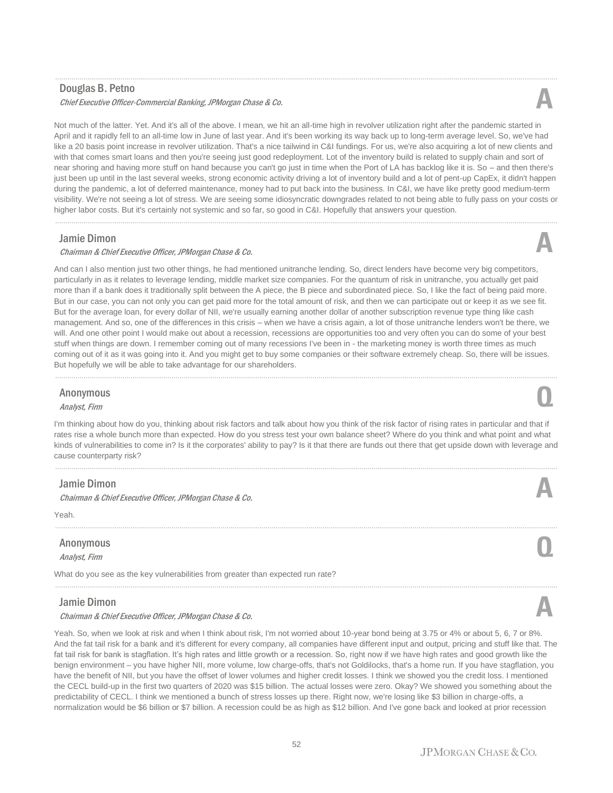### Douglas B. Petno

#### Chief Executive Officer-Commercial Banking, JPMorgan Chase & Co. **A**

Not much of the latter. Yet. And it's all of the above. I mean, we hit an all-time high in revolver utilization right after the pandemic started in April and it rapidly fell to an all-time low in June of last year. And it's been working its way back up to long-term average level. So, we've had like a 20 basis point increase in revolver utilization. That's a nice tailwind in C&I fundings. For us, we're also acquiring a lot of new clients and with that comes smart loans and then you're seeing just good redeployment. Lot of the inventory build is related to supply chain and sort of near shoring and having more stuff on hand because you can't go just in time when the Port of LA has backlog like it is. So – and then there's just been up until in the last several weeks, strong economic activity driving a lot of inventory build and a lot of pent-up CapEx, it didn't happen during the pandemic, a lot of deferred maintenance, money had to put back into the business. In C&I, we have like pretty good medium-term visibility. We're not seeing a lot of stress. We are seeing some idiosyncratic downgrades related to not being able to fully pass on your costs or higher labor costs. But it's certainly not systemic and so far, so good in C&I. Hopefully that answers your question.

......................................................................................................................................................................................................................................................

......................................................................................................................................................................................................................................................

### Jamie Dimon

#### Chairman & Chief Executive Officer, JPMorgan Chase & Co. **A**

And can I also mention just two other things, he had mentioned unitranche lending. So, direct lenders have become very big competitors, particularly in as it relates to leverage lending, middle market size companies. For the quantum of risk in unitranche, you actually get paid more than if a bank does it traditionally split between the A piece, the B piece and subordinated piece. So, I like the fact of being paid more. But in our case, you can not only you can get paid more for the total amount of risk, and then we can participate out or keep it as we see fit. But for the average loan, for every dollar of NII, we're usually earning another dollar of another subscription revenue type thing like cash management. And so, one of the differences in this crisis – when we have a crisis again, a lot of those unitranche lenders won't be there, we will. And one other point I would make out about a recession, recessions are opportunities too and very often you can do some of your best stuff when things are down. I remember coming out of many recessions I've been in - the marketing money is worth three times as much coming out of it as it was going into it. And you might get to buy some companies or their software extremely cheap. So, there will be issues. But hopefully we will be able to take advantage for our shareholders.

# Anonymous Anonymous **Q**<br>Analyst, Firm

I'm thinking about how do you, thinking about risk factors and talk about how you think of the risk factor of rising rates in particular and that if rates rise a whole bunch more than expected. How do you stress test your own balance sheet? Where do you think and what point and what kinds of vulnerabilities to come in? Is it the corporates' ability to pay? Is it that there are funds out there that get upside down with leverage and cause counterparty risk?

......................................................................................................................................................................................................................................................

......................................................................................................................................................................................................................................................

......................................................................................................................................................................................................................................................

......................................................................................................................................................................................................................................................

### Jamie Dimon

Chairman & Chief Executive Officer, JPMorgan Chase & Co. **A**

Yeah.

# Anonymous Analyst, Firm **Q**

What do you see as the key vulnerabilities from greater than expected run rate?

### Jamie Dimon

#### Chairman & Chief Executive Officer, JPMorgan Chase & Co. **A**

Yeah. So, when we look at risk and when I think about risk, I'm not worried about 10-year bond being at 3.75 or 4% or about 5, 6, 7 or 8%. And the fat tail risk for a bank and it's different for every company, all companies have different input and output, pricing and stuff like that. The fat tail risk for bank is stagflation. It's high rates and little growth or a recession. So, right now if we have high rates and good growth like the benign environment – you have higher NII, more volume, low charge-offs, that's not Goldilocks, that's a home run. If you have stagflation, you have the benefit of NII, but you have the offset of lower volumes and higher credit losses. I think we showed you the credit loss. I mentioned the CECL build-up in the first two quarters of 2020 was \$15 billion. The actual losses were zero. Okay? We showed you something about the predictability of CECL. I think we mentioned a bunch of stress losses up there. Right now, we're losing like \$3 billion in charge-offs, a normalization would be \$6 billion or \$7 billion. A recession could be as high as \$12 billion. And I've gone back and looked at prior recession







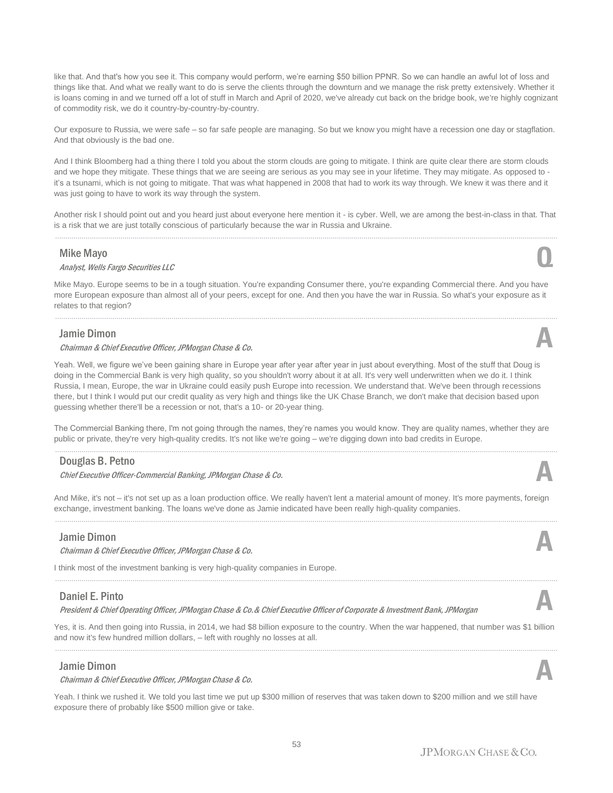like that. And that's how you see it. This company would perform, we're earning \$50 billion PPNR. So we can handle an awful lot of loss and things like that. And what we really want to do is serve the clients through the downturn and we manage the risk pretty extensively. Whether it is loans coming in and we turned off a lot of stuff in March and April of 2020, we've already cut back on the bridge book, we're highly cognizant of commodity risk, we do it country-by-country-by-country.

Our exposure to Russia, we were safe – so far safe people are managing. So but we know you might have a recession one day or stagflation. And that obviously is the bad one.

And I think Bloomberg had a thing there I told you about the storm clouds are going to mitigate. I think are quite clear there are storm clouds and we hope they mitigate. These things that we are seeing are serious as you may see in your lifetime. They may mitigate. As opposed to it's a tsunami, which is not going to mitigate. That was what happened in 2008 that had to work its way through. We knew it was there and it was just going to have to work its way through the system.

Another risk I should point out and you heard just about everyone here mention it - is cyber. Well, we are among the best-in-class in that. That is a risk that we are just totally conscious of particularly because the war in Russia and Ukraine. ......................................................................................................................................................................................................................................................

#### Mike Mayo

# Analyst, Wells Fargo Securities LLC **Q**

Mike Mayo. Europe seems to be in a tough situation. You're expanding Consumer there, you're expanding Commercial there. And you have more European exposure than almost all of your peers, except for one. And then you have the war in Russia. So what's your exposure as it relates to that region?

......................................................................................................................................................................................................................................................

## Jamie Dimon

#### Chairman & Chief Executive Officer, JPMorgan Chase & Co. **A**

Yeah. Well, we figure we've been gaining share in Europe year after year after year in just about everything. Most of the stuff that Doug is doing in the Commercial Bank is very high quality, so you shouldn't worry about it at all. It's very well underwritten when we do it. I think Russia, I mean, Europe, the war in Ukraine could easily push Europe into recession. We understand that. We've been through recessions there, but I think I would put our credit quality as very high and things like the UK Chase Branch, we don't make that decision based upon guessing whether there'll be a recession or not, that's a 10- or 20-year thing.

The Commercial Banking there, I'm not going through the names, they're names you would know. They are quality names, whether they are public or private, they're very high-quality credits. It's not like we're going – we're digging down into bad credits in Europe. ......................................................................................................................................................................................................................................................

### Douglas B. Petno

Chief Executive Officer-Commercial Banking, JPMorgan Chase & Co. **A**

And Mike, it's not – it's not set up as a loan production office. We really haven't lent a material amount of money. It's more payments, foreign exchange, investment banking. The loans we've done as Jamie indicated have been really high-quality companies. ......................................................................................................................................................................................................................................................

### Jamie Dimon

Chairman & Chief Executive Officer, JPMorgan Chase & Co. **A**

I think most of the investment banking is very high-quality companies in Europe.

### Daniel E. Pinto

President & Chief Operating Officer, JPMorgan Chase & Co.& Chief Executive Officer of Corporate & Investment Bank, JPMorgan **A**

Yes, it is. And then going into Russia, in 2014, we had \$8 billion exposure to the country. When the war happened, that number was \$1 billion and now it's few hundred million dollars, – left with roughly no losses at all. ......................................................................................................................................................................................................................................................

### Jamie Dimon

Chairman & Chief Executive Officer, JPMorgan Chase & Co. **A**

Yeah. I think we rushed it. We told you last time we put up \$300 million of reserves that was taken down to \$200 million and we still have exposure there of probably like \$500 million give or take.





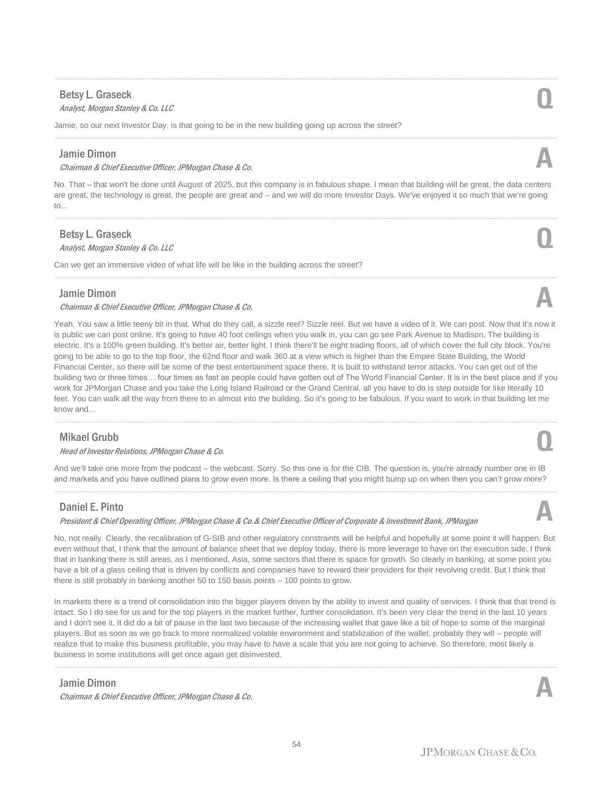# Betsy L. Graseck

# Betsy L. Graseck<br>Analyst, Morgan Stanley & Co. LLC

Jamie, so our next Investor Day, is that going to be in the new building going up across the street?

# Jamie Dimon

Chairman & Chief Executive Officer, JPMorgan Chase & Co. **A**

No. That – that won't be done until August of 2025, but this company is in fabulous shape. I mean that building will be great, the data centers are great, the technology is great, the people are great and – and we will do more Investor Days. We've enjoyed it so much that we're going to...

......................................................................................................................................................................................................................................................

......................................................................................................................................................................................................................................................

......................................................................................................................................................................................................................................................

......................................................................................................................................................................................................................................................

# Betsy L. Graseck

Betsy L. Graseck<br>Analyst, Morgan Stanley & Co. LLC

Can we get an immersive video of what life will be like in the building across the street?

## Jamie Dimon

#### Chairman & Chief Executive Officer, JPMorgan Chase & Co. **A**

Yeah. You saw a little teeny bit in that. What do they call, a sizzle reel? Sizzle reel. But we have a video of it. We can post. Now that it's now it is public we can post online. It's going to have 40 foot ceilings when you walk in, you can go see Park Avenue to Madison. The building is electric. It's a 100% green building. It's better air, better light. I think there'll be eight trading floors, all of which cover the full city block. You're going to be able to go to the top floor, the 62nd floor and walk 360 at a view which is higher than the Empire State Building, the World Financial Center, so there will be some of the best entertainment space there. It is built to withstand terror attacks. You can get out of the building two or three times… four times as fast as people could have gotten out of The World Financial Center. It is in the best place and if you work for JPMorgan Chase and you take the Long Island Railroad or the Grand Central, all you have to do is step outside for like literally 10 feet. You can walk all the way from there to in almost into the building. So it's going to be fabulous. If you want to work in that building let me know and...

......................................................................................................................................................................................................................................................

# Mikael Grubb

#### Head of Investor Relations, JPMorgan Chase & Co. **Q**

And we'll take one more from the podcast – the webcast. Sorry. So this one is for the CIB. The question is, you're already number one in IB and markets and you have outlined plans to grow even more. Is there a ceiling that you might bump up on when then you can't grow more?

# Daniel E. Pinto

President & Chief Operating Officer, JPMorgan Chase & Co.& Chief Executive Officer of Corporate & Investment Bank, JPMorgan **A**

No, not really. Clearly, the recalibration of G-SIB and other regulatory constraints will be helpful and hopefully at some point it will happen. But even without that, I think that the amount of balance sheet that we deploy today, there is more leverage to have on the execution side. I think that in banking there is still areas, as I mentioned, Asia, some sectors that there is space for growth. So clearly in banking, at some point you have a bit of a glass ceiling that is driven by conflicts and companies have to reward their providers for their revolving credit. But I think that there is still probably in banking another 50 to 150 basis points – 100 points to grow.

In markets there is a trend of consolidation into the bigger players driven by the ability to invest and quality of services. I think that that trend is intact. So I do see for us and for the top players in the market further, further consolidation. It's been very clear the trend in the last 10 years and I don't see it. It did do a bit of pause in the last two because of the increasing wallet that gave like a bit of hope to some of the marginal players. But as soon as we go back to more normalized volatile environment and stabilization of the wallet, probably they will – people will realize that to make this business profitable, you may have to have a scale that you are not going to achieve. So therefore, most likely a business in some institutions will get once again get disinvested.

......................................................................................................................................................................................................................................................

# Jamie Dimon

Chairman & Chief Executive Officer, JPMorgan Chase & Co. **A**